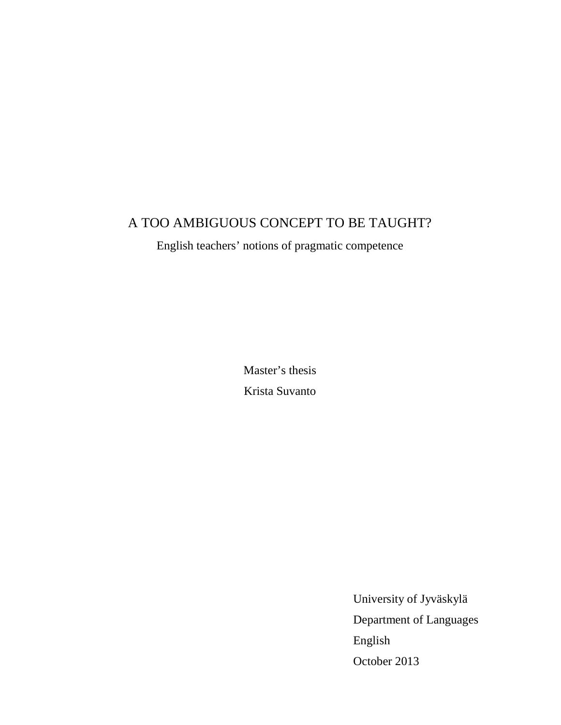# A TOO AMBIGUOUS CONCEPT TO BE TAUGHT?

English teachers' notions of pragmatic competence

Master's thesis Krista Suvanto

> University of Jyväskylä Department of Languages English October 2013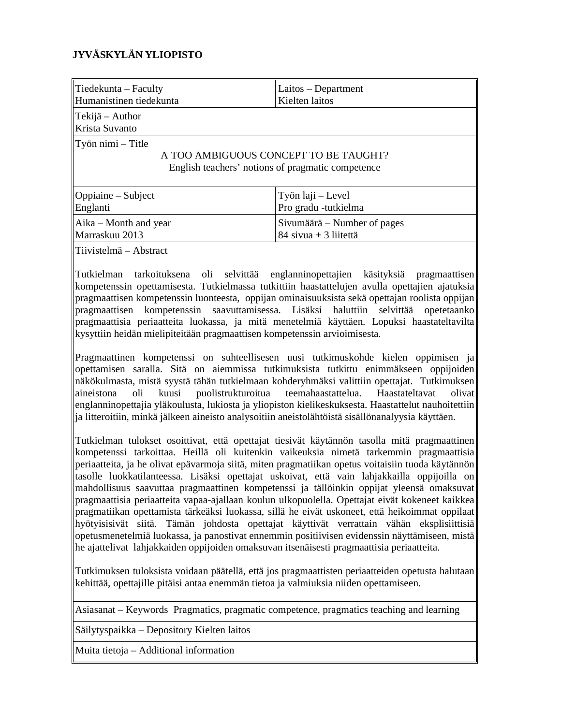# **JYVÄSKYLÄN YLIOPISTO**

| $Tiedekunta - Faculty$                                                                                                      | Laitos – Department           |  |
|-----------------------------------------------------------------------------------------------------------------------------|-------------------------------|--|
| Humanistinen tiedekunta                                                                                                     | Kielten laitos                |  |
| $\ $ Tekijä – Author<br>Krista Suvanto                                                                                      |                               |  |
| $\mathbf{T}$ yön nimi – Title<br>A TOO AMBIGUOUS CONCEPT TO BE TAUGHT?<br>English teachers' notions of pragmatic competence |                               |  |
| Oppiaine – Subject                                                                                                          | Työn laji – Level             |  |
| Englanti                                                                                                                    | Pro gradu -tutkielma          |  |
| $Aika - Month$ and year                                                                                                     | Sivumäärä – Number of pages   |  |
| Marraskuu 2013                                                                                                              | 84 sivua + 3 liitettä         |  |
| Tiivistelmä – Abstract                                                                                                      | selvittää englanninonettaiien |  |
| llTutkielman tarkoituksena l                                                                                                | käsityksiä                    |  |
| oli                                                                                                                         | pragmaattisen                 |  |

Tutkielman tarkoituksena oli selvittää englanninopettajien käsityksiä pragmaattisen kompetenssin opettamisesta. Tutkielmassa tutkittiin haastattelujen avulla opettajien ajatuksia pragmaattisen kompetenssin luonteesta, oppijan ominaisuuksista sekä opettajan roolista oppijan pragmaattisen kompetenssin saavuttamisessa. Lisäksi haluttiin selvittää opetetaanko pragmaattisia periaatteita luokassa, ja mitä menetelmiä käyttäen. Lopuksi haastateltavilta kysyttiin heidän mielipiteitään pragmaattisen kompetenssin arvioimisesta.

Pragmaattinen kompetenssi on suhteellisesen uusi tutkimuskohde kielen oppimisen ja opettamisen saralla. Sitä on aiemmissa tutkimuksista tutkittu enimmäkseen oppijoiden näkökulmasta, mistä syystä tähän tutkielmaan kohderyhmäksi valittiin opettajat. Tutkimuksen aineistona oli kuusi puolistrukturoitua teemahaastattelua. Haastateltavat olivat englanninopettajia yläkoulusta, lukiosta ja yliopiston kielikeskuksesta. Haastattelut nauhoitettiin ja litteroitiin, minkä jälkeen aineisto analysoitiin aneistolähtöistä sisällönanalyysia käyttäen.

Tutkielman tulokset osoittivat, että opettajat tiesivät käytännön tasolla mitä pragmaattinen kompetenssi tarkoittaa. Heillä oli kuitenkin vaikeuksia nimetä tarkemmin pragmaattisia periaatteita, ja he olivat epävarmoja siitä, miten pragmatiikan opetus voitaisiin tuoda käytännön tasolle luokkatilanteessa. Lisäksi opettajat uskoivat, että vain lahjakkailla oppijoilla on mahdollisuus saavuttaa pragmaattinen kompetenssi ja tällöinkin oppijat yleensä omaksuvat pragmaattisia periaatteita vapaa-ajallaan koulun ulkopuolella. Opettajat eivät kokeneet kaikkea pragmatiikan opettamista tärkeäksi luokassa, sillä he eivät uskoneet, että heikoimmat oppilaat hyötyisisivät siitä. Tämän johdosta opettajat käyttivät verrattain vähän eksplisiittisiä opetusmenetelmiä luokassa, ja panostivat ennemmin positiivisen evidenssin näyttämiseen, mistä he ajattelivat lahjakkaiden oppijoiden omaksuvan itsenäisesti pragmaattisia periaatteita.

Tutkimuksen tuloksista voidaan päätellä, että jos pragmaattisten periaatteiden opetusta halutaan kehittää, opettajille pitäisi antaa enemmän tietoa ja valmiuksia niiden opettamiseen.

Asiasanat – Keywords Pragmatics, pragmatic competence, pragmatics teaching and learning

Säilytyspaikka – Depository Kielten laitos

Muita tietoja – Additional information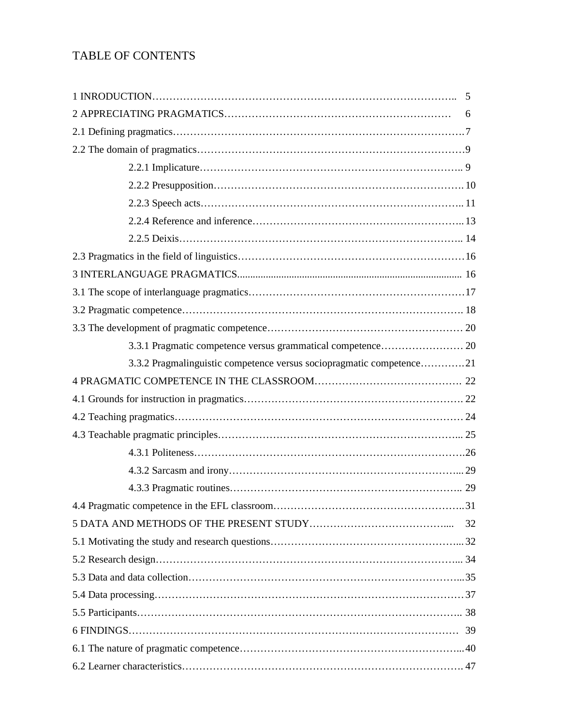# TABLE OF CONTENTS

|                                                                      | 6  |  |
|----------------------------------------------------------------------|----|--|
|                                                                      |    |  |
|                                                                      |    |  |
|                                                                      |    |  |
|                                                                      |    |  |
|                                                                      |    |  |
|                                                                      |    |  |
|                                                                      |    |  |
|                                                                      |    |  |
|                                                                      |    |  |
|                                                                      |    |  |
|                                                                      |    |  |
|                                                                      |    |  |
|                                                                      |    |  |
| 3.3.2 Pragmalinguistic competence versus sociopragmatic competence21 |    |  |
|                                                                      |    |  |
|                                                                      |    |  |
|                                                                      |    |  |
|                                                                      |    |  |
|                                                                      |    |  |
|                                                                      |    |  |
|                                                                      |    |  |
|                                                                      |    |  |
|                                                                      | 32 |  |
|                                                                      |    |  |
|                                                                      |    |  |
|                                                                      |    |  |
|                                                                      |    |  |
|                                                                      |    |  |
|                                                                      |    |  |
|                                                                      |    |  |
|                                                                      |    |  |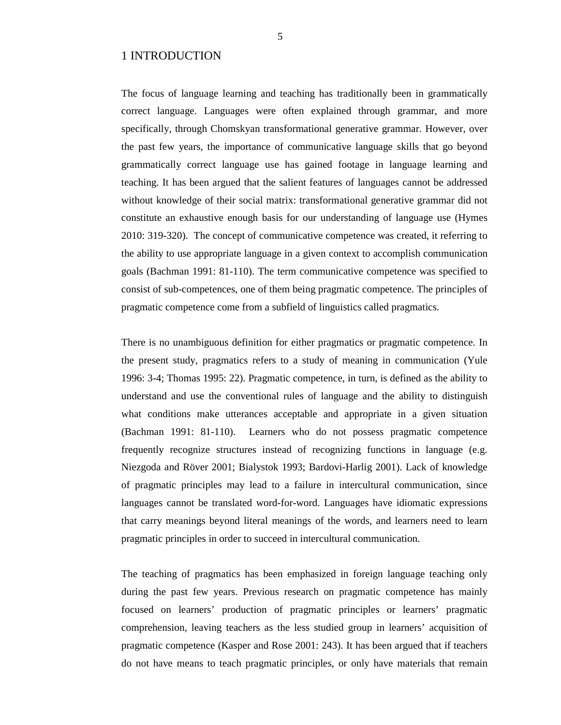# 1 INTRODUCTION

The focus of language learning and teaching has traditionally been in grammatically correct language. Languages were often explained through grammar, and more specifically, through Chomskyan transformational generative grammar. However, over the past few years, the importance of communicative language skills that go beyond grammatically correct language use has gained footage in language learning and teaching. It has been argued that the salient features of languages cannot be addressed without knowledge of their social matrix: transformational generative grammar did not constitute an exhaustive enough basis for our understanding of language use (Hymes 2010: 319-320). The concept of communicative competence was created, it referring to the ability to use appropriate language in a given context to accomplish communication goals (Bachman 1991: 81-110). The term communicative competence was specified to consist of sub-competences, one of them being pragmatic competence. The principles of pragmatic competence come from a subfield of linguistics called pragmatics.

There is no unambiguous definition for either pragmatics or pragmatic competence. In the present study, pragmatics refers to a study of meaning in communication (Yule 1996: 3-4; Thomas 1995: 22). Pragmatic competence, in turn, is defined as the ability to understand and use the conventional rules of language and the ability to distinguish what conditions make utterances acceptable and appropriate in a given situation (Bachman 1991: 81-110). Learners who do not possess pragmatic competence frequently recognize structures instead of recognizing functions in language (e.g. Niezgoda and Röver 2001; Bialystok 1993; Bardovi-Harlig 2001). Lack of knowledge of pragmatic principles may lead to a failure in intercultural communication, since languages cannot be translated word-for-word. Languages have idiomatic expressions that carry meanings beyond literal meanings of the words, and learners need to learn pragmatic principles in order to succeed in intercultural communication.

The teaching of pragmatics has been emphasized in foreign language teaching only during the past few years. Previous research on pragmatic competence has mainly focused on learners' production of pragmatic principles or learners' pragmatic comprehension, leaving teachers as the less studied group in learners' acquisition of pragmatic competence (Kasper and Rose 2001: 243). It has been argued that if teachers do not have means to teach pragmatic principles, or only have materials that remain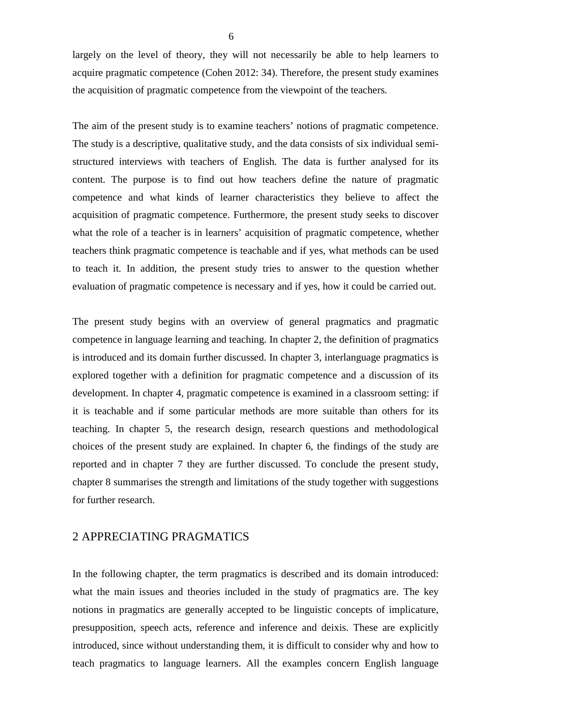largely on the level of theory, they will not necessarily be able to help learners to acquire pragmatic competence (Cohen 2012: 34). Therefore, the present study examines the acquisition of pragmatic competence from the viewpoint of the teachers.

The aim of the present study is to examine teachers' notions of pragmatic competence. The study is a descriptive, qualitative study, and the data consists of six individual semistructured interviews with teachers of English. The data is further analysed for its content. The purpose is to find out how teachers define the nature of pragmatic competence and what kinds of learner characteristics they believe to affect the acquisition of pragmatic competence. Furthermore, the present study seeks to discover what the role of a teacher is in learners' acquisition of pragmatic competence, whether teachers think pragmatic competence is teachable and if yes, what methods can be used to teach it. In addition, the present study tries to answer to the question whether evaluation of pragmatic competence is necessary and if yes, how it could be carried out.

The present study begins with an overview of general pragmatics and pragmatic competence in language learning and teaching. In chapter 2, the definition of pragmatics is introduced and its domain further discussed. In chapter 3, interlanguage pragmatics is explored together with a definition for pragmatic competence and a discussion of its development. In chapter 4, pragmatic competence is examined in a classroom setting: if it is teachable and if some particular methods are more suitable than others for its teaching. In chapter 5, the research design, research questions and methodological choices of the present study are explained. In chapter 6, the findings of the study are reported and in chapter 7 they are further discussed. To conclude the present study, chapter 8 summarises the strength and limitations of the study together with suggestions for further research.

# 2 APPRECIATING PRAGMATICS

In the following chapter, the term pragmatics is described and its domain introduced: what the main issues and theories included in the study of pragmatics are. The key notions in pragmatics are generally accepted to be linguistic concepts of implicature, presupposition, speech acts, reference and inference and deixis. These are explicitly introduced, since without understanding them, it is difficult to consider why and how to teach pragmatics to language learners. All the examples concern English language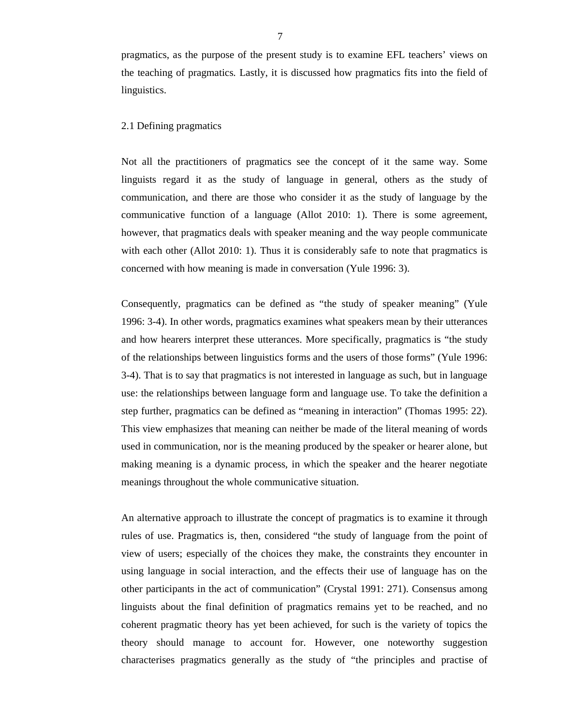pragmatics, as the purpose of the present study is to examine EFL teachers' views on the teaching of pragmatics. Lastly, it is discussed how pragmatics fits into the field of linguistics.

## 2.1 Defining pragmatics

Not all the practitioners of pragmatics see the concept of it the same way. Some linguists regard it as the study of language in general, others as the study of communication, and there are those who consider it as the study of language by the communicative function of a language (Allot 2010: 1). There is some agreement, however, that pragmatics deals with speaker meaning and the way people communicate with each other (Allot 2010: 1). Thus it is considerably safe to note that pragmatics is concerned with how meaning is made in conversation (Yule 1996: 3).

Consequently, pragmatics can be defined as "the study of speaker meaning" (Yule 1996: 3-4). In other words, pragmatics examines what speakers mean by their utterances and how hearers interpret these utterances. More specifically, pragmatics is "the study of the relationships between linguistics forms and the users of those forms" (Yule 1996: 3-4). That is to say that pragmatics is not interested in language as such, but in language use: the relationships between language form and language use. To take the definition a step further, pragmatics can be defined as "meaning in interaction" (Thomas 1995: 22). This view emphasizes that meaning can neither be made of the literal meaning of words used in communication, nor is the meaning produced by the speaker or hearer alone, but making meaning is a dynamic process, in which the speaker and the hearer negotiate meanings throughout the whole communicative situation.

An alternative approach to illustrate the concept of pragmatics is to examine it through rules of use. Pragmatics is, then, considered "the study of language from the point of view of users; especially of the choices they make, the constraints they encounter in using language in social interaction, and the effects their use of language has on the other participants in the act of communication" (Crystal 1991: 271). Consensus among linguists about the final definition of pragmatics remains yet to be reached, and no coherent pragmatic theory has yet been achieved, for such is the variety of topics the theory should manage to account for. However, one noteworthy suggestion characterises pragmatics generally as the study of "the principles and practise of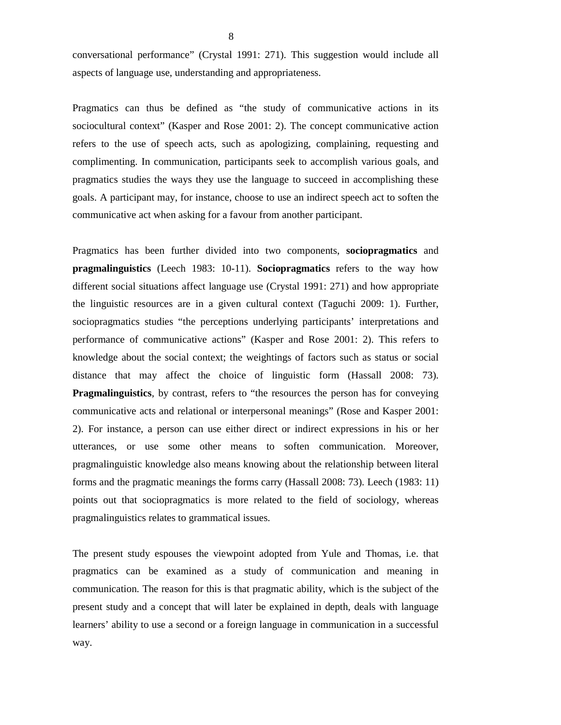conversational performance" (Crystal 1991: 271). This suggestion would include all aspects of language use, understanding and appropriateness.

Pragmatics can thus be defined as "the study of communicative actions in its sociocultural context" (Kasper and Rose 2001: 2). The concept communicative action refers to the use of speech acts, such as apologizing, complaining, requesting and complimenting. In communication, participants seek to accomplish various goals, and pragmatics studies the ways they use the language to succeed in accomplishing these goals. A participant may, for instance, choose to use an indirect speech act to soften the communicative act when asking for a favour from another participant.

Pragmatics has been further divided into two components, **sociopragmatics** and **pragmalinguistics** (Leech 1983: 10-11). **Sociopragmatics** refers to the way how different social situations affect language use (Crystal 1991: 271) and how appropriate the linguistic resources are in a given cultural context (Taguchi 2009: 1). Further, sociopragmatics studies "the perceptions underlying participants' interpretations and performance of communicative actions" (Kasper and Rose 2001: 2). This refers to knowledge about the social context; the weightings of factors such as status or social distance that may affect the choice of linguistic form (Hassall 2008: 73). **Pragmalinguistics**, by contrast, refers to "the resources the person has for conveying communicative acts and relational or interpersonal meanings" (Rose and Kasper 2001: 2). For instance, a person can use either direct or indirect expressions in his or her utterances, or use some other means to soften communication. Moreover, pragmalinguistic knowledge also means knowing about the relationship between literal forms and the pragmatic meanings the forms carry (Hassall 2008: 73). Leech (1983: 11) points out that sociopragmatics is more related to the field of sociology, whereas pragmalinguistics relates to grammatical issues.

The present study espouses the viewpoint adopted from Yule and Thomas, i.e. that pragmatics can be examined as a study of communication and meaning in communication. The reason for this is that pragmatic ability, which is the subject of the present study and a concept that will later be explained in depth, deals with language learners' ability to use a second or a foreign language in communication in a successful way.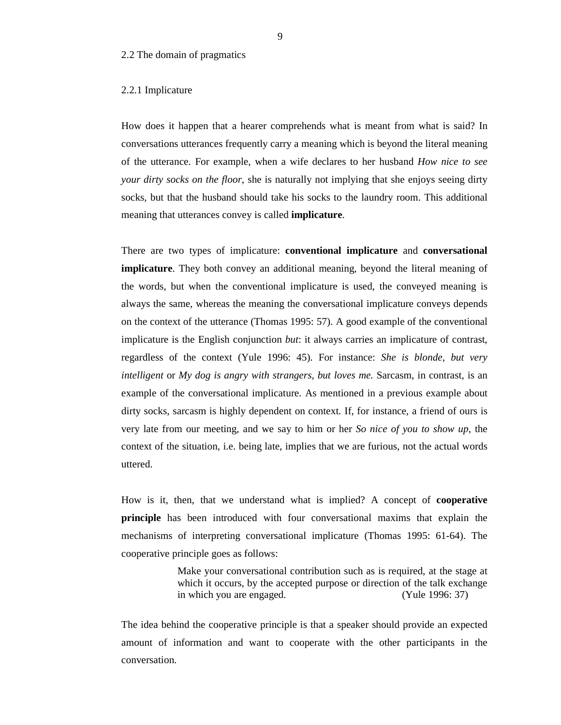## 2.2 The domain of pragmatics

#### 2.2.1 Implicature

How does it happen that a hearer comprehends what is meant from what is said? In conversations utterances frequently carry a meaning which is beyond the literal meaning of the utterance. For example, when a wife declares to her husband *How nice to see your dirty socks on the floor*, she is naturally not implying that she enjoys seeing dirty socks, but that the husband should take his socks to the laundry room. This additional meaning that utterances convey is called **implicature**.

There are two types of implicature: **conventional implicature** and **conversational implicature**. They both convey an additional meaning, beyond the literal meaning of the words, but when the conventional implicature is used, the conveyed meaning is always the same, whereas the meaning the conversational implicature conveys depends on the context of the utterance (Thomas 1995: 57). A good example of the conventional implicature is the English conjunction *but*: it always carries an implicature of contrast, regardless of the context (Yule 1996: 45). For instance: *She is blonde, but very intelligent* or *My dog is angry with strangers, but loves me.* Sarcasm, in contrast, is an example of the conversational implicature. As mentioned in a previous example about dirty socks, sarcasm is highly dependent on context. If, for instance, a friend of ours is very late from our meeting, and we say to him or her *So nice of you to show up*, the context of the situation, i.e. being late, implies that we are furious, not the actual words uttered.

How is it, then, that we understand what is implied? A concept of **cooperative principle** has been introduced with four conversational maxims that explain the mechanisms of interpreting conversational implicature (Thomas 1995: 61-64). The cooperative principle goes as follows:

> Make your conversational contribution such as is required, at the stage at which it occurs, by the accepted purpose or direction of the talk exchange in which you are engaged. (Yule 1996: 37)

The idea behind the cooperative principle is that a speaker should provide an expected amount of information and want to cooperate with the other participants in the conversation.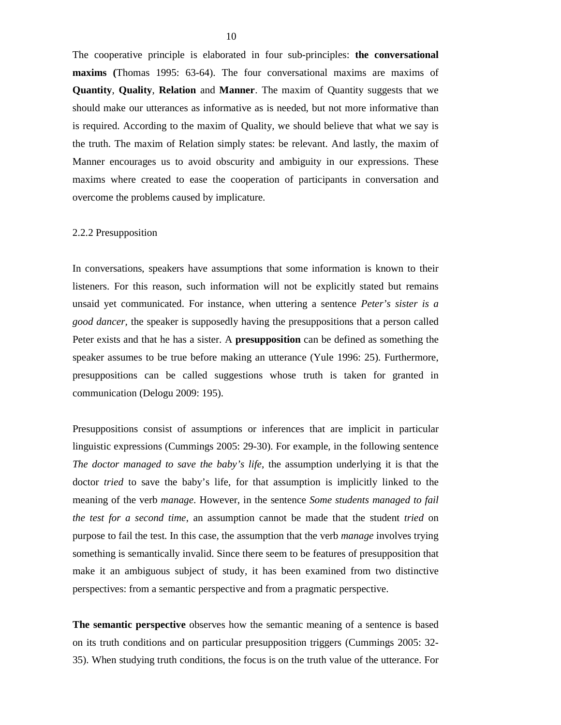The cooperative principle is elaborated in four sub-principles: **the conversational maxims (**Thomas 1995: 63-64). The four conversational maxims are maxims of **Quantity**, **Quality**, **Relation** and **Manner**. The maxim of Quantity suggests that we should make our utterances as informative as is needed, but not more informative than is required. According to the maxim of Quality, we should believe that what we say is the truth. The maxim of Relation simply states: be relevant. And lastly, the maxim of Manner encourages us to avoid obscurity and ambiguity in our expressions. These maxims where created to ease the cooperation of participants in conversation and overcome the problems caused by implicature.

## 2.2.2 Presupposition

In conversations, speakers have assumptions that some information is known to their listeners. For this reason, such information will not be explicitly stated but remains unsaid yet communicated. For instance, when uttering a sentence *Peter's sister is a good dancer,* the speaker is supposedly having the presuppositions that a person called Peter exists and that he has a sister. A **presupposition** can be defined as something the speaker assumes to be true before making an utterance (Yule 1996: 25). Furthermore, presuppositions can be called suggestions whose truth is taken for granted in communication (Delogu 2009: 195).

Presuppositions consist of assumptions or inferences that are implicit in particular linguistic expressions (Cummings 2005: 29-30). For example, in the following sentence *The doctor managed to save the baby's life*, the assumption underlying it is that the doctor *tried* to save the baby's life, for that assumption is implicitly linked to the meaning of the verb *manage*. However, in the sentence *Some students managed to fail the test for a second time*, an assumption cannot be made that the student *tried* on purpose to fail the test. In this case, the assumption that the verb *manage* involves trying something is semantically invalid. Since there seem to be features of presupposition that make it an ambiguous subject of study, it has been examined from two distinctive perspectives: from a semantic perspective and from a pragmatic perspective.

**The semantic perspective** observes how the semantic meaning of a sentence is based on its truth conditions and on particular presupposition triggers (Cummings 2005: 32- 35). When studying truth conditions, the focus is on the truth value of the utterance. For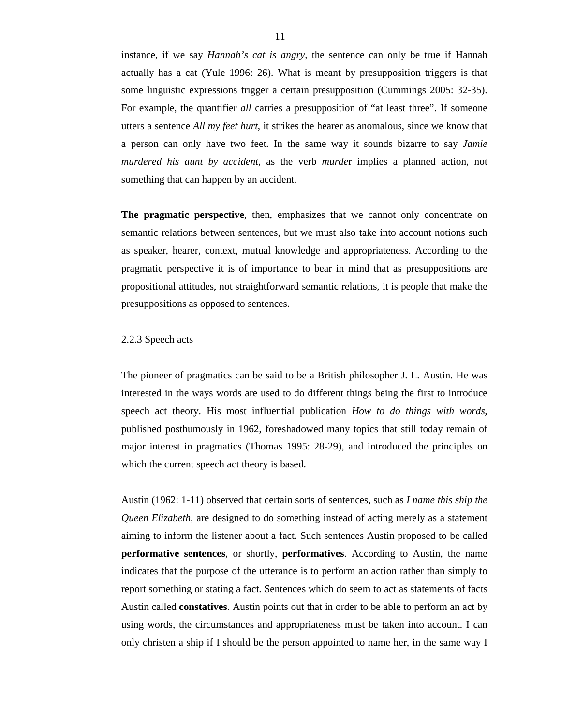instance, if we say *Hannah's cat is angry,* the sentence can only be true if Hannah actually has a cat (Yule 1996: 26). What is meant by presupposition triggers is that some linguistic expressions trigger a certain presupposition (Cummings 2005: 32-35). For example, the quantifier *all* carries a presupposition of "at least three". If someone utters a sentence *All my feet hurt*, it strikes the hearer as anomalous, since we know that a person can only have two feet. In the same way it sounds bizarre to say *Jamie murdered his aunt by accident,* as the verb *murde*r implies a planned action, not something that can happen by an accident.

**The pragmatic perspective**, then, emphasizes that we cannot only concentrate on semantic relations between sentences, but we must also take into account notions such as speaker, hearer, context, mutual knowledge and appropriateness. According to the pragmatic perspective it is of importance to bear in mind that as presuppositions are propositional attitudes, not straightforward semantic relations, it is people that make the presuppositions as opposed to sentences.

#### 2.2.3 Speech acts

The pioneer of pragmatics can be said to be a British philosopher J. L. Austin. He was interested in the ways words are used to do different things being the first to introduce speech act theory. His most influential publication *How to do things with words,*  published posthumously in 1962, foreshadowed many topics that still today remain of major interest in pragmatics (Thomas 1995: 28-29), and introduced the principles on which the current speech act theory is based.

Austin (1962: 1-11) observed that certain sorts of sentences, such as *I name this ship the Queen Elizabeth*, are designed to do something instead of acting merely as a statement aiming to inform the listener about a fact. Such sentences Austin proposed to be called **performative sentences***,* or shortly, **performatives**. According to Austin, the name indicates that the purpose of the utterance is to perform an action rather than simply to report something or stating a fact. Sentences which do seem to act as statements of facts Austin called **constatives**. Austin points out that in order to be able to perform an act by using words, the circumstances and appropriateness must be taken into account. I can only christen a ship if I should be the person appointed to name her, in the same way I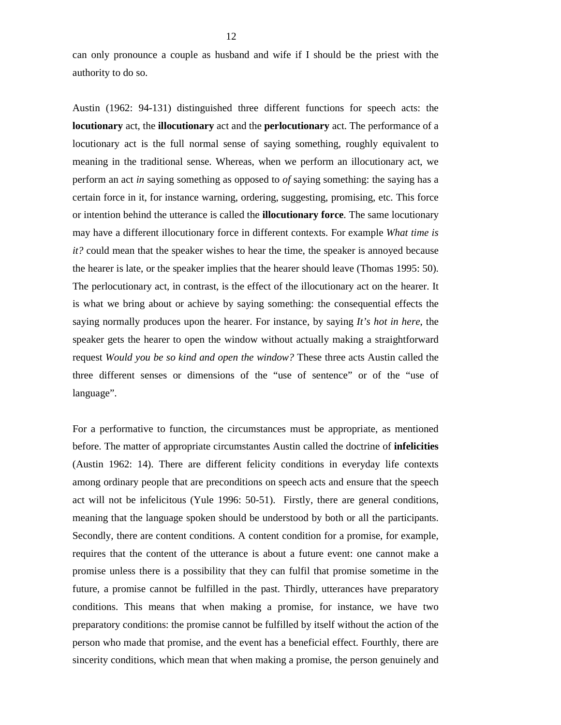can only pronounce a couple as husband and wife if I should be the priest with the authority to do so.

Austin (1962: 94-131) distinguished three different functions for speech acts: the **locutionary** act, the **illocutionary** act and the **perlocutionary** act. The performance of a locutionary act is the full normal sense of saying something, roughly equivalent to meaning in the traditional sense. Whereas, when we perform an illocutionary act, we perform an act *in* saying something as opposed to *of* saying something: the saying has a certain force in it, for instance warning, ordering, suggesting, promising, etc. This force or intention behind the utterance is called the **illocutionary force**. The same locutionary may have a different illocutionary force in different contexts. For example *What time is it?* could mean that the speaker wishes to hear the time, the speaker is annoyed because the hearer is late, or the speaker implies that the hearer should leave (Thomas 1995: 50). The perlocutionary act, in contrast, is the effect of the illocutionary act on the hearer. It is what we bring about or achieve by saying something: the consequential effects the saying normally produces upon the hearer. For instance, by saying *It's hot in here*, the speaker gets the hearer to open the window without actually making a straightforward request *Would you be so kind and open the window?* These three acts Austin called the three different senses or dimensions of the "use of sentence" or of the "use of language".

For a performative to function, the circumstances must be appropriate, as mentioned before. The matter of appropriate circumstantes Austin called the doctrine of **infelicities** (Austin 1962: 14). There are different felicity conditions in everyday life contexts among ordinary people that are preconditions on speech acts and ensure that the speech act will not be infelicitous (Yule 1996: 50-51). Firstly, there are general conditions, meaning that the language spoken should be understood by both or all the participants. Secondly, there are content conditions. A content condition for a promise, for example, requires that the content of the utterance is about a future event: one cannot make a promise unless there is a possibility that they can fulfil that promise sometime in the future, a promise cannot be fulfilled in the past. Thirdly, utterances have preparatory conditions. This means that when making a promise, for instance, we have two preparatory conditions: the promise cannot be fulfilled by itself without the action of the person who made that promise, and the event has a beneficial effect. Fourthly, there are sincerity conditions, which mean that when making a promise, the person genuinely and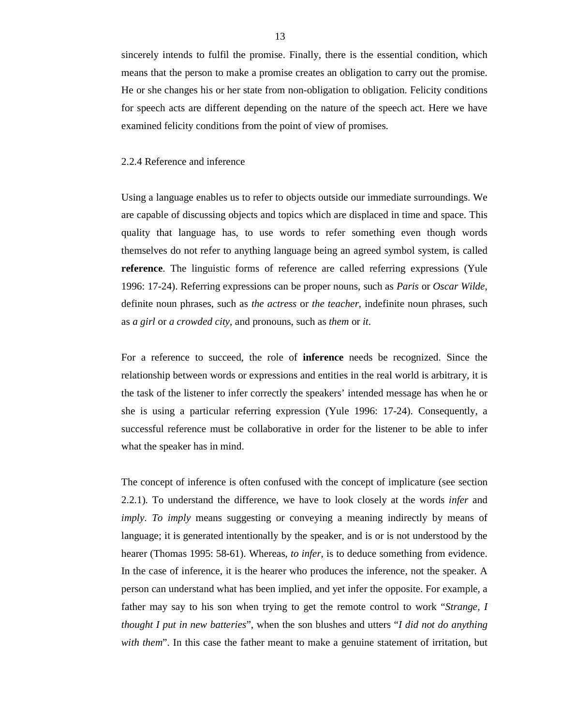sincerely intends to fulfil the promise. Finally, there is the essential condition, which means that the person to make a promise creates an obligation to carry out the promise. He or she changes his or her state from non-obligation to obligation. Felicity conditions for speech acts are different depending on the nature of the speech act. Here we have examined felicity conditions from the point of view of promises.

#### 2.2.4 Reference and inference

Using a language enables us to refer to objects outside our immediate surroundings. We are capable of discussing objects and topics which are displaced in time and space. This quality that language has, to use words to refer something even though words themselves do not refer to anything language being an agreed symbol system, is called **reference**. The linguistic forms of reference are called referring expressions (Yule 1996: 17-24). Referring expressions can be proper nouns, such as *Paris* or *Oscar Wilde*, definite noun phrases, such as *the actress* or *the teacher*, indefinite noun phrases, such as *a girl* or *a crowded city*, and pronouns, such as *them* or *it*.

For a reference to succeed, the role of **inference** needs be recognized. Since the relationship between words or expressions and entities in the real world is arbitrary, it is the task of the listener to infer correctly the speakers' intended message has when he or she is using a particular referring expression (Yule 1996: 17-24). Consequently, a successful reference must be collaborative in order for the listener to be able to infer what the speaker has in mind.

The concept of inference is often confused with the concept of implicature (see section 2.2.1). To understand the difference, we have to look closely at the words *infer* and *imply*. *To imply* means suggesting or conveying a meaning indirectly by means of language; it is generated intentionally by the speaker, and is or is not understood by the hearer (Thomas 1995: 58-61). Whereas, *to infer*, is to deduce something from evidence. In the case of inference, it is the hearer who produces the inference, not the speaker. A person can understand what has been implied, and yet infer the opposite. For example, a father may say to his son when trying to get the remote control to work "*Strange, I thought I put in new batteries*", when the son blushes and utters "*I did not do anything with them*". In this case the father meant to make a genuine statement of irritation, but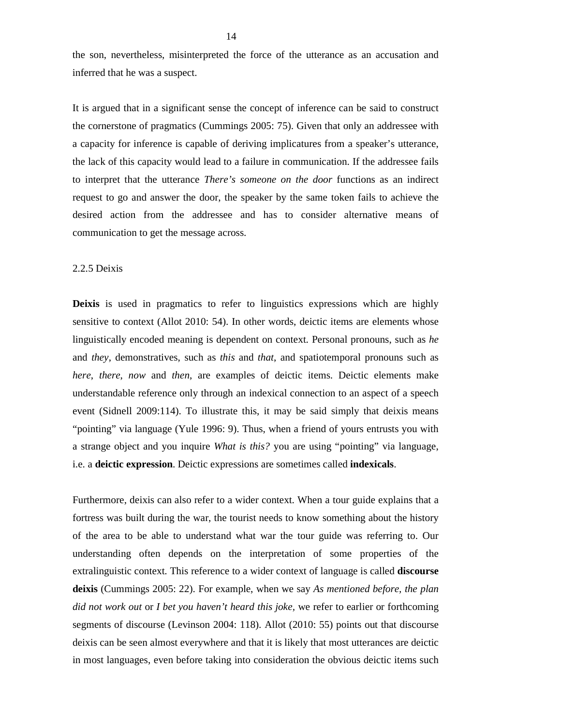the son, nevertheless, misinterpreted the force of the utterance as an accusation and inferred that he was a suspect.

It is argued that in a significant sense the concept of inference can be said to construct the cornerstone of pragmatics (Cummings 2005: 75). Given that only an addressee with a capacity for inference is capable of deriving implicatures from a speaker's utterance, the lack of this capacity would lead to a failure in communication. If the addressee fails to interpret that the utterance *There's someone on the door* functions as an indirect request to go and answer the door, the speaker by the same token fails to achieve the desired action from the addressee and has to consider alternative means of communication to get the message across.

#### 2.2.5 Deixis

**Deixis** is used in pragmatics to refer to linguistics expressions which are highly sensitive to context (Allot 2010: 54). In other words, deictic items are elements whose linguistically encoded meaning is dependent on context. Personal pronouns, such as *he*  and *they*, demonstratives, such as *this* and *that*, and spatiotemporal pronouns such as *here*, *there*, *now* and *then*, are examples of deictic items. Deictic elements make understandable reference only through an indexical connection to an aspect of a speech event (Sidnell 2009:114). To illustrate this, it may be said simply that deixis means "pointing" via language (Yule 1996: 9). Thus, when a friend of yours entrusts you with a strange object and you inquire *What is this?* you are using "pointing" via language, i.e. a **deictic expression**. Deictic expressions are sometimes called **indexicals**.

Furthermore, deixis can also refer to a wider context. When a tour guide explains that a fortress was built during the war, the tourist needs to know something about the history of the area to be able to understand what war the tour guide was referring to. Our understanding often depends on the interpretation of some properties of the extralinguistic context. This reference to a wider context of language is called **discourse deixis** (Cummings 2005: 22). For example, when we say *As mentioned before, the plan did not work out* or *I bet you haven't heard this joke,* we refer to earlier or forthcoming segments of discourse (Levinson 2004: 118). Allot (2010: 55) points out that discourse deixis can be seen almost everywhere and that it is likely that most utterances are deictic in most languages, even before taking into consideration the obvious deictic items such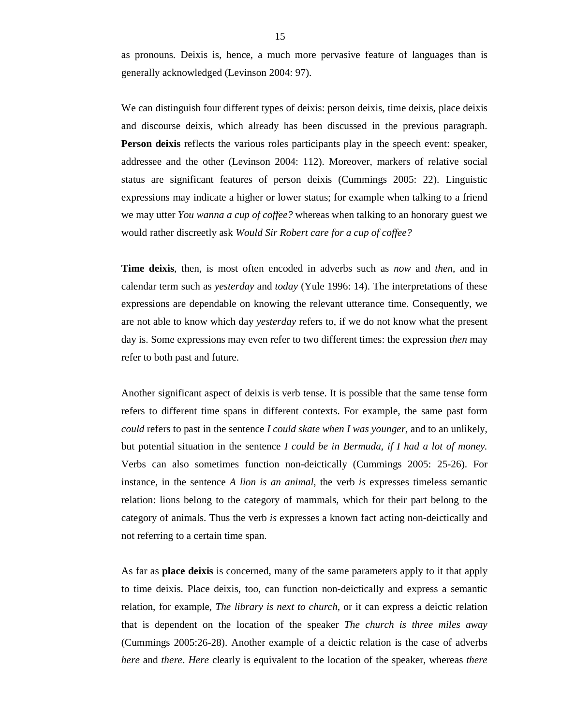as pronouns. Deixis is, hence, a much more pervasive feature of languages than is generally acknowledged (Levinson 2004: 97).

We can distinguish four different types of deixis: person deixis, time deixis, place deixis and discourse deixis, which already has been discussed in the previous paragraph. **Person deixis** reflects the various roles participants play in the speech event: speaker, addressee and the other (Levinson 2004: 112). Moreover, markers of relative social status are significant features of person deixis (Cummings 2005: 22). Linguistic expressions may indicate a higher or lower status; for example when talking to a friend we may utter *You wanna a cup of coffee?* whereas when talking to an honorary guest we would rather discreetly ask *Would Sir Robert care for a cup of coffee?*

**Time deixis**, then, is most often encoded in adverbs such as *now* and *then*, and in calendar term such as *yesterday* and *today* (Yule 1996: 14). The interpretations of these expressions are dependable on knowing the relevant utterance time. Consequently, we are not able to know which day *yesterday* refers to, if we do not know what the present day is. Some expressions may even refer to two different times: the expression *then* may refer to both past and future.

Another significant aspect of deixis is verb tense. It is possible that the same tense form refers to different time spans in different contexts. For example, the same past form *could* refers to past in the sentence *I could skate when I was younger,* and to an unlikely, but potential situation in the sentence *I could be in Bermuda, if I had a lot of money.* Verbs can also sometimes function non-deictically (Cummings 2005: 25-26). For instance, in the sentence *A lion is an animal*, the verb *is* expresses timeless semantic relation: lions belong to the category of mammals, which for their part belong to the category of animals. Thus the verb *is* expresses a known fact acting non-deictically and not referring to a certain time span.

As far as **place deixis** is concerned, many of the same parameters apply to it that apply to time deixis. Place deixis, too, can function non-deictically and express a semantic relation, for example, *The library is next to church*, or it can express a deictic relation that is dependent on the location of the speaker *The church is three miles away* (Cummings 2005:26-28). Another example of a deictic relation is the case of adverbs *here* and *there*. *Here* clearly is equivalent to the location of the speaker, whereas *there*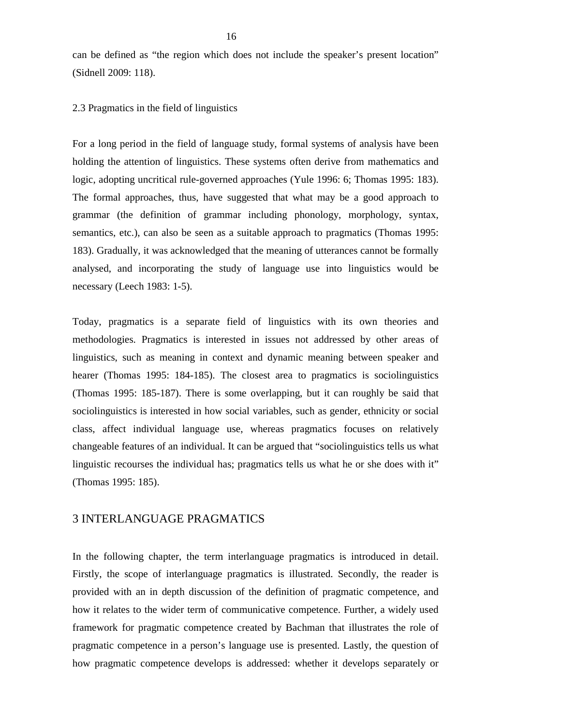can be defined as "the region which does not include the speaker's present location" (Sidnell 2009: 118).

2.3 Pragmatics in the field of linguistics

For a long period in the field of language study, formal systems of analysis have been holding the attention of linguistics. These systems often derive from mathematics and logic, adopting uncritical rule-governed approaches (Yule 1996: 6; Thomas 1995: 183). The formal approaches, thus, have suggested that what may be a good approach to grammar (the definition of grammar including phonology, morphology, syntax, semantics, etc.), can also be seen as a suitable approach to pragmatics (Thomas 1995: 183). Gradually, it was acknowledged that the meaning of utterances cannot be formally analysed, and incorporating the study of language use into linguistics would be necessary (Leech 1983: 1-5).

Today, pragmatics is a separate field of linguistics with its own theories and methodologies. Pragmatics is interested in issues not addressed by other areas of linguistics, such as meaning in context and dynamic meaning between speaker and hearer (Thomas 1995: 184-185). The closest area to pragmatics is sociolinguistics (Thomas 1995: 185-187). There is some overlapping, but it can roughly be said that sociolinguistics is interested in how social variables, such as gender, ethnicity or social class, affect individual language use, whereas pragmatics focuses on relatively changeable features of an individual. It can be argued that "sociolinguistics tells us what linguistic recourses the individual has; pragmatics tells us what he or she does with it" (Thomas 1995: 185).

# 3 INTERLANGUAGE PRAGMATICS

In the following chapter, the term interlanguage pragmatics is introduced in detail. Firstly, the scope of interlanguage pragmatics is illustrated. Secondly, the reader is provided with an in depth discussion of the definition of pragmatic competence, and how it relates to the wider term of communicative competence. Further, a widely used framework for pragmatic competence created by Bachman that illustrates the role of pragmatic competence in a person's language use is presented. Lastly, the question of how pragmatic competence develops is addressed: whether it develops separately or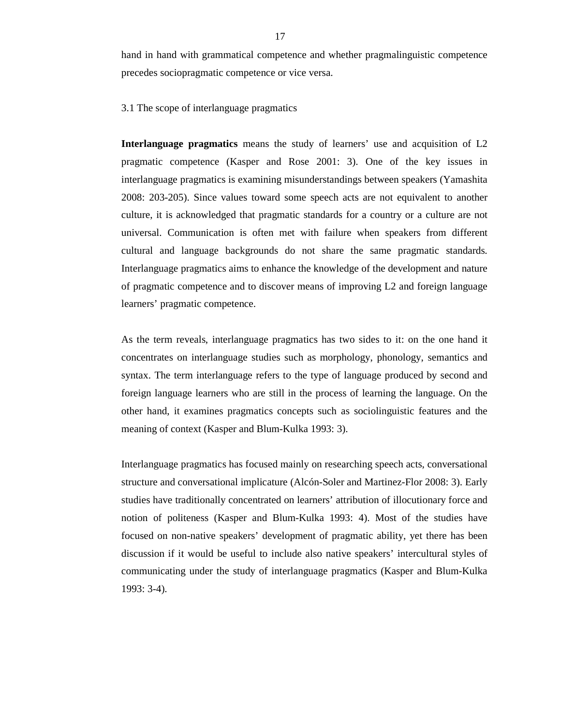hand in hand with grammatical competence and whether pragmalinguistic competence precedes sociopragmatic competence or vice versa.

3.1 The scope of interlanguage pragmatics

**Interlanguage pragmatics** means the study of learners' use and acquisition of L2 pragmatic competence (Kasper and Rose 2001: 3). One of the key issues in interlanguage pragmatics is examining misunderstandings between speakers (Yamashita 2008: 203-205). Since values toward some speech acts are not equivalent to another culture, it is acknowledged that pragmatic standards for a country or a culture are not universal. Communication is often met with failure when speakers from different cultural and language backgrounds do not share the same pragmatic standards. Interlanguage pragmatics aims to enhance the knowledge of the development and nature of pragmatic competence and to discover means of improving L2 and foreign language learners' pragmatic competence.

As the term reveals, interlanguage pragmatics has two sides to it: on the one hand it concentrates on interlanguage studies such as morphology, phonology, semantics and syntax. The term interlanguage refers to the type of language produced by second and foreign language learners who are still in the process of learning the language. On the other hand, it examines pragmatics concepts such as sociolinguistic features and the meaning of context (Kasper and Blum-Kulka 1993: 3).

Interlanguage pragmatics has focused mainly on researching speech acts, conversational structure and conversational implicature (Alcón-Soler and Martinez-Flor 2008: 3). Early studies have traditionally concentrated on learners' attribution of illocutionary force and notion of politeness (Kasper and Blum-Kulka 1993: 4). Most of the studies have focused on non-native speakers' development of pragmatic ability, yet there has been discussion if it would be useful to include also native speakers' intercultural styles of communicating under the study of interlanguage pragmatics (Kasper and Blum-Kulka 1993: 3-4).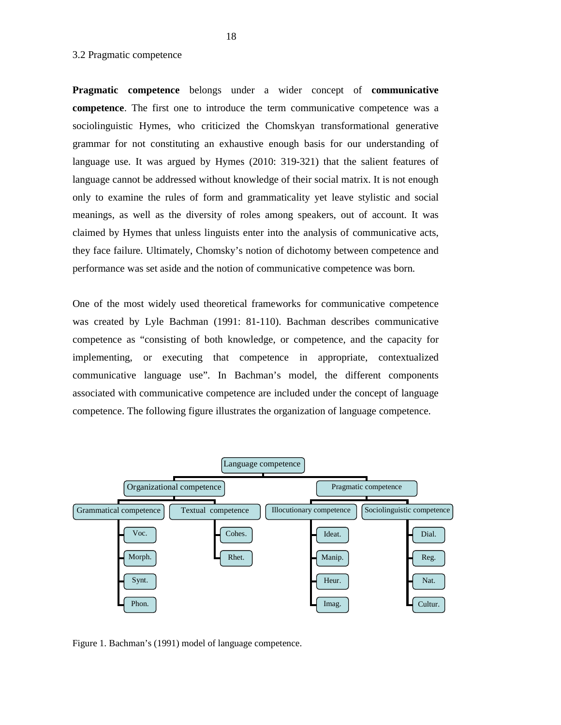## 3.2 Pragmatic competence

**Pragmatic competence** belongs under a wider concept of **communicative competence**. The first one to introduce the term communicative competence was a sociolinguistic Hymes, who criticized the Chomskyan transformational generative grammar for not constituting an exhaustive enough basis for our understanding of language use. It was argued by Hymes (2010: 319-321) that the salient features of language cannot be addressed without knowledge of their social matrix. It is not enough only to examine the rules of form and grammaticality yet leave stylistic and social meanings, as well as the diversity of roles among speakers, out of account. It was claimed by Hymes that unless linguists enter into the analysis of communicative acts, they face failure. Ultimately, Chomsky's notion of dichotomy between competence and performance was set aside and the notion of communicative competence was born.

One of the most widely used theoretical frameworks for communicative competence was created by Lyle Bachman (1991: 81-110). Bachman describes communicative competence as "consisting of both knowledge, or competence, and the capacity for implementing, or executing that competence in appropriate, contextualized communicative language use". In Bachman's model, the different components associated with communicative competence are included under the concept of language competence. The following figure illustrates the organization of language competence.



Figure 1. Bachman's (1991) model of language competence.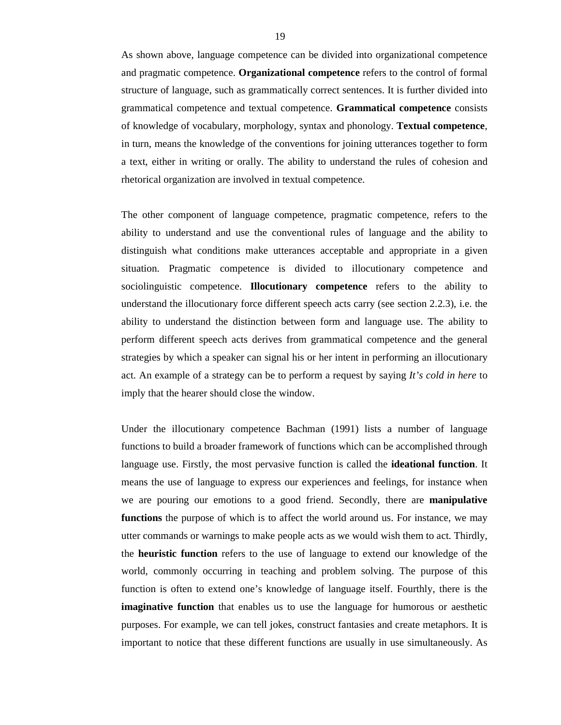As shown above, language competence can be divided into organizational competence and pragmatic competence. **Organizational competence** refers to the control of formal structure of language, such as grammatically correct sentences. It is further divided into grammatical competence and textual competence. **Grammatical competence** consists of knowledge of vocabulary, morphology, syntax and phonology. **Textual competence**, in turn, means the knowledge of the conventions for joining utterances together to form a text, either in writing or orally. The ability to understand the rules of cohesion and rhetorical organization are involved in textual competence.

The other component of language competence, pragmatic competence, refers to the ability to understand and use the conventional rules of language and the ability to distinguish what conditions make utterances acceptable and appropriate in a given situation. Pragmatic competence is divided to illocutionary competence and sociolinguistic competence. **Illocutionary competence** refers to the ability to understand the illocutionary force different speech acts carry (see section 2.2.3), i.e. the ability to understand the distinction between form and language use. The ability to perform different speech acts derives from grammatical competence and the general strategies by which a speaker can signal his or her intent in performing an illocutionary act. An example of a strategy can be to perform a request by saying *It's cold in here* to imply that the hearer should close the window.

Under the illocutionary competence Bachman (1991) lists a number of language functions to build a broader framework of functions which can be accomplished through language use. Firstly, the most pervasive function is called the **ideational function**. It means the use of language to express our experiences and feelings, for instance when we are pouring our emotions to a good friend. Secondly, there are **manipulative functions** the purpose of which is to affect the world around us. For instance, we may utter commands or warnings to make people acts as we would wish them to act. Thirdly, the **heuristic function** refers to the use of language to extend our knowledge of the world, commonly occurring in teaching and problem solving. The purpose of this function is often to extend one's knowledge of language itself. Fourthly, there is the **imaginative function** that enables us to use the language for humorous or aesthetic purposes. For example, we can tell jokes, construct fantasies and create metaphors. It is important to notice that these different functions are usually in use simultaneously. As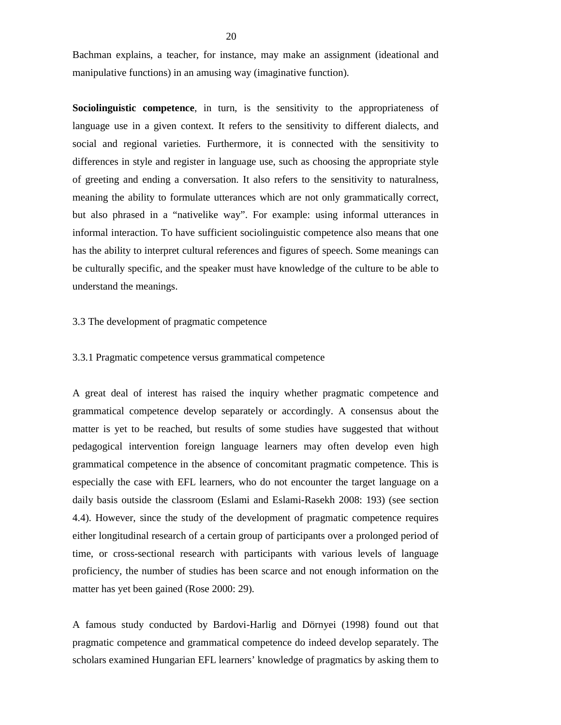Bachman explains, a teacher, for instance, may make an assignment (ideational and manipulative functions) in an amusing way (imaginative function).

**Sociolinguistic competence**, in turn, is the sensitivity to the appropriateness of language use in a given context. It refers to the sensitivity to different dialects, and social and regional varieties. Furthermore, it is connected with the sensitivity to differences in style and register in language use, such as choosing the appropriate style of greeting and ending a conversation. It also refers to the sensitivity to naturalness, meaning the ability to formulate utterances which are not only grammatically correct, but also phrased in a "nativelike way". For example: using informal utterances in informal interaction. To have sufficient sociolinguistic competence also means that one has the ability to interpret cultural references and figures of speech. Some meanings can be culturally specific, and the speaker must have knowledge of the culture to be able to understand the meanings.

## 3.3 The development of pragmatic competence

## 3.3.1 Pragmatic competence versus grammatical competence

A great deal of interest has raised the inquiry whether pragmatic competence and grammatical competence develop separately or accordingly. A consensus about the matter is yet to be reached, but results of some studies have suggested that without pedagogical intervention foreign language learners may often develop even high grammatical competence in the absence of concomitant pragmatic competence. This is especially the case with EFL learners, who do not encounter the target language on a daily basis outside the classroom (Eslami and Eslami-Rasekh 2008: 193) (see section 4.4). However, since the study of the development of pragmatic competence requires either longitudinal research of a certain group of participants over a prolonged period of time, or cross-sectional research with participants with various levels of language proficiency, the number of studies has been scarce and not enough information on the matter has yet been gained (Rose 2000: 29).

A famous study conducted by Bardovi-Harlig and Dörnyei (1998) found out that pragmatic competence and grammatical competence do indeed develop separately. The scholars examined Hungarian EFL learners' knowledge of pragmatics by asking them to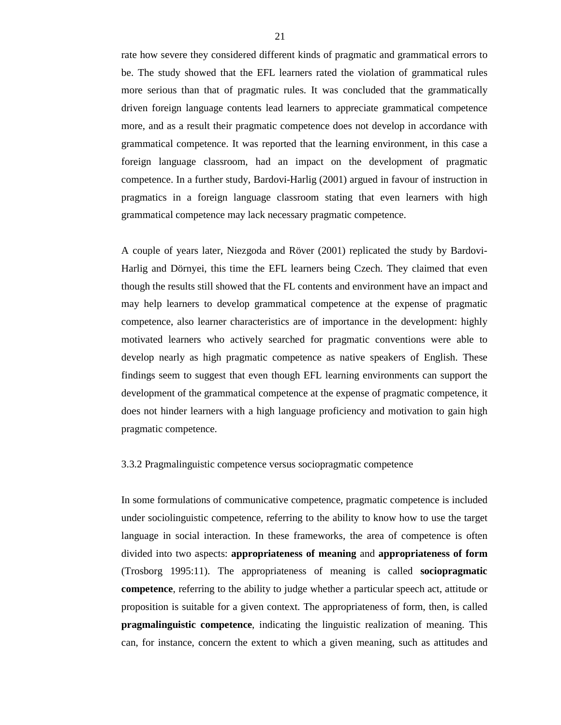rate how severe they considered different kinds of pragmatic and grammatical errors to be. The study showed that the EFL learners rated the violation of grammatical rules more serious than that of pragmatic rules. It was concluded that the grammatically driven foreign language contents lead learners to appreciate grammatical competence more, and as a result their pragmatic competence does not develop in accordance with grammatical competence. It was reported that the learning environment, in this case a foreign language classroom, had an impact on the development of pragmatic competence. In a further study, Bardovi-Harlig (2001) argued in favour of instruction in pragmatics in a foreign language classroom stating that even learners with high grammatical competence may lack necessary pragmatic competence.

A couple of years later, Niezgoda and Röver (2001) replicated the study by Bardovi-Harlig and Dörnyei, this time the EFL learners being Czech. They claimed that even though the results still showed that the FL contents and environment have an impact and may help learners to develop grammatical competence at the expense of pragmatic competence, also learner characteristics are of importance in the development: highly motivated learners who actively searched for pragmatic conventions were able to develop nearly as high pragmatic competence as native speakers of English. These findings seem to suggest that even though EFL learning environments can support the development of the grammatical competence at the expense of pragmatic competence, it does not hinder learners with a high language proficiency and motivation to gain high pragmatic competence.

### 3.3.2 Pragmalinguistic competence versus sociopragmatic competence

In some formulations of communicative competence, pragmatic competence is included under sociolinguistic competence, referring to the ability to know how to use the target language in social interaction. In these frameworks, the area of competence is often divided into two aspects: **appropriateness of meaning** and **appropriateness of form** (Trosborg 1995:11). The appropriateness of meaning is called **sociopragmatic competence**, referring to the ability to judge whether a particular speech act, attitude or proposition is suitable for a given context. The appropriateness of form, then, is called **pragmalinguistic competence**, indicating the linguistic realization of meaning. This can, for instance, concern the extent to which a given meaning, such as attitudes and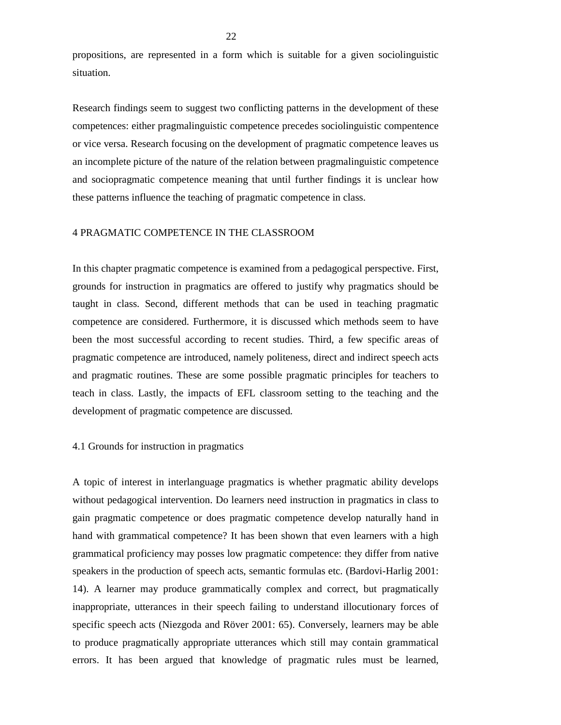propositions, are represented in a form which is suitable for a given sociolinguistic situation.

Research findings seem to suggest two conflicting patterns in the development of these competences: either pragmalinguistic competence precedes sociolinguistic compentence or vice versa. Research focusing on the development of pragmatic competence leaves us an incomplete picture of the nature of the relation between pragmalinguistic competence and sociopragmatic competence meaning that until further findings it is unclear how these patterns influence the teaching of pragmatic competence in class.

## 4 PRAGMATIC COMPETENCE IN THE CLASSROOM

In this chapter pragmatic competence is examined from a pedagogical perspective. First, grounds for instruction in pragmatics are offered to justify why pragmatics should be taught in class. Second, different methods that can be used in teaching pragmatic competence are considered. Furthermore, it is discussed which methods seem to have been the most successful according to recent studies. Third, a few specific areas of pragmatic competence are introduced, namely politeness, direct and indirect speech acts and pragmatic routines. These are some possible pragmatic principles for teachers to teach in class. Lastly, the impacts of EFL classroom setting to the teaching and the development of pragmatic competence are discussed.

#### 4.1 Grounds for instruction in pragmatics

A topic of interest in interlanguage pragmatics is whether pragmatic ability develops without pedagogical intervention. Do learners need instruction in pragmatics in class to gain pragmatic competence or does pragmatic competence develop naturally hand in hand with grammatical competence? It has been shown that even learners with a high grammatical proficiency may posses low pragmatic competence: they differ from native speakers in the production of speech acts, semantic formulas etc. (Bardovi-Harlig 2001: 14). A learner may produce grammatically complex and correct, but pragmatically inappropriate, utterances in their speech failing to understand illocutionary forces of specific speech acts (Niezgoda and Röver 2001: 65). Conversely, learners may be able to produce pragmatically appropriate utterances which still may contain grammatical errors. It has been argued that knowledge of pragmatic rules must be learned,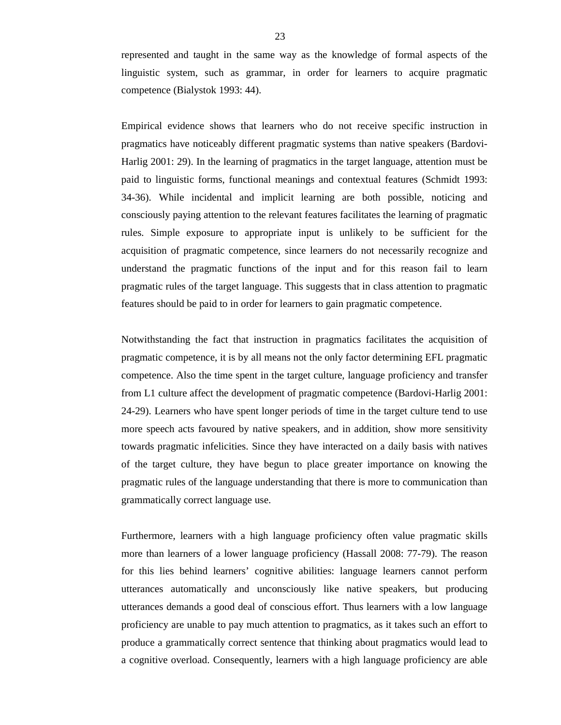represented and taught in the same way as the knowledge of formal aspects of the linguistic system, such as grammar, in order for learners to acquire pragmatic competence (Bialystok 1993: 44).

Empirical evidence shows that learners who do not receive specific instruction in pragmatics have noticeably different pragmatic systems than native speakers (Bardovi-Harlig 2001: 29). In the learning of pragmatics in the target language, attention must be paid to linguistic forms, functional meanings and contextual features (Schmidt 1993: 34-36). While incidental and implicit learning are both possible, noticing and consciously paying attention to the relevant features facilitates the learning of pragmatic rules. Simple exposure to appropriate input is unlikely to be sufficient for the acquisition of pragmatic competence, since learners do not necessarily recognize and understand the pragmatic functions of the input and for this reason fail to learn pragmatic rules of the target language. This suggests that in class attention to pragmatic features should be paid to in order for learners to gain pragmatic competence.

Notwithstanding the fact that instruction in pragmatics facilitates the acquisition of pragmatic competence, it is by all means not the only factor determining EFL pragmatic competence. Also the time spent in the target culture, language proficiency and transfer from L1 culture affect the development of pragmatic competence (Bardovi-Harlig 2001: 24-29). Learners who have spent longer periods of time in the target culture tend to use more speech acts favoured by native speakers, and in addition, show more sensitivity towards pragmatic infelicities. Since they have interacted on a daily basis with natives of the target culture, they have begun to place greater importance on knowing the pragmatic rules of the language understanding that there is more to communication than grammatically correct language use.

Furthermore, learners with a high language proficiency often value pragmatic skills more than learners of a lower language proficiency (Hassall 2008: 77-79). The reason for this lies behind learners' cognitive abilities: language learners cannot perform utterances automatically and unconsciously like native speakers, but producing utterances demands a good deal of conscious effort. Thus learners with a low language proficiency are unable to pay much attention to pragmatics, as it takes such an effort to produce a grammatically correct sentence that thinking about pragmatics would lead to a cognitive overload. Consequently, learners with a high language proficiency are able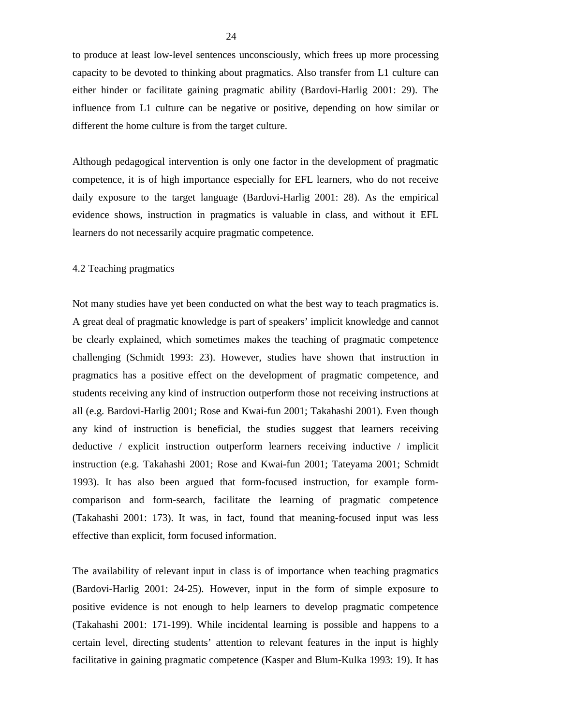to produce at least low-level sentences unconsciously, which frees up more processing capacity to be devoted to thinking about pragmatics. Also transfer from L1 culture can either hinder or facilitate gaining pragmatic ability (Bardovi-Harlig 2001: 29). The influence from L1 culture can be negative or positive, depending on how similar or different the home culture is from the target culture.

Although pedagogical intervention is only one factor in the development of pragmatic competence, it is of high importance especially for EFL learners, who do not receive daily exposure to the target language (Bardovi-Harlig 2001: 28). As the empirical evidence shows, instruction in pragmatics is valuable in class, and without it EFL learners do not necessarily acquire pragmatic competence.

#### 4.2 Teaching pragmatics

Not many studies have yet been conducted on what the best way to teach pragmatics is. A great deal of pragmatic knowledge is part of speakers' implicit knowledge and cannot be clearly explained, which sometimes makes the teaching of pragmatic competence challenging (Schmidt 1993: 23). However, studies have shown that instruction in pragmatics has a positive effect on the development of pragmatic competence, and students receiving any kind of instruction outperform those not receiving instructions at all (e.g. Bardovi-Harlig 2001; Rose and Kwai-fun 2001; Takahashi 2001). Even though any kind of instruction is beneficial, the studies suggest that learners receiving deductive / explicit instruction outperform learners receiving inductive / implicit instruction (e.g. Takahashi 2001; Rose and Kwai-fun 2001; Tateyama 2001; Schmidt 1993). It has also been argued that form-focused instruction, for example formcomparison and form-search, facilitate the learning of pragmatic competence (Takahashi 2001: 173). It was, in fact, found that meaning-focused input was less effective than explicit, form focused information.

The availability of relevant input in class is of importance when teaching pragmatics (Bardovi-Harlig 2001: 24-25). However, input in the form of simple exposure to positive evidence is not enough to help learners to develop pragmatic competence (Takahashi 2001: 171-199). While incidental learning is possible and happens to a certain level, directing students' attention to relevant features in the input is highly facilitative in gaining pragmatic competence (Kasper and Blum-Kulka 1993: 19). It has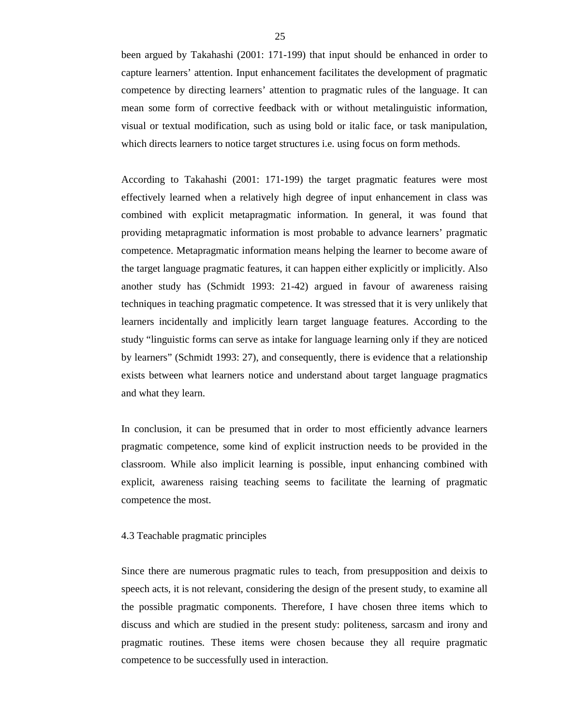been argued by Takahashi (2001: 171-199) that input should be enhanced in order to capture learners' attention. Input enhancement facilitates the development of pragmatic competence by directing learners' attention to pragmatic rules of the language. It can mean some form of corrective feedback with or without metalinguistic information, visual or textual modification, such as using bold or italic face, or task manipulation, which directs learners to notice target structures i.e. using focus on form methods.

According to Takahashi (2001: 171-199) the target pragmatic features were most effectively learned when a relatively high degree of input enhancement in class was combined with explicit metapragmatic information. In general, it was found that providing metapragmatic information is most probable to advance learners' pragmatic competence. Metapragmatic information means helping the learner to become aware of the target language pragmatic features, it can happen either explicitly or implicitly. Also another study has (Schmidt 1993: 21-42) argued in favour of awareness raising techniques in teaching pragmatic competence. It was stressed that it is very unlikely that learners incidentally and implicitly learn target language features. According to the study "linguistic forms can serve as intake for language learning only if they are noticed by learners" (Schmidt 1993: 27), and consequently, there is evidence that a relationship exists between what learners notice and understand about target language pragmatics and what they learn.

In conclusion, it can be presumed that in order to most efficiently advance learners pragmatic competence, some kind of explicit instruction needs to be provided in the classroom. While also implicit learning is possible, input enhancing combined with explicit, awareness raising teaching seems to facilitate the learning of pragmatic competence the most.

## 4.3 Teachable pragmatic principles

Since there are numerous pragmatic rules to teach, from presupposition and deixis to speech acts, it is not relevant, considering the design of the present study, to examine all the possible pragmatic components. Therefore, I have chosen three items which to discuss and which are studied in the present study: politeness, sarcasm and irony and pragmatic routines. These items were chosen because they all require pragmatic competence to be successfully used in interaction.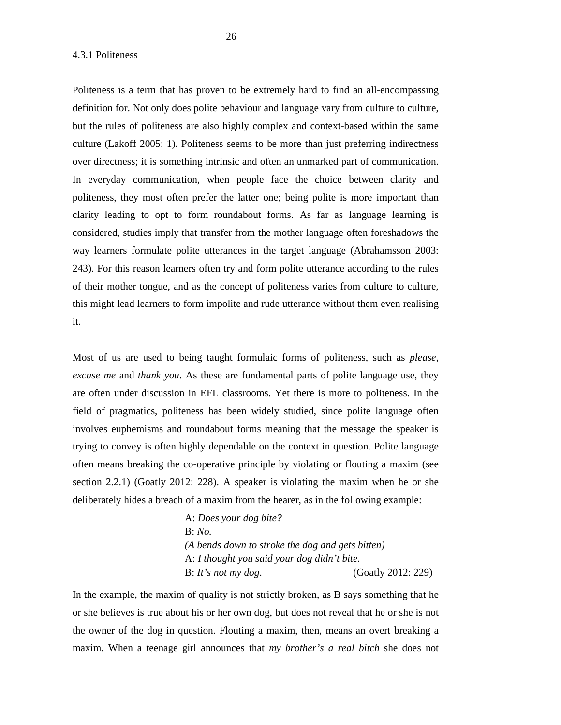4.3.1 Politeness

Politeness is a term that has proven to be extremely hard to find an all-encompassing definition for. Not only does polite behaviour and language vary from culture to culture, but the rules of politeness are also highly complex and context-based within the same culture (Lakoff 2005: 1). Politeness seems to be more than just preferring indirectness over directness; it is something intrinsic and often an unmarked part of communication. In everyday communication, when people face the choice between clarity and politeness, they most often prefer the latter one; being polite is more important than clarity leading to opt to form roundabout forms. As far as language learning is considered, studies imply that transfer from the mother language often foreshadows the way learners formulate polite utterances in the target language (Abrahamsson 2003: 243). For this reason learners often try and form polite utterance according to the rules of their mother tongue, and as the concept of politeness varies from culture to culture, this might lead learners to form impolite and rude utterance without them even realising it.

Most of us are used to being taught formulaic forms of politeness, such as *please, excuse me* and *thank you*. As these are fundamental parts of polite language use, they are often under discussion in EFL classrooms. Yet there is more to politeness. In the field of pragmatics, politeness has been widely studied, since polite language often involves euphemisms and roundabout forms meaning that the message the speaker is trying to convey is often highly dependable on the context in question. Polite language often means breaking the co-operative principle by violating or flouting a maxim (see section 2.2.1) (Goatly 2012: 228). A speaker is violating the maxim when he or she deliberately hides a breach of a maxim from the hearer, as in the following example:

> A: *Does your dog bite?* B: *No. (A bends down to stroke the dog and gets bitten)* A: *I thought you said your dog didn't bite.* B: *It's not my dog*. (Goatly 2012: 229)

In the example, the maxim of quality is not strictly broken, as B says something that he or she believes is true about his or her own dog, but does not reveal that he or she is not the owner of the dog in question. Flouting a maxim, then, means an overt breaking a maxim. When a teenage girl announces that *my brother's a real bitch* she does not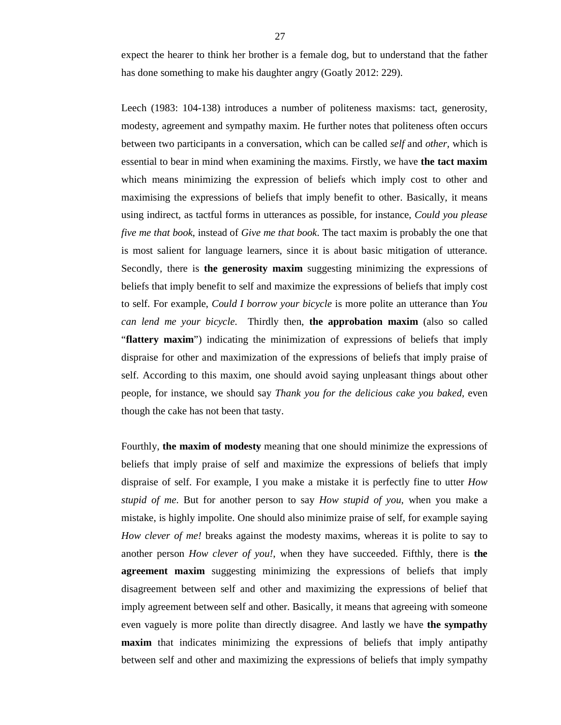expect the hearer to think her brother is a female dog, but to understand that the father has done something to make his daughter angry (Goatly 2012: 229).

Leech (1983: 104-138) introduces a number of politeness maxisms: tact, generosity, modesty, agreement and sympathy maxim. He further notes that politeness often occurs between two participants in a conversation, which can be called *self* and *other,* which is essential to bear in mind when examining the maxims. Firstly, we have **the tact maxim** which means minimizing the expression of beliefs which imply cost to other and maximising the expressions of beliefs that imply benefit to other. Basically, it means using indirect, as tactful forms in utterances as possible, for instance, *Could you please five me that book*, instead of *Give me that book*. The tact maxim is probably the one that is most salient for language learners, since it is about basic mitigation of utterance. Secondly, there is **the generosity maxim** suggesting minimizing the expressions of beliefs that imply benefit to self and maximize the expressions of beliefs that imply cost to self. For example, *Could I borrow your bicycle* is more polite an utterance than *You can lend me your bicycle*. Thirdly then, **the approbation maxim** (also so called "**flattery maxim**") indicating the minimization of expressions of beliefs that imply dispraise for other and maximization of the expressions of beliefs that imply praise of self. According to this maxim, one should avoid saying unpleasant things about other people, for instance, we should say *Thank you for the delicious cake you baked*, even though the cake has not been that tasty.

Fourthly, **the maxim of modesty** meaning that one should minimize the expressions of beliefs that imply praise of self and maximize the expressions of beliefs that imply dispraise of self. For example, I you make a mistake it is perfectly fine to utter *How stupid of me*. But for another person to say *How stupid of you*, when you make a mistake, is highly impolite. One should also minimize praise of self, for example saying *How clever of me!* breaks against the modesty maxims, whereas it is polite to say to another person *How clever of you!*, when they have succeeded. Fifthly, there is **the agreement maxim** suggesting minimizing the expressions of beliefs that imply disagreement between self and other and maximizing the expressions of belief that imply agreement between self and other. Basically, it means that agreeing with someone even vaguely is more polite than directly disagree. And lastly we have **the sympathy maxim** that indicates minimizing the expressions of beliefs that imply antipathy between self and other and maximizing the expressions of beliefs that imply sympathy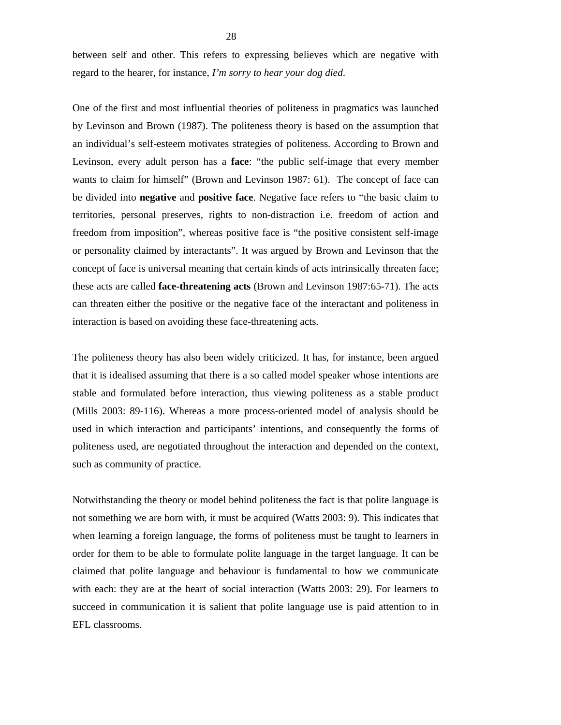between self and other. This refers to expressing believes which are negative with regard to the hearer, for instance, *I'm sorry to hear your dog died*.

One of the first and most influential theories of politeness in pragmatics was launched by Levinson and Brown (1987). The politeness theory is based on the assumption that an individual's self-esteem motivates strategies of politeness. According to Brown and Levinson, every adult person has a **face**: "the public self-image that every member wants to claim for himself" (Brown and Levinson 1987: 61). The concept of face can be divided into **negative** and **positive face**. Negative face refers to "the basic claim to territories, personal preserves, rights to non-distraction i.e. freedom of action and freedom from imposition", whereas positive face is "the positive consistent self-image or personality claimed by interactants". It was argued by Brown and Levinson that the concept of face is universal meaning that certain kinds of acts intrinsically threaten face; these acts are called **face-threatening acts** (Brown and Levinson 1987:65-71). The acts can threaten either the positive or the negative face of the interactant and politeness in interaction is based on avoiding these face-threatening acts.

The politeness theory has also been widely criticized. It has, for instance, been argued that it is idealised assuming that there is a so called model speaker whose intentions are stable and formulated before interaction, thus viewing politeness as a stable product (Mills 2003: 89-116). Whereas a more process-oriented model of analysis should be used in which interaction and participants' intentions, and consequently the forms of politeness used, are negotiated throughout the interaction and depended on the context, such as community of practice.

Notwithstanding the theory or model behind politeness the fact is that polite language is not something we are born with, it must be acquired (Watts 2003: 9). This indicates that when learning a foreign language, the forms of politeness must be taught to learners in order for them to be able to formulate polite language in the target language. It can be claimed that polite language and behaviour is fundamental to how we communicate with each: they are at the heart of social interaction (Watts 2003: 29). For learners to succeed in communication it is salient that polite language use is paid attention to in EFL classrooms.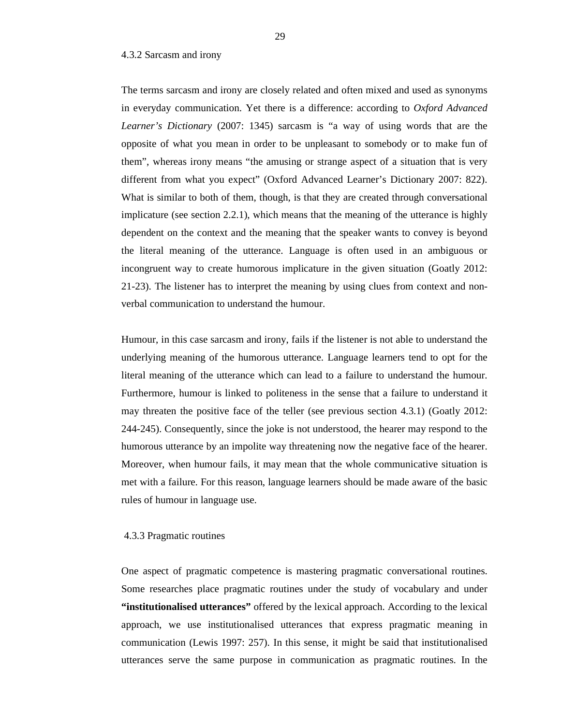### 4.3.2 Sarcasm and irony

The terms sarcasm and irony are closely related and often mixed and used as synonyms in everyday communication. Yet there is a difference: according to *Oxford Advanced Learner's Dictionary* (2007: 1345) sarcasm is "a way of using words that are the opposite of what you mean in order to be unpleasant to somebody or to make fun of them", whereas irony means "the amusing or strange aspect of a situation that is very different from what you expect" (Oxford Advanced Learner's Dictionary 2007: 822). What is similar to both of them, though, is that they are created through conversational implicature (see section 2.2.1), which means that the meaning of the utterance is highly dependent on the context and the meaning that the speaker wants to convey is beyond the literal meaning of the utterance. Language is often used in an ambiguous or incongruent way to create humorous implicature in the given situation (Goatly 2012: 21-23). The listener has to interpret the meaning by using clues from context and nonverbal communication to understand the humour.

Humour, in this case sarcasm and irony, fails if the listener is not able to understand the underlying meaning of the humorous utterance. Language learners tend to opt for the literal meaning of the utterance which can lead to a failure to understand the humour. Furthermore, humour is linked to politeness in the sense that a failure to understand it may threaten the positive face of the teller (see previous section 4.3.1) (Goatly 2012: 244-245). Consequently, since the joke is not understood, the hearer may respond to the humorous utterance by an impolite way threatening now the negative face of the hearer. Moreover, when humour fails, it may mean that the whole communicative situation is met with a failure. For this reason, language learners should be made aware of the basic rules of humour in language use.

## 4.3.3 Pragmatic routines

One aspect of pragmatic competence is mastering pragmatic conversational routines. Some researches place pragmatic routines under the study of vocabulary and under **"institutionalised utterances"** offered by the lexical approach. According to the lexical approach, we use institutionalised utterances that express pragmatic meaning in communication (Lewis 1997: 257). In this sense, it might be said that institutionalised utterances serve the same purpose in communication as pragmatic routines. In the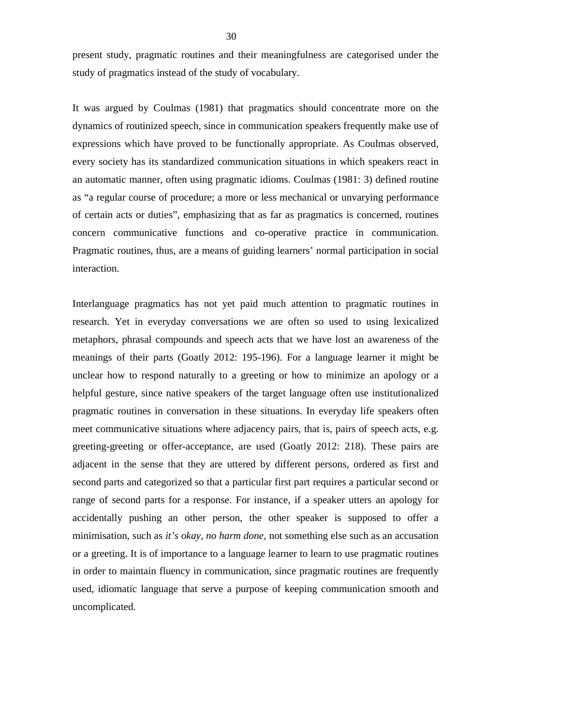present study, pragmatic routines and their meaningfulness are categorised under the study of pragmatics instead of the study of vocabulary.

It was argued by Coulmas (1981) that pragmatics should concentrate more on the dynamics of routinized speech, since in communication speakers frequently make use of expressions which have proved to be functionally appropriate. As Coulmas observed, every society has its standardized communication situations in which speakers react in an automatic manner, often using pragmatic idioms. Coulmas (1981: 3) defined routine as "a regular course of procedure; a more or less mechanical or unvarying performance of certain acts or duties", emphasizing that as far as pragmatics is concerned, routines concern communicative functions and co-operative practice in communication. Pragmatic routines, thus, are a means of guiding learners' normal participation in social interaction.

Interlanguage pragmatics has not yet paid much attention to pragmatic routines in research. Yet in everyday conversations we are often so used to using lexicalized metaphors, phrasal compounds and speech acts that we have lost an awareness of the meanings of their parts (Goatly 2012: 195-196). For a language learner it might be unclear how to respond naturally to a greeting or how to minimize an apology or a helpful gesture, since native speakers of the target language often use institutionalized pragmatic routines in conversation in these situations. In everyday life speakers often meet communicative situations where adjacency pairs, that is, pairs of speech acts, e.g. greeting-greeting or offer-acceptance, are used (Goatly 2012: 218). These pairs are adjacent in the sense that they are uttered by different persons, ordered as first and second parts and categorized so that a particular first part requires a particular second or range of second parts for a response. For instance, if a speaker utters an apology for accidentally pushing an other person, the other speaker is supposed to offer a minimisation, such as *it's okay, no harm done,* not something else such as an accusation or a greeting. It is of importance to a language learner to learn to use pragmatic routines in order to maintain fluency in communication, since pragmatic routines are frequently used, idiomatic language that serve a purpose of keeping communication smooth and uncomplicated.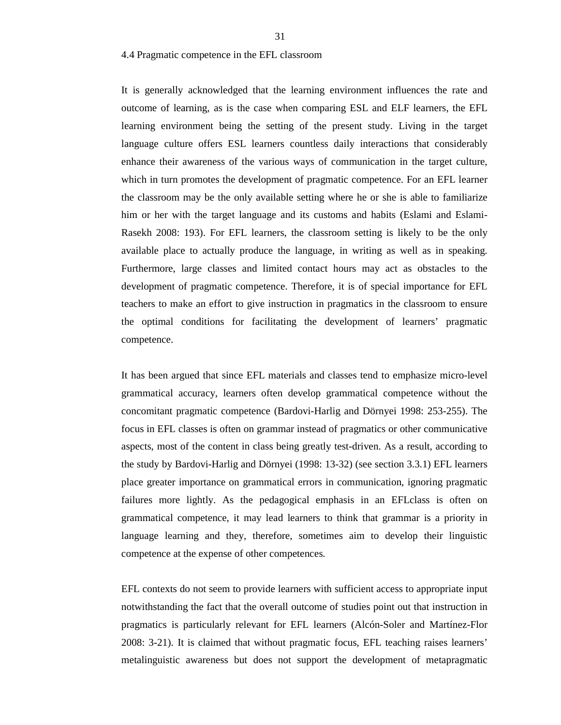## 4.4 Pragmatic competence in the EFL classroom

It is generally acknowledged that the learning environment influences the rate and outcome of learning, as is the case when comparing ESL and ELF learners, the EFL learning environment being the setting of the present study. Living in the target language culture offers ESL learners countless daily interactions that considerably enhance their awareness of the various ways of communication in the target culture, which in turn promotes the development of pragmatic competence. For an EFL learner the classroom may be the only available setting where he or she is able to familiarize him or her with the target language and its customs and habits (Eslami and Eslami-Rasekh 2008: 193). For EFL learners, the classroom setting is likely to be the only available place to actually produce the language, in writing as well as in speaking. Furthermore, large classes and limited contact hours may act as obstacles to the development of pragmatic competence. Therefore, it is of special importance for EFL teachers to make an effort to give instruction in pragmatics in the classroom to ensure the optimal conditions for facilitating the development of learners' pragmatic competence.

It has been argued that since EFL materials and classes tend to emphasize micro-level grammatical accuracy, learners often develop grammatical competence without the concomitant pragmatic competence (Bardovi-Harlig and Dörnyei 1998: 253-255). The focus in EFL classes is often on grammar instead of pragmatics or other communicative aspects, most of the content in class being greatly test-driven. As a result, according to the study by Bardovi-Harlig and Dörnyei (1998: 13-32) (see section 3.3.1) EFL learners place greater importance on grammatical errors in communication, ignoring pragmatic failures more lightly. As the pedagogical emphasis in an EFLclass is often on grammatical competence, it may lead learners to think that grammar is a priority in language learning and they, therefore, sometimes aim to develop their linguistic competence at the expense of other competences.

EFL contexts do not seem to provide learners with sufficient access to appropriate input notwithstanding the fact that the overall outcome of studies point out that instruction in pragmatics is particularly relevant for EFL learners (Alcón-Soler and Martínez-Flor 2008: 3-21). It is claimed that without pragmatic focus, EFL teaching raises learners' metalinguistic awareness but does not support the development of metapragmatic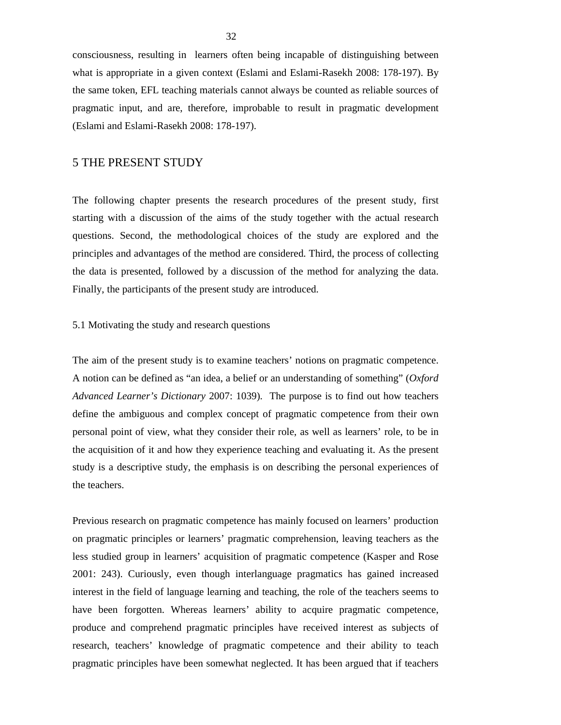consciousness, resulting in learners often being incapable of distinguishing between what is appropriate in a given context (Eslami and Eslami-Rasekh 2008: 178-197). By the same token, EFL teaching materials cannot always be counted as reliable sources of pragmatic input, and are, therefore, improbable to result in pragmatic development (Eslami and Eslami-Rasekh 2008: 178-197).

# 5 THE PRESENT STUDY

The following chapter presents the research procedures of the present study, first starting with a discussion of the aims of the study together with the actual research questions. Second, the methodological choices of the study are explored and the principles and advantages of the method are considered. Third, the process of collecting the data is presented, followed by a discussion of the method for analyzing the data. Finally, the participants of the present study are introduced.

#### 5.1 Motivating the study and research questions

The aim of the present study is to examine teachers' notions on pragmatic competence. A notion can be defined as "an idea, a belief or an understanding of something" (*Oxford Advanced Learner's Dictionary* 2007: 1039). The purpose is to find out how teachers define the ambiguous and complex concept of pragmatic competence from their own personal point of view, what they consider their role, as well as learners' role, to be in the acquisition of it and how they experience teaching and evaluating it. As the present study is a descriptive study, the emphasis is on describing the personal experiences of the teachers.

Previous research on pragmatic competence has mainly focused on learners' production on pragmatic principles or learners' pragmatic comprehension, leaving teachers as the less studied group in learners' acquisition of pragmatic competence (Kasper and Rose 2001: 243). Curiously, even though interlanguage pragmatics has gained increased interest in the field of language learning and teaching, the role of the teachers seems to have been forgotten. Whereas learners' ability to acquire pragmatic competence, produce and comprehend pragmatic principles have received interest as subjects of research, teachers' knowledge of pragmatic competence and their ability to teach pragmatic principles have been somewhat neglected. It has been argued that if teachers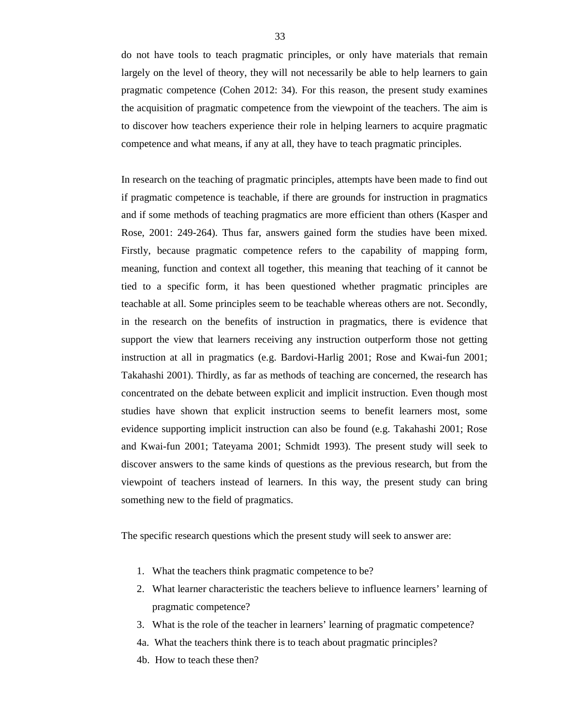do not have tools to teach pragmatic principles, or only have materials that remain largely on the level of theory, they will not necessarily be able to help learners to gain pragmatic competence (Cohen 2012: 34). For this reason, the present study examines the acquisition of pragmatic competence from the viewpoint of the teachers. The aim is to discover how teachers experience their role in helping learners to acquire pragmatic competence and what means, if any at all, they have to teach pragmatic principles.

In research on the teaching of pragmatic principles, attempts have been made to find out if pragmatic competence is teachable, if there are grounds for instruction in pragmatics and if some methods of teaching pragmatics are more efficient than others (Kasper and Rose, 2001: 249-264). Thus far, answers gained form the studies have been mixed. Firstly, because pragmatic competence refers to the capability of mapping form, meaning, function and context all together, this meaning that teaching of it cannot be tied to a specific form, it has been questioned whether pragmatic principles are teachable at all. Some principles seem to be teachable whereas others are not. Secondly, in the research on the benefits of instruction in pragmatics, there is evidence that support the view that learners receiving any instruction outperform those not getting instruction at all in pragmatics (e.g. Bardovi-Harlig 2001; Rose and Kwai-fun 2001; Takahashi 2001). Thirdly, as far as methods of teaching are concerned, the research has concentrated on the debate between explicit and implicit instruction. Even though most studies have shown that explicit instruction seems to benefit learners most, some evidence supporting implicit instruction can also be found (e.g. Takahashi 2001; Rose and Kwai-fun 2001; Tateyama 2001; Schmidt 1993). The present study will seek to discover answers to the same kinds of questions as the previous research, but from the viewpoint of teachers instead of learners. In this way, the present study can bring something new to the field of pragmatics.

The specific research questions which the present study will seek to answer are:

- 1. What the teachers think pragmatic competence to be?
- 2. What learner characteristic the teachers believe to influence learners' learning of pragmatic competence?
- 3. What is the role of the teacher in learners' learning of pragmatic competence?
- 4a. What the teachers think there is to teach about pragmatic principles?
- 4b. How to teach these then?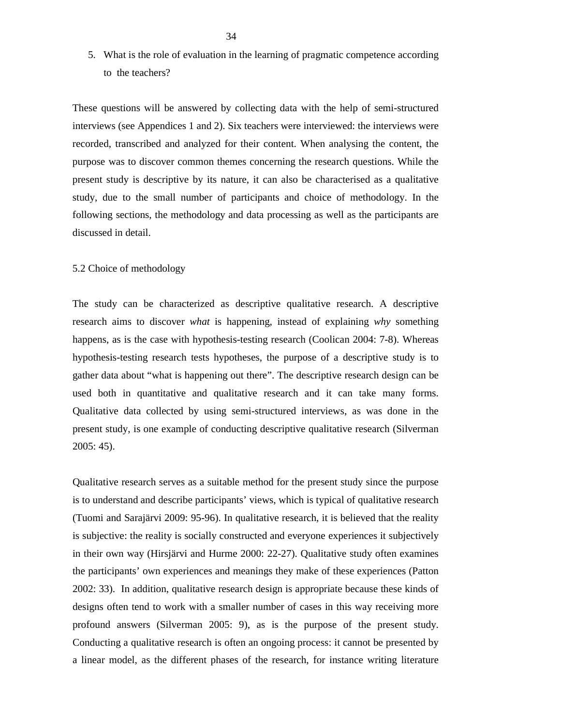5. What is the role of evaluation in the learning of pragmatic competence according to the teachers?

These questions will be answered by collecting data with the help of semi-structured interviews (see Appendices 1 and 2). Six teachers were interviewed: the interviews were recorded, transcribed and analyzed for their content. When analysing the content, the purpose was to discover common themes concerning the research questions. While the present study is descriptive by its nature, it can also be characterised as a qualitative study, due to the small number of participants and choice of methodology. In the following sections, the methodology and data processing as well as the participants are discussed in detail.

### 5.2 Choice of methodology

The study can be characterized as descriptive qualitative research. A descriptive research aims to discover *what* is happening, instead of explaining *why* something happens, as is the case with hypothesis-testing research (Coolican 2004: 7-8). Whereas hypothesis-testing research tests hypotheses, the purpose of a descriptive study is to gather data about "what is happening out there". The descriptive research design can be used both in quantitative and qualitative research and it can take many forms. Qualitative data collected by using semi-structured interviews, as was done in the present study, is one example of conducting descriptive qualitative research (Silverman 2005: 45).

Qualitative research serves as a suitable method for the present study since the purpose is to understand and describe participants' views, which is typical of qualitative research (Tuomi and Sarajärvi 2009: 95-96). In qualitative research, it is believed that the reality is subjective: the reality is socially constructed and everyone experiences it subjectively in their own way (Hirsjärvi and Hurme 2000: 22-27). Qualitative study often examines the participants' own experiences and meanings they make of these experiences (Patton 2002: 33). In addition, qualitative research design is appropriate because these kinds of designs often tend to work with a smaller number of cases in this way receiving more profound answers (Silverman 2005: 9), as is the purpose of the present study. Conducting a qualitative research is often an ongoing process: it cannot be presented by a linear model, as the different phases of the research, for instance writing literature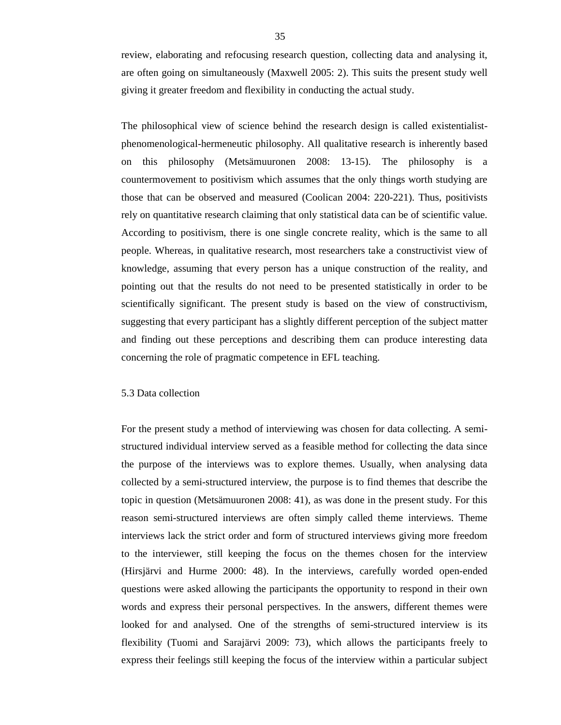review, elaborating and refocusing research question, collecting data and analysing it, are often going on simultaneously (Maxwell 2005: 2). This suits the present study well giving it greater freedom and flexibility in conducting the actual study.

The philosophical view of science behind the research design is called existentialistphenomenological-hermeneutic philosophy. All qualitative research is inherently based on this philosophy (Metsämuuronen 2008: 13-15). The philosophy is a countermovement to positivism which assumes that the only things worth studying are those that can be observed and measured (Coolican 2004: 220-221). Thus, positivists rely on quantitative research claiming that only statistical data can be of scientific value. According to positivism, there is one single concrete reality, which is the same to all people. Whereas, in qualitative research, most researchers take a constructivist view of knowledge, assuming that every person has a unique construction of the reality, and pointing out that the results do not need to be presented statistically in order to be scientifically significant. The present study is based on the view of constructivism, suggesting that every participant has a slightly different perception of the subject matter and finding out these perceptions and describing them can produce interesting data concerning the role of pragmatic competence in EFL teaching.

### 5.3 Data collection

For the present study a method of interviewing was chosen for data collecting. A semistructured individual interview served as a feasible method for collecting the data since the purpose of the interviews was to explore themes. Usually, when analysing data collected by a semi-structured interview, the purpose is to find themes that describe the topic in question (Metsämuuronen 2008: 41), as was done in the present study. For this reason semi-structured interviews are often simply called theme interviews. Theme interviews lack the strict order and form of structured interviews giving more freedom to the interviewer, still keeping the focus on the themes chosen for the interview (Hirsjärvi and Hurme 2000: 48). In the interviews, carefully worded open-ended questions were asked allowing the participants the opportunity to respond in their own words and express their personal perspectives. In the answers, different themes were looked for and analysed. One of the strengths of semi-structured interview is its flexibility (Tuomi and Sarajärvi 2009: 73), which allows the participants freely to express their feelings still keeping the focus of the interview within a particular subject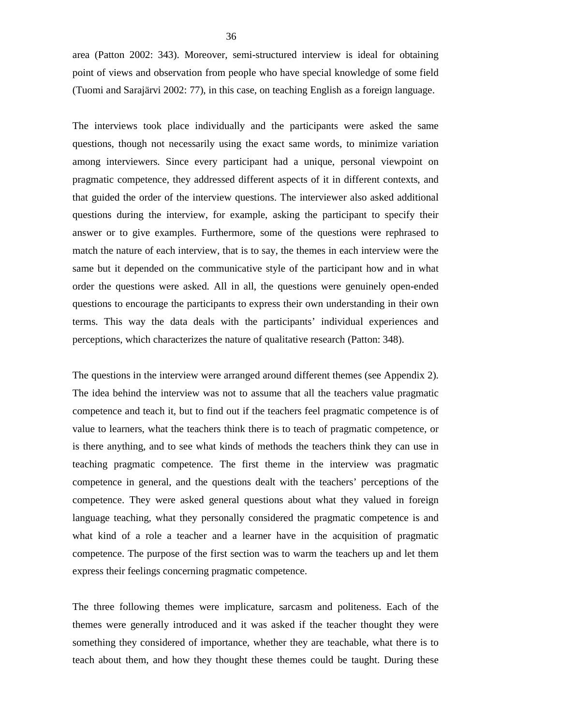area (Patton 2002: 343). Moreover, semi-structured interview is ideal for obtaining point of views and observation from people who have special knowledge of some field (Tuomi and Sarajärvi 2002: 77), in this case, on teaching English as a foreign language.

The interviews took place individually and the participants were asked the same questions, though not necessarily using the exact same words, to minimize variation among interviewers. Since every participant had a unique, personal viewpoint on pragmatic competence, they addressed different aspects of it in different contexts, and that guided the order of the interview questions. The interviewer also asked additional questions during the interview, for example, asking the participant to specify their answer or to give examples. Furthermore, some of the questions were rephrased to match the nature of each interview, that is to say, the themes in each interview were the same but it depended on the communicative style of the participant how and in what order the questions were asked. All in all, the questions were genuinely open-ended questions to encourage the participants to express their own understanding in their own terms. This way the data deals with the participants' individual experiences and perceptions, which characterizes the nature of qualitative research (Patton: 348).

The questions in the interview were arranged around different themes (see Appendix 2). The idea behind the interview was not to assume that all the teachers value pragmatic competence and teach it, but to find out if the teachers feel pragmatic competence is of value to learners, what the teachers think there is to teach of pragmatic competence, or is there anything, and to see what kinds of methods the teachers think they can use in teaching pragmatic competence. The first theme in the interview was pragmatic competence in general, and the questions dealt with the teachers' perceptions of the competence. They were asked general questions about what they valued in foreign language teaching, what they personally considered the pragmatic competence is and what kind of a role a teacher and a learner have in the acquisition of pragmatic competence. The purpose of the first section was to warm the teachers up and let them express their feelings concerning pragmatic competence.

The three following themes were implicature, sarcasm and politeness. Each of the themes were generally introduced and it was asked if the teacher thought they were something they considered of importance, whether they are teachable, what there is to teach about them, and how they thought these themes could be taught. During these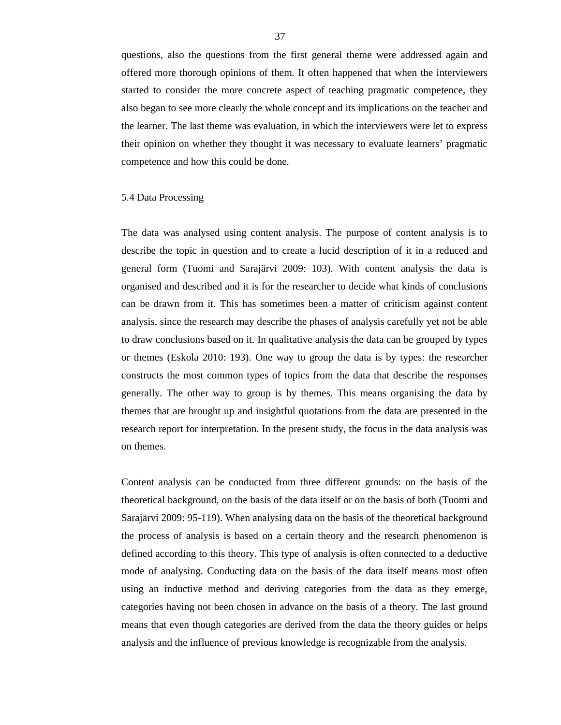questions, also the questions from the first general theme were addressed again and offered more thorough opinions of them. It often happened that when the interviewers started to consider the more concrete aspect of teaching pragmatic competence, they also began to see more clearly the whole concept and its implications on the teacher and the learner. The last theme was evaluation, in which the interviewers were let to express their opinion on whether they thought it was necessary to evaluate learners' pragmatic competence and how this could be done.

### 5.4 Data Processing

The data was analysed using content analysis. The purpose of content analysis is to describe the topic in question and to create a lucid description of it in a reduced and general form (Tuomi and Sarajärvi 2009: 103). With content analysis the data is organised and described and it is for the researcher to decide what kinds of conclusions can be drawn from it. This has sometimes been a matter of criticism against content analysis, since the research may describe the phases of analysis carefully yet not be able to draw conclusions based on it. In qualitative analysis the data can be grouped by types or themes (Eskola 2010: 193). One way to group the data is by types: the researcher constructs the most common types of topics from the data that describe the responses generally. The other way to group is by themes. This means organising the data by themes that are brought up and insightful quotations from the data are presented in the research report for interpretation. In the present study, the focus in the data analysis was on themes.

Content analysis can be conducted from three different grounds: on the basis of the theoretical background, on the basis of the data itself or on the basis of both (Tuomi and Sarajärvi 2009: 95-119). When analysing data on the basis of the theoretical background the process of analysis is based on a certain theory and the research phenomenon is defined according to this theory. This type of analysis is often connected to a deductive mode of analysing. Conducting data on the basis of the data itself means most often using an inductive method and deriving categories from the data as they emerge, categories having not been chosen in advance on the basis of a theory. The last ground means that even though categories are derived from the data the theory guides or helps analysis and the influence of previous knowledge is recognizable from the analysis.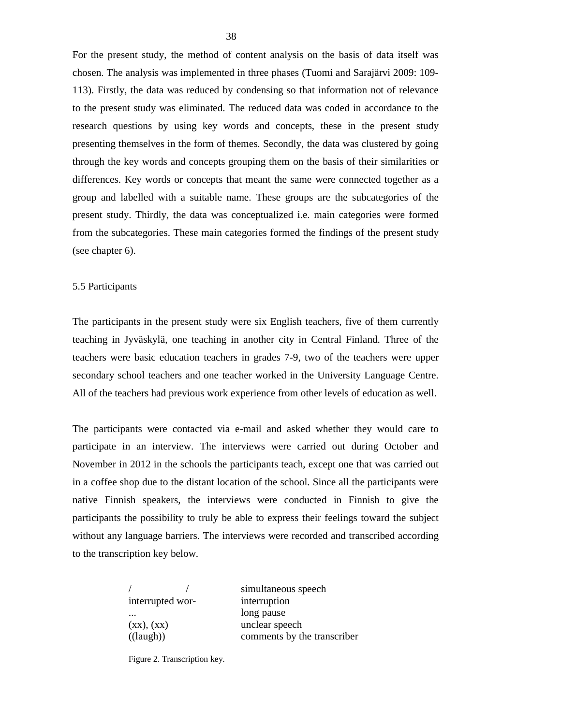For the present study, the method of content analysis on the basis of data itself was chosen. The analysis was implemented in three phases (Tuomi and Sarajärvi 2009: 109- 113). Firstly, the data was reduced by condensing so that information not of relevance to the present study was eliminated. The reduced data was coded in accordance to the research questions by using key words and concepts, these in the present study presenting themselves in the form of themes. Secondly, the data was clustered by going through the key words and concepts grouping them on the basis of their similarities or differences. Key words or concepts that meant the same were connected together as a group and labelled with a suitable name. These groups are the subcategories of the present study. Thirdly, the data was conceptualized i.e. main categories were formed from the subcategories. These main categories formed the findings of the present study (see chapter 6).

#### 5.5 Participants

The participants in the present study were six English teachers, five of them currently teaching in Jyväskylä, one teaching in another city in Central Finland. Three of the teachers were basic education teachers in grades 7-9, two of the teachers were upper secondary school teachers and one teacher worked in the University Language Centre. All of the teachers had previous work experience from other levels of education as well.

The participants were contacted via e-mail and asked whether they would care to participate in an interview. The interviews were carried out during October and November in 2012 in the schools the participants teach, except one that was carried out in a coffee shop due to the distant location of the school. Since all the participants were native Finnish speakers, the interviews were conducted in Finnish to give the participants the possibility to truly be able to express their feelings toward the subject without any language barriers. The interviews were recorded and transcribed according to the transcription key below.

|                    | simultaneous speech         |
|--------------------|-----------------------------|
| interrupted wor-   | interruption                |
| $\cdots$           | long pause                  |
| (xx), (XX)         | unclear speech              |
| $((\text{laugh}))$ | comments by the transcriber |
|                    |                             |

Figure 2. Transcription key.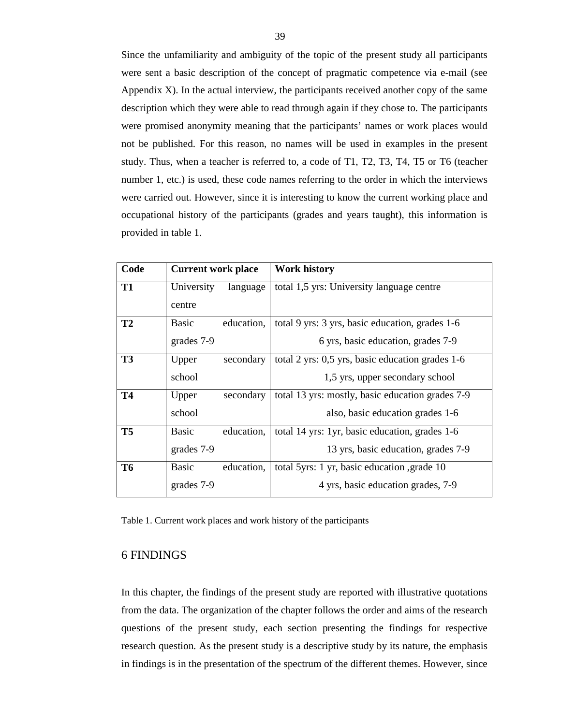Since the unfamiliarity and ambiguity of the topic of the present study all participants were sent a basic description of the concept of pragmatic competence via e-mail (see Appendix X). In the actual interview, the participants received another copy of the same description which they were able to read through again if they chose to. The participants were promised anonymity meaning that the participants' names or work places would not be published. For this reason, no names will be used in examples in the present study. Thus, when a teacher is referred to, a code of T1, T2, T3, T4, T5 or T6 (teacher number 1, etc.) is used, these code names referring to the order in which the interviews were carried out. However, since it is interesting to know the current working place and occupational history of the participants (grades and years taught), this information is provided in table 1.

| Code      | <b>Current work place</b> |            | <b>Work history</b>                              |
|-----------|---------------------------|------------|--------------------------------------------------|
| <b>T1</b> | University                | language   | total 1,5 yrs: University language centre        |
|           | centre                    |            |                                                  |
| <b>T2</b> | <b>Basic</b>              | education, | total 9 yrs: 3 yrs, basic education, grades 1-6  |
|           | grades 7-9                |            | 6 yrs, basic education, grades 7-9               |
| <b>T3</b> | Upper                     | secondary  | total 2 yrs: 0,5 yrs, basic education grades 1-6 |
|           | school                    |            | 1,5 yrs, upper secondary school                  |
| <b>T4</b> | Upper                     | secondary  | total 13 yrs: mostly, basic education grades 7-9 |
|           | school                    |            | also, basic education grades 1-6                 |
| <b>T5</b> | <b>Basic</b>              | education, | total 14 yrs: 1yr, basic education, grades 1-6   |
|           | grades 7-9                |            | 13 yrs, basic education, grades 7-9              |
| <b>T6</b> | <b>Basic</b>              | education, | total 5yrs: 1 yr, basic education , grade 10     |
|           | grades 7-9                |            | 4 yrs, basic education grades, 7-9               |

Table 1. Current work places and work history of the participants

# 6 FINDINGS

In this chapter, the findings of the present study are reported with illustrative quotations from the data. The organization of the chapter follows the order and aims of the research questions of the present study, each section presenting the findings for respective research question. As the present study is a descriptive study by its nature, the emphasis in findings is in the presentation of the spectrum of the different themes. However, since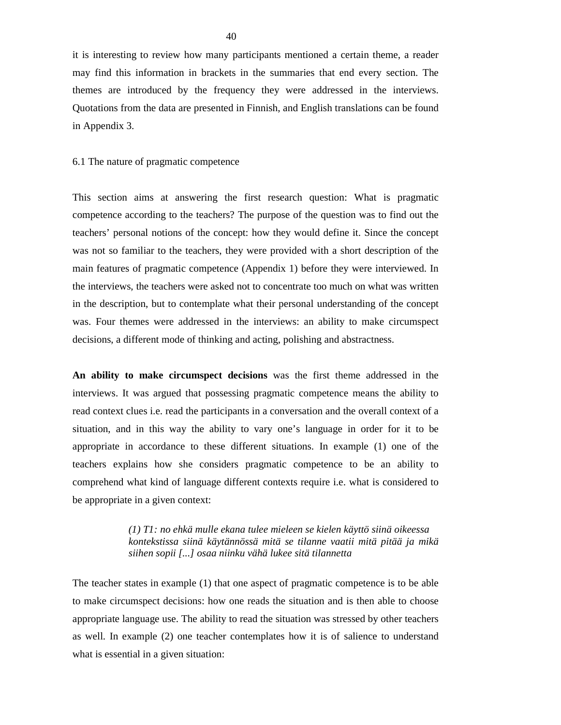it is interesting to review how many participants mentioned a certain theme, a reader may find this information in brackets in the summaries that end every section. The themes are introduced by the frequency they were addressed in the interviews. Quotations from the data are presented in Finnish, and English translations can be found in Appendix 3.

#### 6.1 The nature of pragmatic competence

This section aims at answering the first research question: What is pragmatic competence according to the teachers? The purpose of the question was to find out the teachers' personal notions of the concept: how they would define it. Since the concept was not so familiar to the teachers, they were provided with a short description of the main features of pragmatic competence (Appendix 1) before they were interviewed. In the interviews, the teachers were asked not to concentrate too much on what was written in the description, but to contemplate what their personal understanding of the concept was. Four themes were addressed in the interviews: an ability to make circumspect decisions, a different mode of thinking and acting, polishing and abstractness.

**An ability to make circumspect decisions** was the first theme addressed in the interviews. It was argued that possessing pragmatic competence means the ability to read context clues i.e. read the participants in a conversation and the overall context of a situation, and in this way the ability to vary one's language in order for it to be appropriate in accordance to these different situations. In example (1) one of the teachers explains how she considers pragmatic competence to be an ability to comprehend what kind of language different contexts require i.e. what is considered to be appropriate in a given context:

> *(1) T1: no ehkä mulle ekana tulee mieleen se kielen käyttö siinä oikeessa kontekstissa siinä käytännössä mitä se tilanne vaatii mitä pitää ja mikä siihen sopii [...] osaa niinku vähä lukee sitä tilannetta*

The teacher states in example (1) that one aspect of pragmatic competence is to be able to make circumspect decisions: how one reads the situation and is then able to choose appropriate language use. The ability to read the situation was stressed by other teachers as well. In example (2) one teacher contemplates how it is of salience to understand what is essential in a given situation: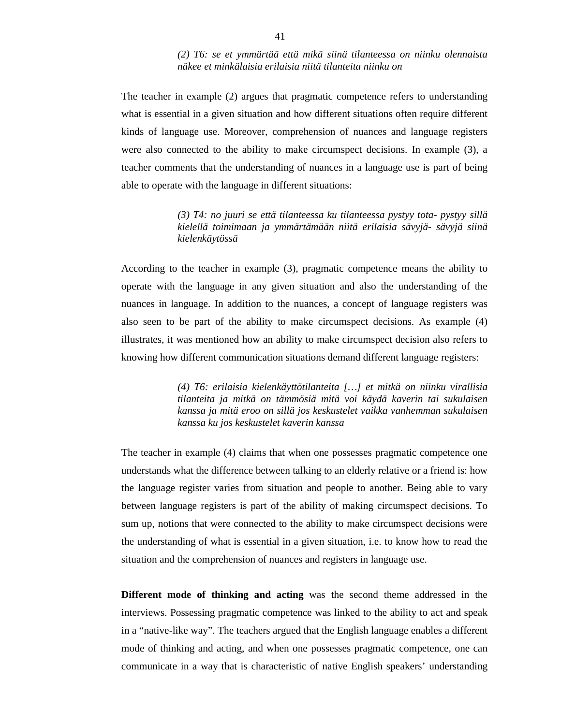## *(2) T6: se et ymmärtää että mikä siinä tilanteessa on niinku olennaista näkee et minkälaisia erilaisia niitä tilanteita niinku on*

The teacher in example (2) argues that pragmatic competence refers to understanding what is essential in a given situation and how different situations often require different kinds of language use. Moreover, comprehension of nuances and language registers were also connected to the ability to make circumspect decisions. In example (3), a teacher comments that the understanding of nuances in a language use is part of being able to operate with the language in different situations:

> *(3) T4: no juuri se että tilanteessa ku tilanteessa pystyy tota- pystyy sillä kielellä toimimaan ja ymmärtämään niitä erilaisia sävyjä- sävyjä siinä kielenkäytössä*

According to the teacher in example (3), pragmatic competence means the ability to operate with the language in any given situation and also the understanding of the nuances in language. In addition to the nuances, a concept of language registers was also seen to be part of the ability to make circumspect decisions. As example (4) illustrates, it was mentioned how an ability to make circumspect decision also refers to knowing how different communication situations demand different language registers:

> *(4) T6: erilaisia kielenkäyttötilanteita […] et mitkä on niinku virallisia tilanteita ja mitkä on tämmösiä mitä voi käydä kaverin tai sukulaisen kanssa ja mitä eroo on sillä jos keskustelet vaikka vanhemman sukulaisen kanssa ku jos keskustelet kaverin kanssa*

The teacher in example (4) claims that when one possesses pragmatic competence one understands what the difference between talking to an elderly relative or a friend is: how the language register varies from situation and people to another. Being able to vary between language registers is part of the ability of making circumspect decisions. To sum up, notions that were connected to the ability to make circumspect decisions were the understanding of what is essential in a given situation, i.e. to know how to read the situation and the comprehension of nuances and registers in language use.

**Different mode of thinking and acting** was the second theme addressed in the interviews. Possessing pragmatic competence was linked to the ability to act and speak in a "native-like way". The teachers argued that the English language enables a different mode of thinking and acting, and when one possesses pragmatic competence, one can communicate in a way that is characteristic of native English speakers' understanding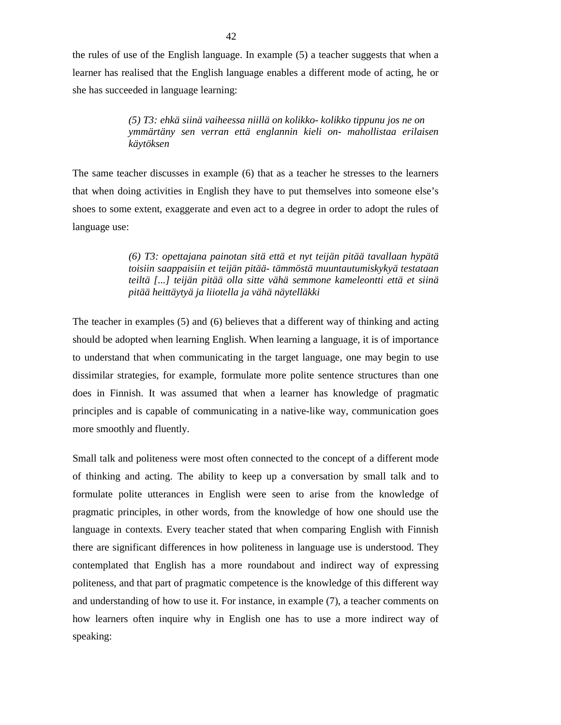the rules of use of the English language. In example (5) a teacher suggests that when a learner has realised that the English language enables a different mode of acting, he or she has succeeded in language learning:

> *(5) T3: ehkä siinä vaiheessa niillä on kolikko- kolikko tippunu jos ne on ymmärtäny sen verran että englannin kieli on- mahollistaa erilaisen käytöksen*

The same teacher discusses in example (6) that as a teacher he stresses to the learners that when doing activities in English they have to put themselves into someone else's shoes to some extent, exaggerate and even act to a degree in order to adopt the rules of language use:

> *(6) T3: opettajana painotan sitä että et nyt teijän pitää tavallaan hypätä toisiin saappaisiin et teijän pitää- tämmöstä muuntautumiskykyä testataan teiltä [...] teijän pitää olla sitte vähä semmone kameleontti että et siinä pitää heittäytyä ja liiotella ja vähä näytelläkki*

The teacher in examples (5) and (6) believes that a different way of thinking and acting should be adopted when learning English. When learning a language, it is of importance to understand that when communicating in the target language, one may begin to use dissimilar strategies, for example, formulate more polite sentence structures than one does in Finnish. It was assumed that when a learner has knowledge of pragmatic principles and is capable of communicating in a native-like way, communication goes more smoothly and fluently.

Small talk and politeness were most often connected to the concept of a different mode of thinking and acting. The ability to keep up a conversation by small talk and to formulate polite utterances in English were seen to arise from the knowledge of pragmatic principles, in other words, from the knowledge of how one should use the language in contexts. Every teacher stated that when comparing English with Finnish there are significant differences in how politeness in language use is understood. They contemplated that English has a more roundabout and indirect way of expressing politeness, and that part of pragmatic competence is the knowledge of this different way and understanding of how to use it. For instance, in example (7), a teacher comments on how learners often inquire why in English one has to use a more indirect way of speaking: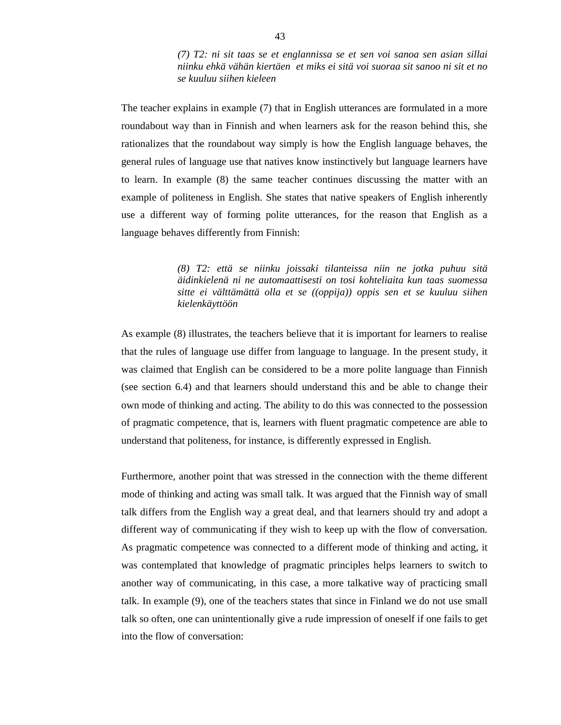*(7) T2: ni sit taas se et englannissa se et sen voi sanoa sen asian sillai niinku ehkä vähän kiertäen et miks ei sitä voi suoraa sit sanoo ni sit et no se kuuluu siihen kieleen* 

The teacher explains in example (7) that in English utterances are formulated in a more roundabout way than in Finnish and when learners ask for the reason behind this, she rationalizes that the roundabout way simply is how the English language behaves, the general rules of language use that natives know instinctively but language learners have to learn. In example (8) the same teacher continues discussing the matter with an example of politeness in English. She states that native speakers of English inherently use a different way of forming polite utterances, for the reason that English as a language behaves differently from Finnish:

> *(8) T2: että se niinku joissaki tilanteissa niin ne jotka puhuu sitä äidinkielenä ni ne automaattisesti on tosi kohteliaita kun taas suomessa sitte ei välttämättä olla et se ((oppija)) oppis sen et se kuuluu siihen kielenkäyttöön*

As example (8) illustrates, the teachers believe that it is important for learners to realise that the rules of language use differ from language to language. In the present study, it was claimed that English can be considered to be a more polite language than Finnish (see section 6.4) and that learners should understand this and be able to change their own mode of thinking and acting. The ability to do this was connected to the possession of pragmatic competence, that is, learners with fluent pragmatic competence are able to understand that politeness, for instance, is differently expressed in English.

Furthermore, another point that was stressed in the connection with the theme different mode of thinking and acting was small talk. It was argued that the Finnish way of small talk differs from the English way a great deal, and that learners should try and adopt a different way of communicating if they wish to keep up with the flow of conversation. As pragmatic competence was connected to a different mode of thinking and acting, it was contemplated that knowledge of pragmatic principles helps learners to switch to another way of communicating, in this case, a more talkative way of practicing small talk. In example (9), one of the teachers states that since in Finland we do not use small talk so often, one can unintentionally give a rude impression of oneself if one fails to get into the flow of conversation: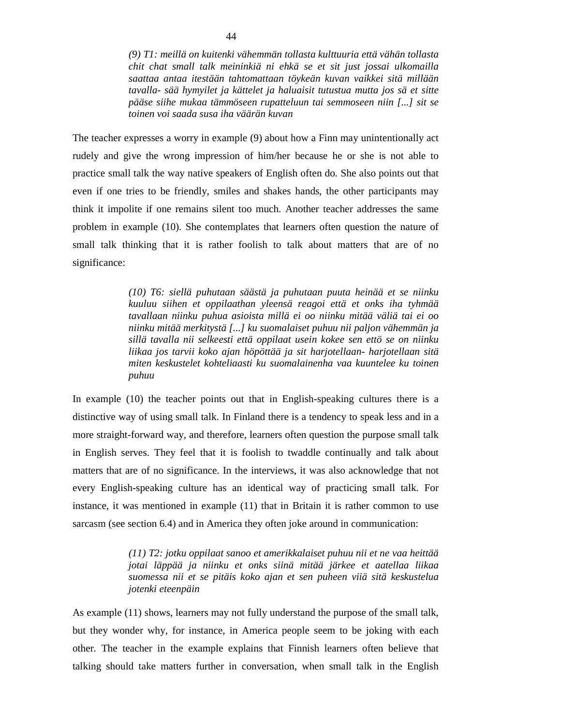*(9) T1: meillä on kuitenki vähemmän tollasta kulttuuria että vähän tollasta chit chat small talk meininkiä ni ehkä se et sit just jossai ulkomailla saattaa antaa itestään tahtomattaan töykeän kuvan vaikkei sitä millään tavalla- sää hymyilet ja kättelet ja haluaisit tutustua mutta jos sä et sitte pääse siihe mukaa tämmöseen rupatteluun tai semmoseen niin [...] sit se toinen voi saada susa iha väärän kuvan* 

The teacher expresses a worry in example (9) about how a Finn may unintentionally act rudely and give the wrong impression of him/her because he or she is not able to practice small talk the way native speakers of English often do. She also points out that even if one tries to be friendly, smiles and shakes hands, the other participants may think it impolite if one remains silent too much. Another teacher addresses the same problem in example (10). She contemplates that learners often question the nature of small talk thinking that it is rather foolish to talk about matters that are of no significance:

> *(10) T6: siellä puhutaan säästä ja puhutaan puuta heinää et se niinku kuuluu siihen et oppilaathan yleensä reagoi että et onks iha tyhmää tavallaan niinku puhua asioista millä ei oo niinku mitää väliä tai ei oo niinku mitää merkitystä [...] ku suomalaiset puhuu nii paljon vähemmän ja sillä tavalla nii selkeesti että oppilaat usein kokee sen ettö se on niinku liikaa jos tarvii koko ajan höpöttää ja sit harjotellaan- harjotellaan sitä miten keskustelet kohteliaasti ku suomalainenha vaa kuuntelee ku toinen puhuu*

In example (10) the teacher points out that in English-speaking cultures there is a distinctive way of using small talk. In Finland there is a tendency to speak less and in a more straight-forward way, and therefore, learners often question the purpose small talk in English serves. They feel that it is foolish to twaddle continually and talk about matters that are of no significance. In the interviews, it was also acknowledge that not every English-speaking culture has an identical way of practicing small talk. For instance, it was mentioned in example (11) that in Britain it is rather common to use sarcasm (see section 6.4) and in America they often joke around in communication:

> *(11) T2: jotku oppilaat sanoo et amerikkalaiset puhuu nii et ne vaa heittää jotai läppää ja niinku et onks siinä mitää järkee et aatellaa liikaa suomessa nii et se pitäis koko ajan et sen puheen viiä sitä keskustelua jotenki eteenpäin*

As example (11) shows, learners may not fully understand the purpose of the small talk, but they wonder why, for instance, in America people seem to be joking with each other. The teacher in the example explains that Finnish learners often believe that talking should take matters further in conversation, when small talk in the English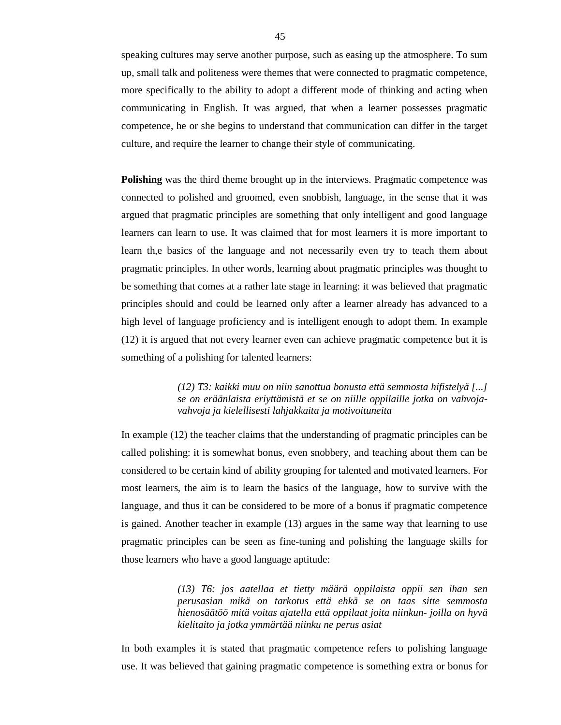speaking cultures may serve another purpose, such as easing up the atmosphere. To sum up, small talk and politeness were themes that were connected to pragmatic competence, more specifically to the ability to adopt a different mode of thinking and acting when communicating in English. It was argued, that when a learner possesses pragmatic competence, he or she begins to understand that communication can differ in the target culture, and require the learner to change their style of communicating.

**Polishing** was the third theme brought up in the interviews. Pragmatic competence was connected to polished and groomed, even snobbish, language, in the sense that it was argued that pragmatic principles are something that only intelligent and good language learners can learn to use. It was claimed that for most learners it is more important to learn th,e basics of the language and not necessarily even try to teach them about pragmatic principles. In other words, learning about pragmatic principles was thought to be something that comes at a rather late stage in learning: it was believed that pragmatic principles should and could be learned only after a learner already has advanced to a high level of language proficiency and is intelligent enough to adopt them. In example (12) it is argued that not every learner even can achieve pragmatic competence but it is something of a polishing for talented learners:

> *(12) T3: kaikki muu on niin sanottua bonusta että semmosta hifistelyä [...] se on eräänlaista eriyttämistä et se on niille oppilaille jotka on vahvojavahvoja ja kielellisesti lahjakkaita ja motivoituneita*

In example (12) the teacher claims that the understanding of pragmatic principles can be called polishing: it is somewhat bonus, even snobbery, and teaching about them can be considered to be certain kind of ability grouping for talented and motivated learners. For most learners, the aim is to learn the basics of the language, how to survive with the language, and thus it can be considered to be more of a bonus if pragmatic competence is gained. Another teacher in example (13) argues in the same way that learning to use pragmatic principles can be seen as fine-tuning and polishing the language skills for those learners who have a good language aptitude:

> *(13) T6: jos aatellaa et tietty määrä oppilaista oppii sen ihan sen perusasian mikä on tarkotus että ehkä se on taas sitte semmosta hienosäätöö mitä voitas ajatella että oppilaat joita niinkun- joilla on hyvä kielitaito ja jotka ymmärtää niinku ne perus asiat*

In both examples it is stated that pragmatic competence refers to polishing language use. It was believed that gaining pragmatic competence is something extra or bonus for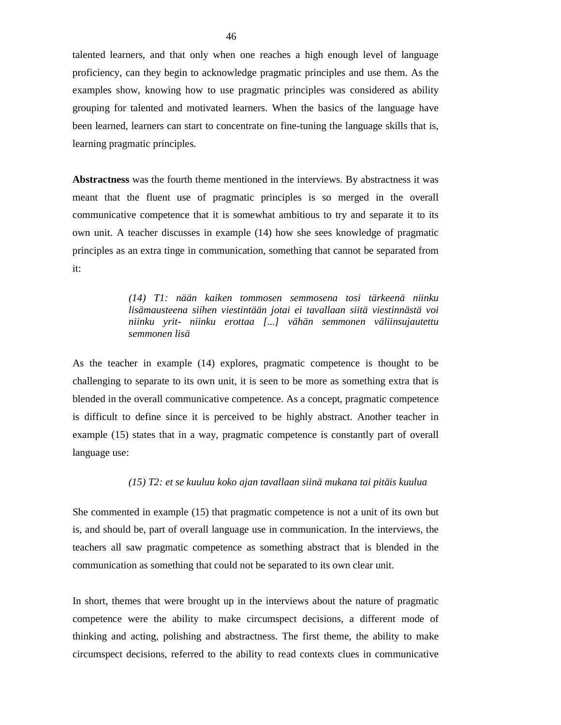talented learners, and that only when one reaches a high enough level of language proficiency, can they begin to acknowledge pragmatic principles and use them. As the examples show, knowing how to use pragmatic principles was considered as ability grouping for talented and motivated learners. When the basics of the language have been learned, learners can start to concentrate on fine-tuning the language skills that is, learning pragmatic principles.

**Abstractness** was the fourth theme mentioned in the interviews. By abstractness it was meant that the fluent use of pragmatic principles is so merged in the overall communicative competence that it is somewhat ambitious to try and separate it to its own unit. A teacher discusses in example (14) how she sees knowledge of pragmatic principles as an extra tinge in communication, something that cannot be separated from it:

> *(14) T1: nään kaiken tommosen semmosena tosi tärkeenä niinku lisämausteena siihen viestintään jotai ei tavallaan siitä viestinnästä voi niinku yrit- niinku erottaa [...] vähän semmonen väliinsujautettu semmonen lisä*

As the teacher in example (14) explores, pragmatic competence is thought to be challenging to separate to its own unit, it is seen to be more as something extra that is blended in the overall communicative competence. As a concept, pragmatic competence is difficult to define since it is perceived to be highly abstract. Another teacher in example (15) states that in a way, pragmatic competence is constantly part of overall language use:

### *(15) T2: et se kuuluu koko ajan tavallaan siinä mukana tai pitäis kuulua*

She commented in example (15) that pragmatic competence is not a unit of its own but is, and should be, part of overall language use in communication. In the interviews, the teachers all saw pragmatic competence as something abstract that is blended in the communication as something that could not be separated to its own clear unit.

In short, themes that were brought up in the interviews about the nature of pragmatic competence were the ability to make circumspect decisions, a different mode of thinking and acting, polishing and abstractness. The first theme, the ability to make circumspect decisions, referred to the ability to read contexts clues in communicative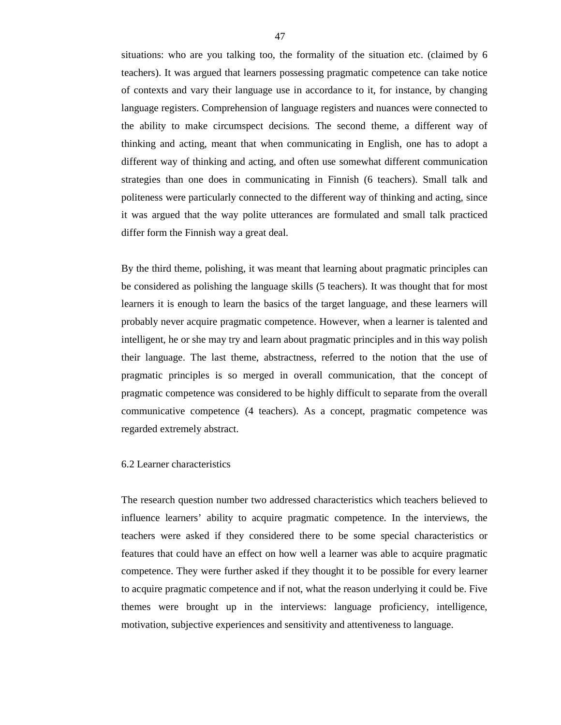situations: who are you talking too, the formality of the situation etc. (claimed by 6 teachers). It was argued that learners possessing pragmatic competence can take notice of contexts and vary their language use in accordance to it, for instance, by changing language registers. Comprehension of language registers and nuances were connected to the ability to make circumspect decisions. The second theme, a different way of thinking and acting, meant that when communicating in English, one has to adopt a different way of thinking and acting, and often use somewhat different communication strategies than one does in communicating in Finnish (6 teachers). Small talk and politeness were particularly connected to the different way of thinking and acting, since it was argued that the way polite utterances are formulated and small talk practiced differ form the Finnish way a great deal.

By the third theme, polishing, it was meant that learning about pragmatic principles can be considered as polishing the language skills (5 teachers). It was thought that for most learners it is enough to learn the basics of the target language, and these learners will probably never acquire pragmatic competence. However, when a learner is talented and intelligent, he or she may try and learn about pragmatic principles and in this way polish their language. The last theme, abstractness, referred to the notion that the use of pragmatic principles is so merged in overall communication, that the concept of pragmatic competence was considered to be highly difficult to separate from the overall communicative competence (4 teachers). As a concept, pragmatic competence was regarded extremely abstract.

### 6.2 Learner characteristics

The research question number two addressed characteristics which teachers believed to influence learners' ability to acquire pragmatic competence. In the interviews, the teachers were asked if they considered there to be some special characteristics or features that could have an effect on how well a learner was able to acquire pragmatic competence. They were further asked if they thought it to be possible for every learner to acquire pragmatic competence and if not, what the reason underlying it could be. Five themes were brought up in the interviews: language proficiency, intelligence, motivation, subjective experiences and sensitivity and attentiveness to language.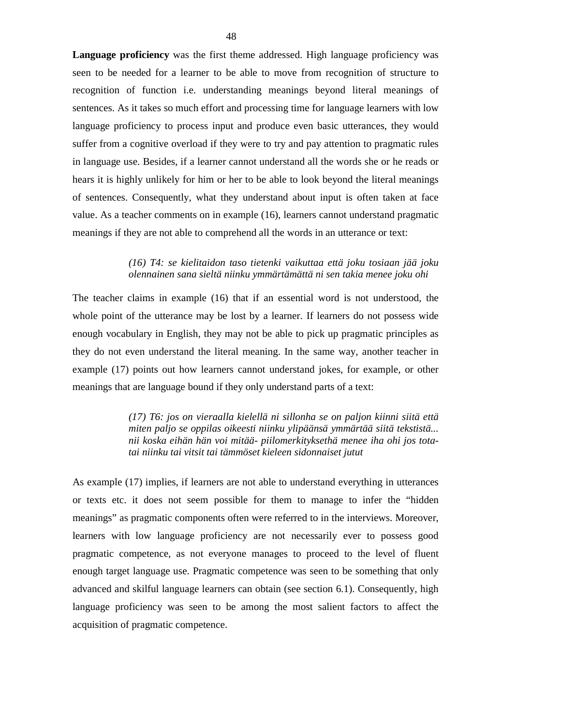**Language proficiency** was the first theme addressed. High language proficiency was seen to be needed for a learner to be able to move from recognition of structure to recognition of function i.e. understanding meanings beyond literal meanings of sentences. As it takes so much effort and processing time for language learners with low language proficiency to process input and produce even basic utterances, they would suffer from a cognitive overload if they were to try and pay attention to pragmatic rules in language use. Besides, if a learner cannot understand all the words she or he reads or hears it is highly unlikely for him or her to be able to look beyond the literal meanings of sentences. Consequently, what they understand about input is often taken at face value. As a teacher comments on in example (16), learners cannot understand pragmatic meanings if they are not able to comprehend all the words in an utterance or text:

## *(16) T4: se kielitaidon taso tietenki vaikuttaa että joku tosiaan jää joku olennainen sana sieltä niinku ymmärtämättä ni sen takia menee joku ohi*

The teacher claims in example (16) that if an essential word is not understood, the whole point of the utterance may be lost by a learner. If learners do not possess wide enough vocabulary in English, they may not be able to pick up pragmatic principles as they do not even understand the literal meaning. In the same way, another teacher in example (17) points out how learners cannot understand jokes, for example, or other meanings that are language bound if they only understand parts of a text:

> *(17) T6: jos on vieraalla kielellä ni sillonha se on paljon kiinni siitä että miten paljo se oppilas oikeesti niinku ylipäänsä ymmärtää siitä tekstistä... nii koska eihän hän voi mitää- piilomerkityksethä menee iha ohi jos totatai niinku tai vitsit tai tämmöset kieleen sidonnaiset jutut*

As example (17) implies, if learners are not able to understand everything in utterances or texts etc. it does not seem possible for them to manage to infer the "hidden meanings" as pragmatic components often were referred to in the interviews. Moreover, learners with low language proficiency are not necessarily ever to possess good pragmatic competence, as not everyone manages to proceed to the level of fluent enough target language use. Pragmatic competence was seen to be something that only advanced and skilful language learners can obtain (see section 6.1). Consequently, high language proficiency was seen to be among the most salient factors to affect the acquisition of pragmatic competence.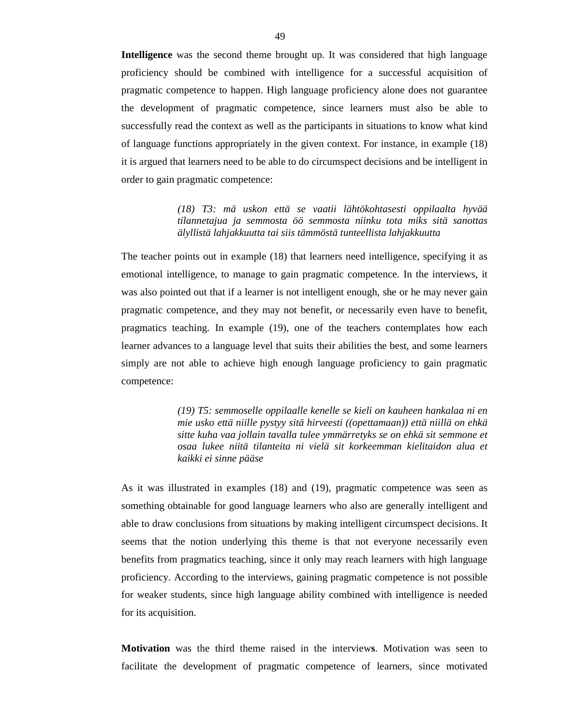**Intelligence** was the second theme brought up. It was considered that high language proficiency should be combined with intelligence for a successful acquisition of pragmatic competence to happen. High language proficiency alone does not guarantee the development of pragmatic competence, since learners must also be able to successfully read the context as well as the participants in situations to know what kind of language functions appropriately in the given context. For instance, in example (18) it is argued that learners need to be able to do circumspect decisions and be intelligent in order to gain pragmatic competence:

> *(18) T3: mä uskon että se vaatii lähtökohtasesti oppilaalta hyvää tilannetajua ja semmosta öö semmosta niinku tota miks sitä sanottas älyllistä lahjakkuutta tai siis tämmöstä tunteellista lahjakkuutta*

The teacher points out in example (18) that learners need intelligence, specifying it as emotional intelligence, to manage to gain pragmatic competence. In the interviews, it was also pointed out that if a learner is not intelligent enough, she or he may never gain pragmatic competence, and they may not benefit, or necessarily even have to benefit, pragmatics teaching. In example (19), one of the teachers contemplates how each learner advances to a language level that suits their abilities the best, and some learners simply are not able to achieve high enough language proficiency to gain pragmatic competence:

> *(19) T5: semmoselle oppilaalle kenelle se kieli on kauheen hankalaa ni en mie usko että niille pystyy sitä hirveesti ((opettamaan)) että niillä on ehkä sitte kuha vaa jollain tavalla tulee ymmärretyks se on ehkä sit semmone et osaa lukee niitä tilanteita ni vielä sit korkeemman kielitaidon alua et kaikki ei sinne pääse*

As it was illustrated in examples (18) and (19), pragmatic competence was seen as something obtainable for good language learners who also are generally intelligent and able to draw conclusions from situations by making intelligent circumspect decisions. It seems that the notion underlying this theme is that not everyone necessarily even benefits from pragmatics teaching, since it only may reach learners with high language proficiency. According to the interviews, gaining pragmatic competence is not possible for weaker students, since high language ability combined with intelligence is needed for its acquisition.

**Motivation** was the third theme raised in the interview**s**. Motivation was seen to facilitate the development of pragmatic competence of learners, since motivated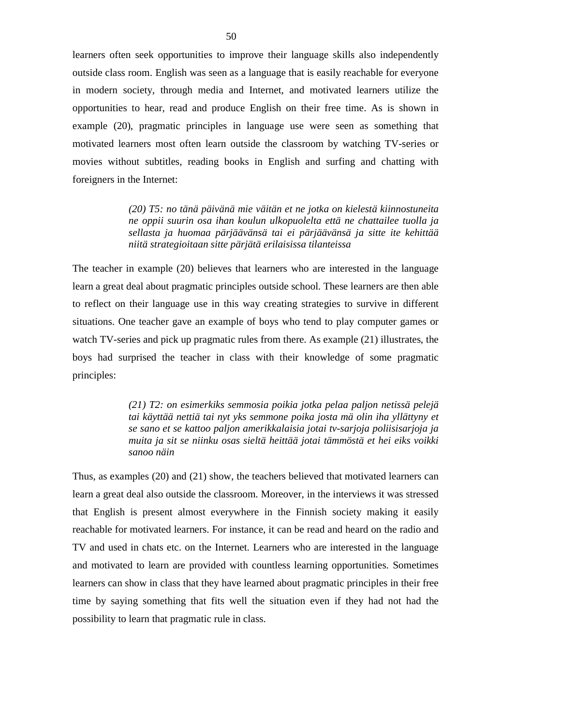learners often seek opportunities to improve their language skills also independently outside class room. English was seen as a language that is easily reachable for everyone in modern society, through media and Internet, and motivated learners utilize the opportunities to hear, read and produce English on their free time. As is shown in example (20), pragmatic principles in language use were seen as something that motivated learners most often learn outside the classroom by watching TV-series or movies without subtitles, reading books in English and surfing and chatting with foreigners in the Internet:

> *(20) T5: no tänä päivänä mie väitän et ne jotka on kielestä kiinnostuneita ne oppii suurin osa ihan koulun ulkopuolelta että ne chattailee tuolla ja sellasta ja huomaa pärjäävänsä tai ei pärjäävänsä ja sitte ite kehittää niitä strategioitaan sitte pärjätä erilaisissa tilanteissa*

The teacher in example (20) believes that learners who are interested in the language learn a great deal about pragmatic principles outside school. These learners are then able to reflect on their language use in this way creating strategies to survive in different situations. One teacher gave an example of boys who tend to play computer games or watch TV-series and pick up pragmatic rules from there. As example (21) illustrates, the boys had surprised the teacher in class with their knowledge of some pragmatic principles:

> *(21) T2: on esimerkiks semmosia poikia jotka pelaa paljon netissä pelejä tai käyttää nettiä tai nyt yks semmone poika josta mä olin iha yllättyny et se sano et se kattoo paljon amerikkalaisia jotai tv-sarjoja poliisisarjoja ja muita ja sit se niinku osas sieltä heittää jotai tämmöstä et hei eiks voikki sanoo näin*

Thus, as examples (20) and (21) show, the teachers believed that motivated learners can learn a great deal also outside the classroom. Moreover, in the interviews it was stressed that English is present almost everywhere in the Finnish society making it easily reachable for motivated learners. For instance, it can be read and heard on the radio and TV and used in chats etc. on the Internet. Learners who are interested in the language and motivated to learn are provided with countless learning opportunities. Sometimes learners can show in class that they have learned about pragmatic principles in their free time by saying something that fits well the situation even if they had not had the possibility to learn that pragmatic rule in class.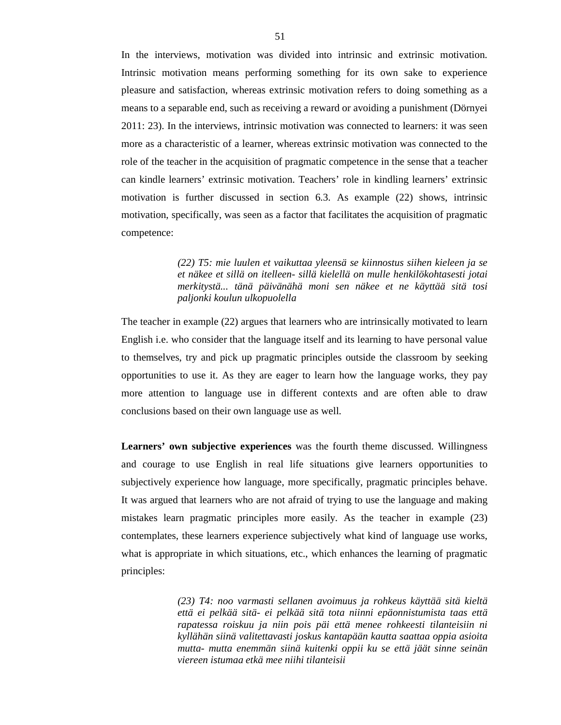In the interviews, motivation was divided into intrinsic and extrinsic motivation. Intrinsic motivation means performing something for its own sake to experience pleasure and satisfaction, whereas extrinsic motivation refers to doing something as a means to a separable end, such as receiving a reward or avoiding a punishment (Dörnyei 2011: 23). In the interviews, intrinsic motivation was connected to learners: it was seen more as a characteristic of a learner, whereas extrinsic motivation was connected to the role of the teacher in the acquisition of pragmatic competence in the sense that a teacher can kindle learners' extrinsic motivation. Teachers' role in kindling learners' extrinsic motivation is further discussed in section 6.3. As example (22) shows, intrinsic motivation, specifically, was seen as a factor that facilitates the acquisition of pragmatic competence:

> *(22) T5: mie luulen et vaikuttaa yleensä se kiinnostus siihen kieleen ja se et näkee et sillä on itelleen- sillä kielellä on mulle henkilökohtasesti jotai merkitystä... tänä päivänähä moni sen näkee et ne käyttää sitä tosi paljonki koulun ulkopuolella*

The teacher in example (22) argues that learners who are intrinsically motivated to learn English i.e. who consider that the language itself and its learning to have personal value to themselves, try and pick up pragmatic principles outside the classroom by seeking opportunities to use it. As they are eager to learn how the language works, they pay more attention to language use in different contexts and are often able to draw conclusions based on their own language use as well.

**Learners' own subjective experiences** was the fourth theme discussed. Willingness and courage to use English in real life situations give learners opportunities to subjectively experience how language, more specifically, pragmatic principles behave. It was argued that learners who are not afraid of trying to use the language and making mistakes learn pragmatic principles more easily. As the teacher in example (23) contemplates, these learners experience subjectively what kind of language use works, what is appropriate in which situations, etc., which enhances the learning of pragmatic principles:

> *(23) T4: noo varmasti sellanen avoimuus ja rohkeus käyttää sitä kieltä että ei pelkää sitä- ei pelkää sitä tota niinni epäonnistumista taas että rapatessa roiskuu ja niin pois päi että menee rohkeesti tilanteisiin ni kyllähän siinä valitettavasti joskus kantapään kautta saattaa oppia asioita mutta- mutta enemmän siinä kuitenki oppii ku se että jäät sinne seinän viereen istumaa etkä mee niihi tilanteisii*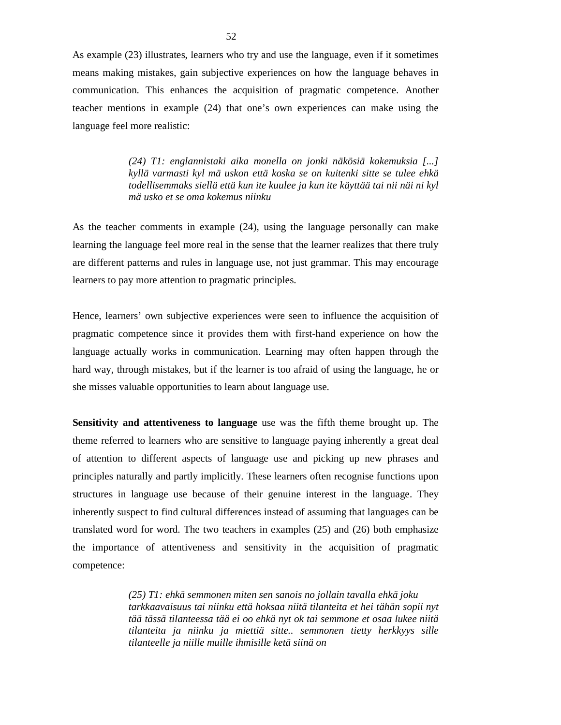As example (23) illustrates, learners who try and use the language, even if it sometimes means making mistakes, gain subjective experiences on how the language behaves in communication. This enhances the acquisition of pragmatic competence. Another teacher mentions in example (24) that one's own experiences can make using the language feel more realistic:

> *(24) T1: englannistaki aika monella on jonki näkösiä kokemuksia [...] kyllä varmasti kyl mä uskon että koska se on kuitenki sitte se tulee ehkä todellisemmaks siellä että kun ite kuulee ja kun ite käyttää tai nii näi ni kyl mä usko et se oma kokemus niinku*

As the teacher comments in example (24), using the language personally can make learning the language feel more real in the sense that the learner realizes that there truly are different patterns and rules in language use, not just grammar. This may encourage learners to pay more attention to pragmatic principles.

Hence, learners' own subjective experiences were seen to influence the acquisition of pragmatic competence since it provides them with first-hand experience on how the language actually works in communication. Learning may often happen through the hard way, through mistakes, but if the learner is too afraid of using the language, he or she misses valuable opportunities to learn about language use.

**Sensitivity and attentiveness to language** use was the fifth theme brought up. The theme referred to learners who are sensitive to language paying inherently a great deal of attention to different aspects of language use and picking up new phrases and principles naturally and partly implicitly. These learners often recognise functions upon structures in language use because of their genuine interest in the language. They inherently suspect to find cultural differences instead of assuming that languages can be translated word for word. The two teachers in examples (25) and (26) both emphasize the importance of attentiveness and sensitivity in the acquisition of pragmatic competence:

> *(25) T1: ehkä semmonen miten sen sanois no jollain tavalla ehkä joku tarkkaavaisuus tai niinku että hoksaa niitä tilanteita et hei tähän sopii nyt tää tässä tilanteessa tää ei oo ehkä nyt ok tai semmone et osaa lukee niitä tilanteita ja niinku ja miettiä sitte.. semmonen tietty herkkyys sille tilanteelle ja niille muille ihmisille ketä siinä on*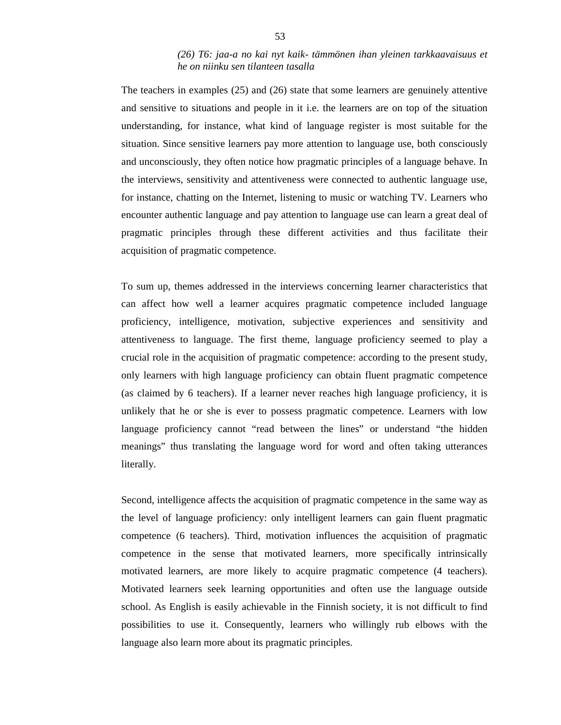# *(26) T6: jaa-a no kai nyt kaik- tämmönen ihan yleinen tarkkaavaisuus et he on niinku sen tilanteen tasalla*

The teachers in examples (25) and (26) state that some learners are genuinely attentive and sensitive to situations and people in it i.e. the learners are on top of the situation understanding, for instance, what kind of language register is most suitable for the situation. Since sensitive learners pay more attention to language use, both consciously and unconsciously, they often notice how pragmatic principles of a language behave. In the interviews, sensitivity and attentiveness were connected to authentic language use, for instance, chatting on the Internet, listening to music or watching TV. Learners who encounter authentic language and pay attention to language use can learn a great deal of pragmatic principles through these different activities and thus facilitate their acquisition of pragmatic competence.

To sum up, themes addressed in the interviews concerning learner characteristics that can affect how well a learner acquires pragmatic competence included language proficiency, intelligence, motivation, subjective experiences and sensitivity and attentiveness to language. The first theme, language proficiency seemed to play a crucial role in the acquisition of pragmatic competence: according to the present study, only learners with high language proficiency can obtain fluent pragmatic competence (as claimed by 6 teachers). If a learner never reaches high language proficiency, it is unlikely that he or she is ever to possess pragmatic competence. Learners with low language proficiency cannot "read between the lines" or understand "the hidden meanings" thus translating the language word for word and often taking utterances literally.

Second, intelligence affects the acquisition of pragmatic competence in the same way as the level of language proficiency: only intelligent learners can gain fluent pragmatic competence (6 teachers). Third, motivation influences the acquisition of pragmatic competence in the sense that motivated learners, more specifically intrinsically motivated learners, are more likely to acquire pragmatic competence (4 teachers). Motivated learners seek learning opportunities and often use the language outside school. As English is easily achievable in the Finnish society, it is not difficult to find possibilities to use it. Consequently, learners who willingly rub elbows with the language also learn more about its pragmatic principles.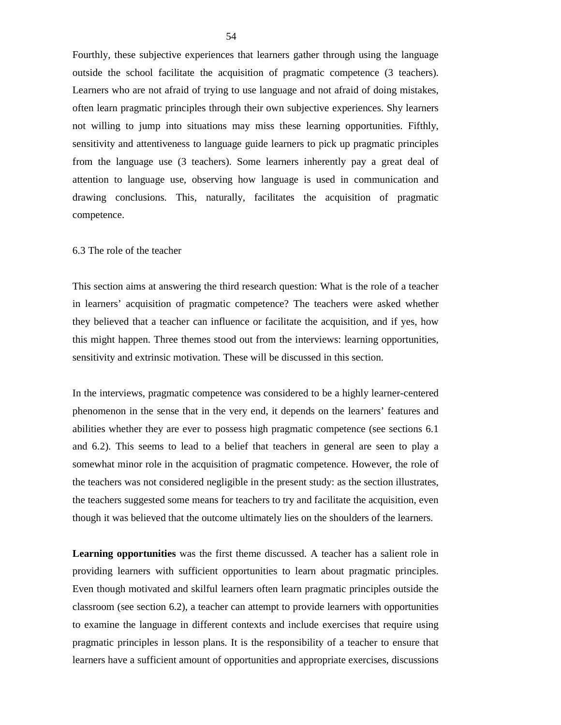Fourthly, these subjective experiences that learners gather through using the language outside the school facilitate the acquisition of pragmatic competence (3 teachers). Learners who are not afraid of trying to use language and not afraid of doing mistakes, often learn pragmatic principles through their own subjective experiences. Shy learners not willing to jump into situations may miss these learning opportunities. Fifthly, sensitivity and attentiveness to language guide learners to pick up pragmatic principles from the language use (3 teachers). Some learners inherently pay a great deal of attention to language use, observing how language is used in communication and drawing conclusions. This, naturally, facilitates the acquisition of pragmatic competence.

### 6.3 The role of the teacher

This section aims at answering the third research question: What is the role of a teacher in learners' acquisition of pragmatic competence? The teachers were asked whether they believed that a teacher can influence or facilitate the acquisition, and if yes, how this might happen. Three themes stood out from the interviews: learning opportunities, sensitivity and extrinsic motivation. These will be discussed in this section.

In the interviews, pragmatic competence was considered to be a highly learner-centered phenomenon in the sense that in the very end, it depends on the learners' features and abilities whether they are ever to possess high pragmatic competence (see sections 6.1 and 6.2). This seems to lead to a belief that teachers in general are seen to play a somewhat minor role in the acquisition of pragmatic competence. However, the role of the teachers was not considered negligible in the present study: as the section illustrates, the teachers suggested some means for teachers to try and facilitate the acquisition, even though it was believed that the outcome ultimately lies on the shoulders of the learners.

**Learning opportunities** was the first theme discussed. A teacher has a salient role in providing learners with sufficient opportunities to learn about pragmatic principles. Even though motivated and skilful learners often learn pragmatic principles outside the classroom (see section 6.2), a teacher can attempt to provide learners with opportunities to examine the language in different contexts and include exercises that require using pragmatic principles in lesson plans. It is the responsibility of a teacher to ensure that learners have a sufficient amount of opportunities and appropriate exercises, discussions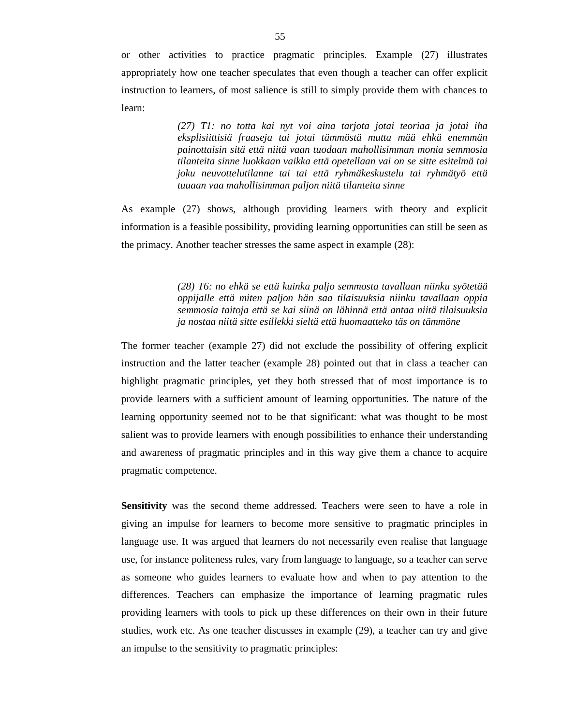or other activities to practice pragmatic principles. Example (27) illustrates appropriately how one teacher speculates that even though a teacher can offer explicit instruction to learners, of most salience is still to simply provide them with chances to learn:

> *(27) T1: no totta kai nyt voi aina tarjota jotai teoriaa ja jotai iha eksplisiittisiä fraaseja tai jotai tämmöstä mutta mää ehkä enemmän painottaisin sitä että niitä vaan tuodaan mahollisimman monia semmosia tilanteita sinne luokkaan vaikka että opetellaan vai on se sitte esitelmä tai joku neuvottelutilanne tai tai että ryhmäkeskustelu tai ryhmätyö että tuuaan vaa mahollisimman paljon niitä tilanteita sinne*

As example (27) shows, although providing learners with theory and explicit information is a feasible possibility, providing learning opportunities can still be seen as the primacy. Another teacher stresses the same aspect in example (28):

> *(28) T6: no ehkä se että kuinka paljo semmosta tavallaan niinku syötetää oppijalle että miten paljon hän saa tilaisuuksia niinku tavallaan oppia semmosia taitoja että se kai siinä on lähinnä että antaa niitä tilaisuuksia ja nostaa niitä sitte esillekki sieltä että huomaatteko täs on tämmöne*

The former teacher (example 27) did not exclude the possibility of offering explicit instruction and the latter teacher (example 28) pointed out that in class a teacher can highlight pragmatic principles, yet they both stressed that of most importance is to provide learners with a sufficient amount of learning opportunities. The nature of the learning opportunity seemed not to be that significant: what was thought to be most salient was to provide learners with enough possibilities to enhance their understanding and awareness of pragmatic principles and in this way give them a chance to acquire pragmatic competence.

**Sensitivity** was the second theme addressed. Teachers were seen to have a role in giving an impulse for learners to become more sensitive to pragmatic principles in language use. It was argued that learners do not necessarily even realise that language use, for instance politeness rules, vary from language to language, so a teacher can serve as someone who guides learners to evaluate how and when to pay attention to the differences. Teachers can emphasize the importance of learning pragmatic rules providing learners with tools to pick up these differences on their own in their future studies, work etc. As one teacher discusses in example (29), a teacher can try and give an impulse to the sensitivity to pragmatic principles: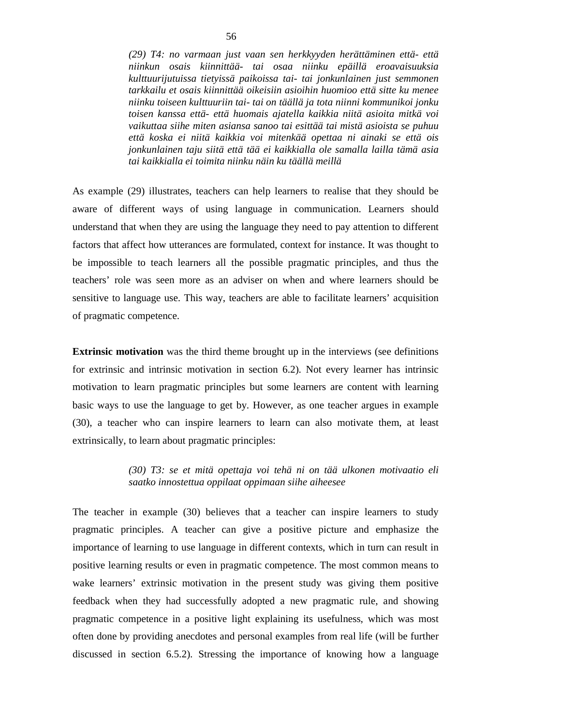*(29) T4: no varmaan just vaan sen herkkyyden herättäminen että- että niinkun osais kiinnittää- tai osaa niinku epäillä eroavaisuuksia kulttuurijutuissa tietyissä paikoissa tai- tai jonkunlainen just semmonen tarkkailu et osais kiinnittää oikeisiin asioihin huomioo että sitte ku menee niinku toiseen kulttuuriin tai- tai on täällä ja tota niinni kommunikoi jonku toisen kanssa että- että huomais ajatella kaikkia niitä asioita mitkä voi vaikuttaa siihe miten asiansa sanoo tai esittää tai mistä asioista se puhuu että koska ei niitä kaikkia voi mitenkää opettaa ni ainaki se että ois jonkunlainen taju siitä että tää ei kaikkialla ole samalla lailla tämä asia tai kaikkialla ei toimita niinku näin ku täällä meillä* 

As example (29) illustrates, teachers can help learners to realise that they should be aware of different ways of using language in communication. Learners should understand that when they are using the language they need to pay attention to different factors that affect how utterances are formulated, context for instance. It was thought to be impossible to teach learners all the possible pragmatic principles, and thus the teachers' role was seen more as an adviser on when and where learners should be sensitive to language use. This way, teachers are able to facilitate learners' acquisition of pragmatic competence.

**Extrinsic motivation** was the third theme brought up in the interviews (see definitions for extrinsic and intrinsic motivation in section 6.2). Not every learner has intrinsic motivation to learn pragmatic principles but some learners are content with learning basic ways to use the language to get by. However, as one teacher argues in example (30), a teacher who can inspire learners to learn can also motivate them, at least extrinsically, to learn about pragmatic principles:

## *(30) T3: se et mitä opettaja voi tehä ni on tää ulkonen motivaatio eli saatko innostettua oppilaat oppimaan siihe aiheesee*

The teacher in example (30) believes that a teacher can inspire learners to study pragmatic principles. A teacher can give a positive picture and emphasize the importance of learning to use language in different contexts, which in turn can result in positive learning results or even in pragmatic competence. The most common means to wake learners' extrinsic motivation in the present study was giving them positive feedback when they had successfully adopted a new pragmatic rule, and showing pragmatic competence in a positive light explaining its usefulness, which was most often done by providing anecdotes and personal examples from real life (will be further discussed in section 6.5.2). Stressing the importance of knowing how a language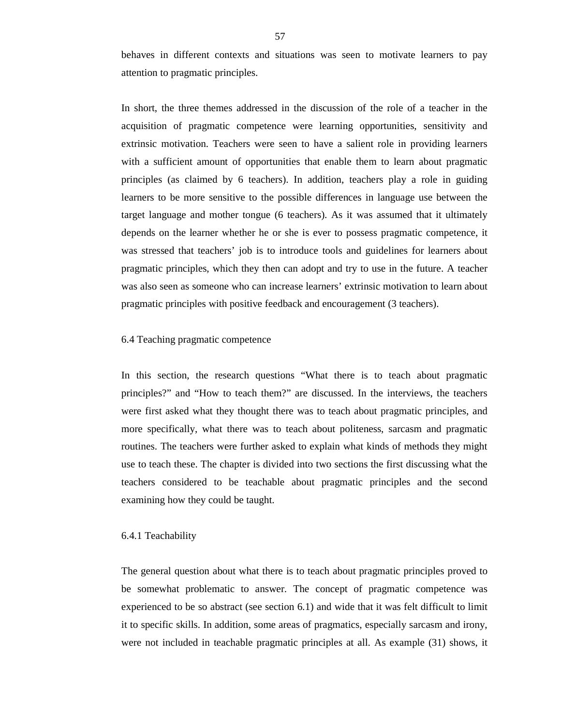behaves in different contexts and situations was seen to motivate learners to pay attention to pragmatic principles.

In short, the three themes addressed in the discussion of the role of a teacher in the acquisition of pragmatic competence were learning opportunities, sensitivity and extrinsic motivation. Teachers were seen to have a salient role in providing learners with a sufficient amount of opportunities that enable them to learn about pragmatic principles (as claimed by 6 teachers). In addition, teachers play a role in guiding learners to be more sensitive to the possible differences in language use between the target language and mother tongue (6 teachers). As it was assumed that it ultimately depends on the learner whether he or she is ever to possess pragmatic competence, it was stressed that teachers' job is to introduce tools and guidelines for learners about pragmatic principles, which they then can adopt and try to use in the future. A teacher was also seen as someone who can increase learners' extrinsic motivation to learn about pragmatic principles with positive feedback and encouragement (3 teachers).

#### 6.4 Teaching pragmatic competence

In this section, the research questions "What there is to teach about pragmatic principles?" and "How to teach them?" are discussed. In the interviews, the teachers were first asked what they thought there was to teach about pragmatic principles, and more specifically, what there was to teach about politeness, sarcasm and pragmatic routines. The teachers were further asked to explain what kinds of methods they might use to teach these. The chapter is divided into two sections the first discussing what the teachers considered to be teachable about pragmatic principles and the second examining how they could be taught.

#### 6.4.1 Teachability

The general question about what there is to teach about pragmatic principles proved to be somewhat problematic to answer. The concept of pragmatic competence was experienced to be so abstract (see section 6.1) and wide that it was felt difficult to limit it to specific skills. In addition, some areas of pragmatics, especially sarcasm and irony, were not included in teachable pragmatic principles at all. As example (31) shows, it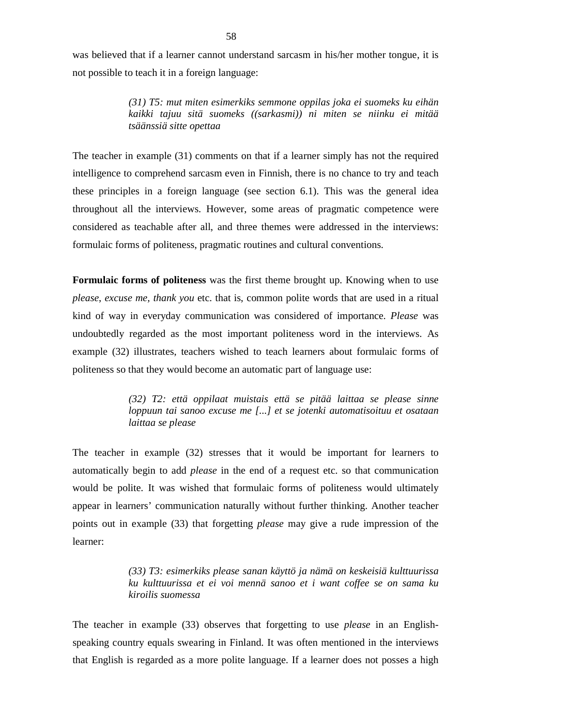was believed that if a learner cannot understand sarcasm in his/her mother tongue, it is not possible to teach it in a foreign language:

> *(31) T5: mut miten esimerkiks semmone oppilas joka ei suomeks ku eihän kaikki tajuu sitä suomeks ((sarkasmi)) ni miten se niinku ei mitää tsäänssiä sitte opettaa*

The teacher in example (31) comments on that if a learner simply has not the required intelligence to comprehend sarcasm even in Finnish, there is no chance to try and teach these principles in a foreign language (see section 6.1). This was the general idea throughout all the interviews. However, some areas of pragmatic competence were considered as teachable after all, and three themes were addressed in the interviews: formulaic forms of politeness, pragmatic routines and cultural conventions.

**Formulaic forms of politeness** was the first theme brought up. Knowing when to use *please*, *excuse me, thank you* etc. that is, common polite words that are used in a ritual kind of way in everyday communication was considered of importance. *Please* was undoubtedly regarded as the most important politeness word in the interviews. As example (32) illustrates, teachers wished to teach learners about formulaic forms of politeness so that they would become an automatic part of language use:

> *(32) T2: että oppilaat muistais että se pitää laittaa se please sinne loppuun tai sanoo excuse me [...] et se jotenki automatisoituu et osataan laittaa se please*

The teacher in example (32) stresses that it would be important for learners to automatically begin to add *please* in the end of a request etc. so that communication would be polite. It was wished that formulaic forms of politeness would ultimately appear in learners' communication naturally without further thinking. Another teacher points out in example (33) that forgetting *please* may give a rude impression of the learner:

> *(33) T3: esimerkiks please sanan käyttö ja nämä on keskeisiä kulttuurissa ku kulttuurissa et ei voi mennä sanoo et i want coffee se on sama ku kiroilis suomessa*

The teacher in example (33) observes that forgetting to use *please* in an Englishspeaking country equals swearing in Finland. It was often mentioned in the interviews that English is regarded as a more polite language. If a learner does not posses a high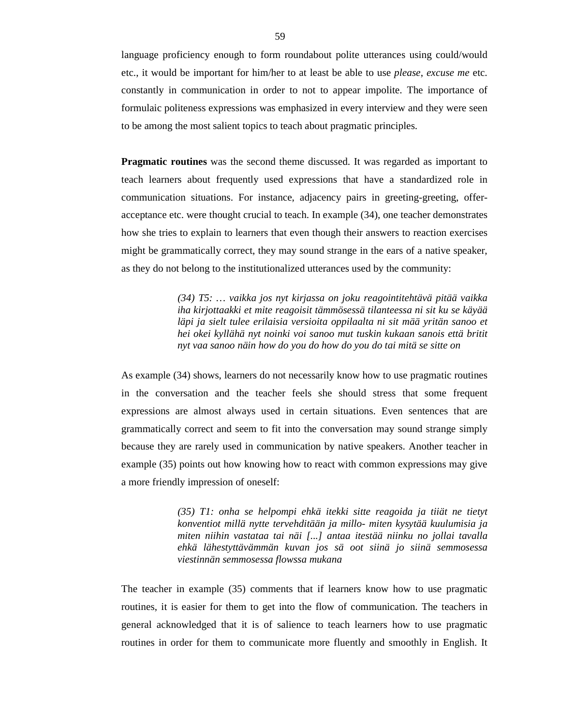language proficiency enough to form roundabout polite utterances using could/would etc., it would be important for him/her to at least be able to use *please*, *excuse me* etc. constantly in communication in order to not to appear impolite. The importance of formulaic politeness expressions was emphasized in every interview and they were seen to be among the most salient topics to teach about pragmatic principles.

**Pragmatic routines** was the second theme discussed. It was regarded as important to teach learners about frequently used expressions that have a standardized role in communication situations. For instance, adjacency pairs in greeting-greeting, offeracceptance etc. were thought crucial to teach. In example (34), one teacher demonstrates how she tries to explain to learners that even though their answers to reaction exercises might be grammatically correct, they may sound strange in the ears of a native speaker, as they do not belong to the institutionalized utterances used by the community:

> *(34) T5: … vaikka jos nyt kirjassa on joku reagointitehtävä pitää vaikka iha kirjottaakki et mite reagoisit tämmösessä tilanteessa ni sit ku se käyää läpi ja sielt tulee erilaisia versioita oppilaalta ni sit mää yritän sanoo et hei okei kyllähä nyt noinki voi sanoo mut tuskin kukaan sanois että britit nyt vaa sanoo näin how do you do how do you do tai mitä se sitte on*

As example (34) shows, learners do not necessarily know how to use pragmatic routines in the conversation and the teacher feels she should stress that some frequent expressions are almost always used in certain situations. Even sentences that are grammatically correct and seem to fit into the conversation may sound strange simply because they are rarely used in communication by native speakers. Another teacher in example (35) points out how knowing how to react with common expressions may give a more friendly impression of oneself:

> *(35) T1: onha se helpompi ehkä itekki sitte reagoida ja tiiät ne tietyt konventiot millä nytte tervehditään ja millo- miten kysytää kuulumisia ja miten niihin vastataa tai näi [...] antaa itestää niinku no jollai tavalla ehkä lähestyttävämmän kuvan jos sä oot siinä jo siinä semmosessa viestinnän semmosessa flowssa mukana*

The teacher in example (35) comments that if learners know how to use pragmatic routines, it is easier for them to get into the flow of communication. The teachers in general acknowledged that it is of salience to teach learners how to use pragmatic routines in order for them to communicate more fluently and smoothly in English. It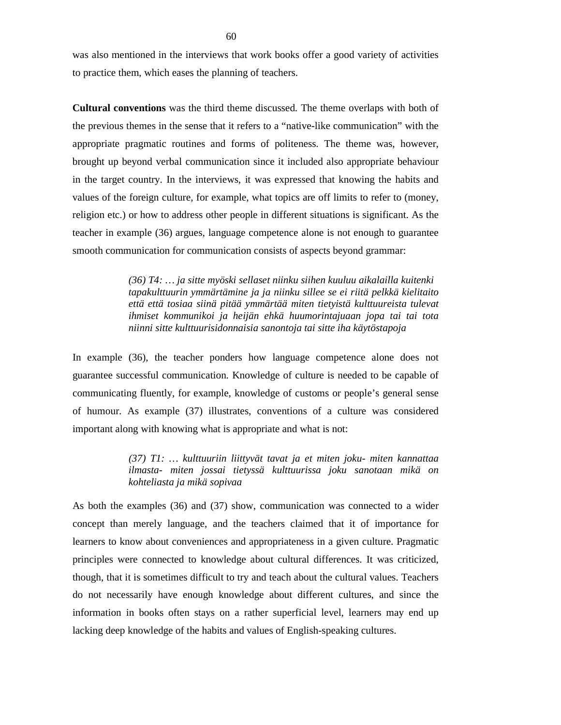was also mentioned in the interviews that work books offer a good variety of activities to practice them, which eases the planning of teachers.

**Cultural conventions** was the third theme discussed. The theme overlaps with both of the previous themes in the sense that it refers to a "native-like communication" with the appropriate pragmatic routines and forms of politeness. The theme was, however, brought up beyond verbal communication since it included also appropriate behaviour in the target country. In the interviews, it was expressed that knowing the habits and values of the foreign culture, for example, what topics are off limits to refer to (money, religion etc.) or how to address other people in different situations is significant. As the teacher in example (36) argues, language competence alone is not enough to guarantee smooth communication for communication consists of aspects beyond grammar:

> *(36) T4: … ja sitte myöski sellaset niinku siihen kuuluu aikalailla kuitenki tapakulttuurin ymmärtämine ja ja niinku sillee se ei riitä pelkkä kielitaito että että tosiaa siinä pitää ymmärtää miten tietyistä kulttuureista tulevat ihmiset kommunikoi ja heijän ehkä huumorintajuaan jopa tai tai tota niinni sitte kulttuurisidonnaisia sanontoja tai sitte iha käytöstapoja*

In example (36), the teacher ponders how language competence alone does not guarantee successful communication. Knowledge of culture is needed to be capable of communicating fluently, for example, knowledge of customs or people's general sense of humour. As example (37) illustrates, conventions of a culture was considered important along with knowing what is appropriate and what is not:

> *(37) T1: … kulttuuriin liittyvät tavat ja et miten joku- miten kannattaa ilmasta- miten jossai tietyssä kulttuurissa joku sanotaan mikä on kohteliasta ja mikä sopivaa*

As both the examples (36) and (37) show, communication was connected to a wider concept than merely language, and the teachers claimed that it of importance for learners to know about conveniences and appropriateness in a given culture. Pragmatic principles were connected to knowledge about cultural differences. It was criticized, though, that it is sometimes difficult to try and teach about the cultural values. Teachers do not necessarily have enough knowledge about different cultures, and since the information in books often stays on a rather superficial level, learners may end up lacking deep knowledge of the habits and values of English-speaking cultures.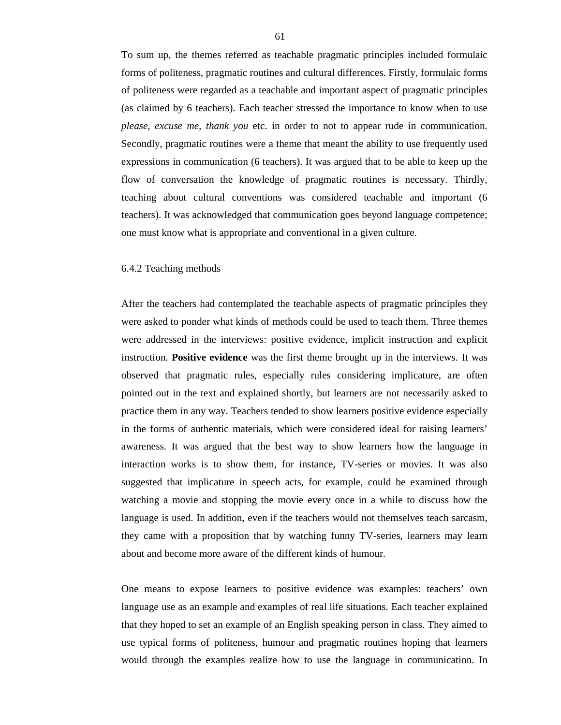To sum up, the themes referred as teachable pragmatic principles included formulaic forms of politeness, pragmatic routines and cultural differences. Firstly, formulaic forms of politeness were regarded as a teachable and important aspect of pragmatic principles (as claimed by 6 teachers). Each teacher stressed the importance to know when to use *please, excuse me, thank you* etc. in order to not to appear rude in communication. Secondly, pragmatic routines were a theme that meant the ability to use frequently used expressions in communication (6 teachers). It was argued that to be able to keep up the flow of conversation the knowledge of pragmatic routines is necessary. Thirdly, teaching about cultural conventions was considered teachable and important (6 teachers). It was acknowledged that communication goes beyond language competence; one must know what is appropriate and conventional in a given culture.

### 6.4.2 Teaching methods

After the teachers had contemplated the teachable aspects of pragmatic principles they were asked to ponder what kinds of methods could be used to teach them. Three themes were addressed in the interviews: positive evidence, implicit instruction and explicit instruction. **Positive evidence** was the first theme brought up in the interviews. It was observed that pragmatic rules, especially rules considering implicature, are often pointed out in the text and explained shortly, but learners are not necessarily asked to practice them in any way. Teachers tended to show learners positive evidence especially in the forms of authentic materials, which were considered ideal for raising learners' awareness. It was argued that the best way to show learners how the language in interaction works is to show them, for instance, TV-series or movies. It was also suggested that implicature in speech acts, for example, could be examined through watching a movie and stopping the movie every once in a while to discuss how the language is used. In addition, even if the teachers would not themselves teach sarcasm, they came with a proposition that by watching funny TV-series, learners may learn about and become more aware of the different kinds of humour.

One means to expose learners to positive evidence was examples: teachers' own language use as an example and examples of real life situations. Each teacher explained that they hoped to set an example of an English speaking person in class. They aimed to use typical forms of politeness, humour and pragmatic routines hoping that learners would through the examples realize how to use the language in communication. In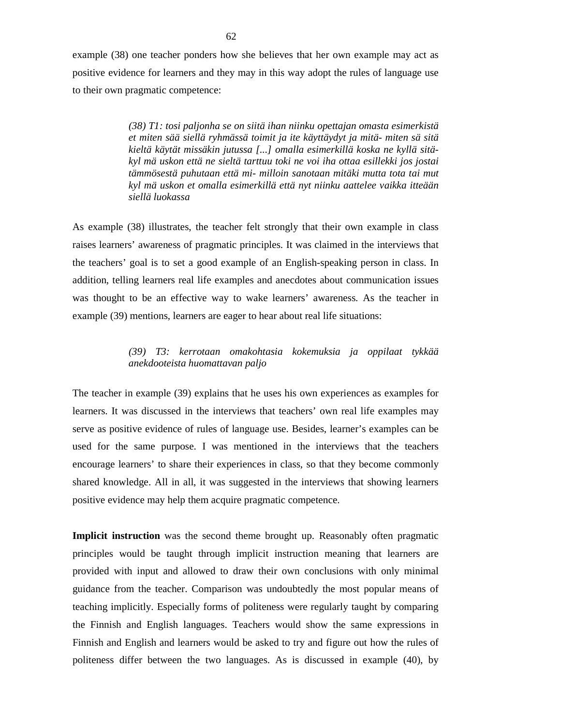example (38) one teacher ponders how she believes that her own example may act as positive evidence for learners and they may in this way adopt the rules of language use to their own pragmatic competence:

> *(38) T1: tosi paljonha se on siitä ihan niinku opettajan omasta esimerkistä et miten sää siellä ryhmässä toimit ja ite käyttäydyt ja mitä- miten sä sitä kieltä käytät missäkin jutussa [...] omalla esimerkillä koska ne kyllä sitäkyl mä uskon että ne sieltä tarttuu toki ne voi iha ottaa esillekki jos jostai tämmösestä puhutaan että mi- milloin sanotaan mitäki mutta tota tai mut kyl mä uskon et omalla esimerkillä että nyt niinku aattelee vaikka itteään siellä luokassa*

As example (38) illustrates, the teacher felt strongly that their own example in class raises learners' awareness of pragmatic principles. It was claimed in the interviews that the teachers' goal is to set a good example of an English-speaking person in class. In addition, telling learners real life examples and anecdotes about communication issues was thought to be an effective way to wake learners' awareness. As the teacher in example (39) mentions, learners are eager to hear about real life situations:

# *(39) T3: kerrotaan omakohtasia kokemuksia ja oppilaat tykkää anekdooteista huomattavan paljo*

The teacher in example (39) explains that he uses his own experiences as examples for learners. It was discussed in the interviews that teachers' own real life examples may serve as positive evidence of rules of language use. Besides, learner's examples can be used for the same purpose. I was mentioned in the interviews that the teachers encourage learners' to share their experiences in class, so that they become commonly shared knowledge. All in all, it was suggested in the interviews that showing learners positive evidence may help them acquire pragmatic competence.

**Implicit instruction** was the second theme brought up. Reasonably often pragmatic principles would be taught through implicit instruction meaning that learners are provided with input and allowed to draw their own conclusions with only minimal guidance from the teacher. Comparison was undoubtedly the most popular means of teaching implicitly. Especially forms of politeness were regularly taught by comparing the Finnish and English languages. Teachers would show the same expressions in Finnish and English and learners would be asked to try and figure out how the rules of politeness differ between the two languages. As is discussed in example (40), by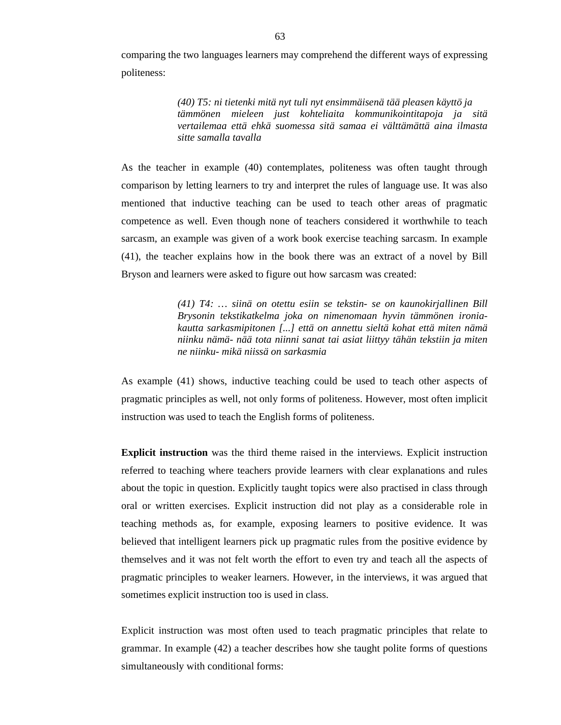comparing the two languages learners may comprehend the different ways of expressing politeness:

> *(40) T5: ni tietenki mitä nyt tuli nyt ensimmäisenä tää pleasen käyttö ja tämmönen mieleen just kohteliaita kommunikointitapoja ja sitä vertailemaa että ehkä suomessa sitä samaa ei välttämättä aina ilmasta sitte samalla tavalla*

As the teacher in example (40) contemplates, politeness was often taught through comparison by letting learners to try and interpret the rules of language use. It was also mentioned that inductive teaching can be used to teach other areas of pragmatic competence as well. Even though none of teachers considered it worthwhile to teach sarcasm, an example was given of a work book exercise teaching sarcasm. In example (41), the teacher explains how in the book there was an extract of a novel by Bill Bryson and learners were asked to figure out how sarcasm was created:

> *(41) T4: … siinä on otettu esiin se tekstin- se on kaunokirjallinen Bill Brysonin tekstikatkelma joka on nimenomaan hyvin tämmönen ironiakautta sarkasmipitonen [...] että on annettu sieltä kohat että miten nämä niinku nämä- nää tota niinni sanat tai asiat liittyy tähän tekstiin ja miten ne niinku- mikä niissä on sarkasmia*

As example (41) shows, inductive teaching could be used to teach other aspects of pragmatic principles as well, not only forms of politeness. However, most often implicit instruction was used to teach the English forms of politeness.

**Explicit instruction** was the third theme raised in the interviews. Explicit instruction referred to teaching where teachers provide learners with clear explanations and rules about the topic in question. Explicitly taught topics were also practised in class through oral or written exercises. Explicit instruction did not play as a considerable role in teaching methods as, for example, exposing learners to positive evidence. It was believed that intelligent learners pick up pragmatic rules from the positive evidence by themselves and it was not felt worth the effort to even try and teach all the aspects of pragmatic principles to weaker learners. However, in the interviews, it was argued that sometimes explicit instruction too is used in class.

Explicit instruction was most often used to teach pragmatic principles that relate to grammar. In example (42) a teacher describes how she taught polite forms of questions simultaneously with conditional forms: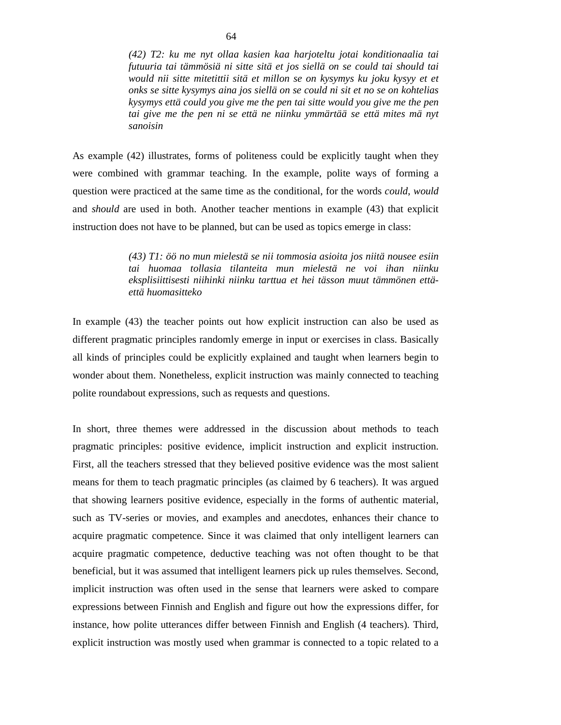*(42) T2: ku me nyt ollaa kasien kaa harjoteltu jotai konditionaalia tai futuuria tai tämmösiä ni sitte sitä et jos siellä on se could tai should tai would nii sitte mitetittii sitä et millon se on kysymys ku joku kysyy et et onks se sitte kysymys aina jos siellä on se could ni sit et no se on kohtelias kysymys että could you give me the pen tai sitte would you give me the pen tai give me the pen ni se että ne niinku ymmärtää se että mites mä nyt sanoisin* 

As example (42) illustrates, forms of politeness could be explicitly taught when they were combined with grammar teaching. In the example, polite ways of forming a question were practiced at the same time as the conditional, for the words *could*, *would* and *should* are used in both. Another teacher mentions in example (43) that explicit instruction does not have to be planned, but can be used as topics emerge in class:

> *(43) T1: öö no mun mielestä se nii tommosia asioita jos niitä nousee esiin tai huomaa tollasia tilanteita mun mielestä ne voi ihan niinku eksplisiittisesti niihinki niinku tarttua et hei tässon muut tämmönen ettäettä huomasitteko*

In example (43) the teacher points out how explicit instruction can also be used as different pragmatic principles randomly emerge in input or exercises in class. Basically all kinds of principles could be explicitly explained and taught when learners begin to wonder about them. Nonetheless, explicit instruction was mainly connected to teaching polite roundabout expressions, such as requests and questions.

In short, three themes were addressed in the discussion about methods to teach pragmatic principles: positive evidence, implicit instruction and explicit instruction. First, all the teachers stressed that they believed positive evidence was the most salient means for them to teach pragmatic principles (as claimed by 6 teachers). It was argued that showing learners positive evidence, especially in the forms of authentic material, such as TV-series or movies, and examples and anecdotes, enhances their chance to acquire pragmatic competence. Since it was claimed that only intelligent learners can acquire pragmatic competence, deductive teaching was not often thought to be that beneficial, but it was assumed that intelligent learners pick up rules themselves. Second, implicit instruction was often used in the sense that learners were asked to compare expressions between Finnish and English and figure out how the expressions differ, for instance, how polite utterances differ between Finnish and English (4 teachers). Third, explicit instruction was mostly used when grammar is connected to a topic related to a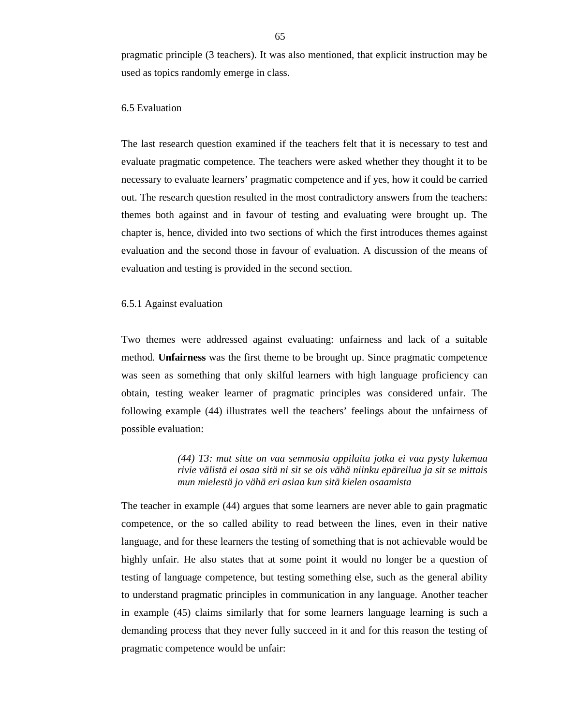pragmatic principle (3 teachers). It was also mentioned, that explicit instruction may be used as topics randomly emerge in class.

### 6.5 Evaluation

The last research question examined if the teachers felt that it is necessary to test and evaluate pragmatic competence. The teachers were asked whether they thought it to be necessary to evaluate learners' pragmatic competence and if yes, how it could be carried out. The research question resulted in the most contradictory answers from the teachers: themes both against and in favour of testing and evaluating were brought up. The chapter is, hence, divided into two sections of which the first introduces themes against evaluation and the second those in favour of evaluation. A discussion of the means of evaluation and testing is provided in the second section.

### 6.5.1 Against evaluation

Two themes were addressed against evaluating: unfairness and lack of a suitable method. **Unfairness** was the first theme to be brought up. Since pragmatic competence was seen as something that only skilful learners with high language proficiency can obtain, testing weaker learner of pragmatic principles was considered unfair. The following example (44) illustrates well the teachers' feelings about the unfairness of possible evaluation:

> *(44) T3: mut sitte on vaa semmosia oppilaita jotka ei vaa pysty lukemaa rivie välistä ei osaa sitä ni sit se ois vähä niinku epäreilua ja sit se mittais mun mielestä jo vähä eri asiaa kun sitä kielen osaamista*

The teacher in example (44) argues that some learners are never able to gain pragmatic competence, or the so called ability to read between the lines, even in their native language, and for these learners the testing of something that is not achievable would be highly unfair. He also states that at some point it would no longer be a question of testing of language competence, but testing something else, such as the general ability to understand pragmatic principles in communication in any language. Another teacher in example (45) claims similarly that for some learners language learning is such a demanding process that they never fully succeed in it and for this reason the testing of pragmatic competence would be unfair: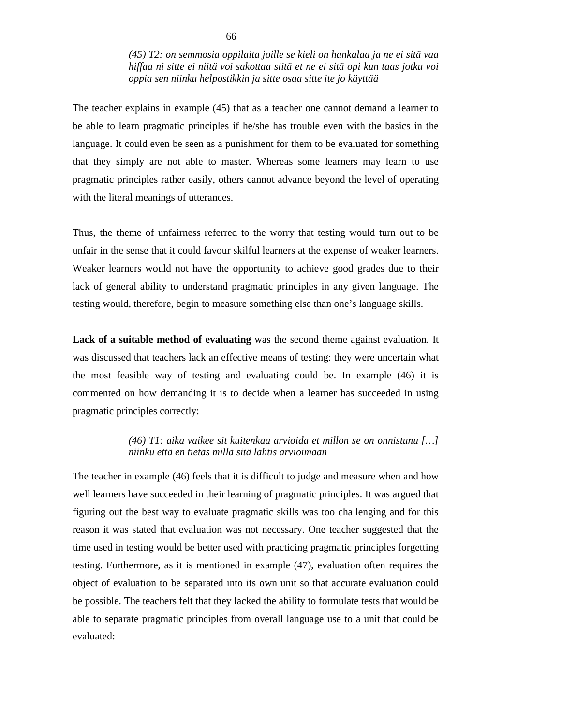*(45) T2: on semmosia oppilaita joille se kieli on hankalaa ja ne ei sitä vaa hiffaa ni sitte ei niitä voi sakottaa siitä et ne ei sitä opi kun taas jotku voi oppia sen niinku helpostikkin ja sitte osaa sitte ite jo käyttää* 

The teacher explains in example (45) that as a teacher one cannot demand a learner to be able to learn pragmatic principles if he/she has trouble even with the basics in the language. It could even be seen as a punishment for them to be evaluated for something that they simply are not able to master. Whereas some learners may learn to use pragmatic principles rather easily, others cannot advance beyond the level of operating with the literal meanings of utterances.

Thus, the theme of unfairness referred to the worry that testing would turn out to be unfair in the sense that it could favour skilful learners at the expense of weaker learners. Weaker learners would not have the opportunity to achieve good grades due to their lack of general ability to understand pragmatic principles in any given language. The testing would, therefore, begin to measure something else than one's language skills.

**Lack of a suitable method of evaluating** was the second theme against evaluation. It was discussed that teachers lack an effective means of testing: they were uncertain what the most feasible way of testing and evaluating could be. In example (46) it is commented on how demanding it is to decide when a learner has succeeded in using pragmatic principles correctly:

## *(46) T1: aika vaikee sit kuitenkaa arvioida et millon se on onnistunu […] niinku että en tietäs millä sitä lähtis arvioimaan*

The teacher in example (46) feels that it is difficult to judge and measure when and how well learners have succeeded in their learning of pragmatic principles. It was argued that figuring out the best way to evaluate pragmatic skills was too challenging and for this reason it was stated that evaluation was not necessary. One teacher suggested that the time used in testing would be better used with practicing pragmatic principles forgetting testing. Furthermore, as it is mentioned in example (47), evaluation often requires the object of evaluation to be separated into its own unit so that accurate evaluation could be possible. The teachers felt that they lacked the ability to formulate tests that would be able to separate pragmatic principles from overall language use to a unit that could be evaluated: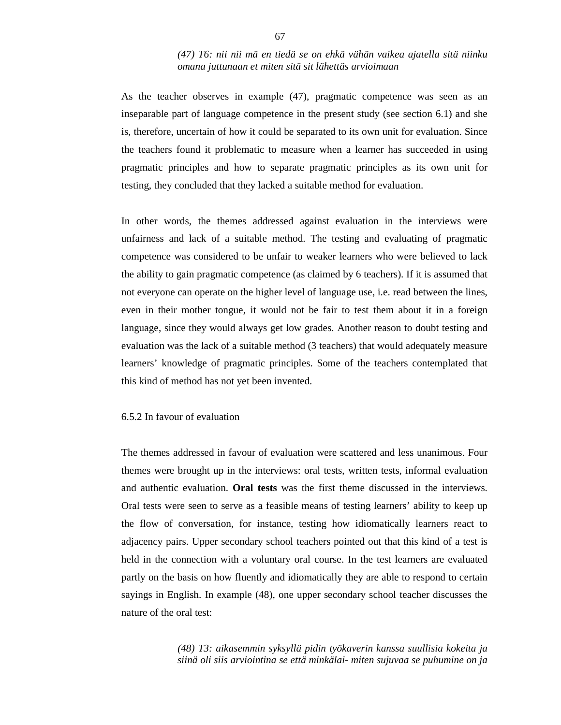## *(47) T6: nii nii mä en tiedä se on ehkä vähän vaikea ajatella sitä niinku omana juttunaan et miten sitä sit lähettäs arvioimaan*

As the teacher observes in example (47), pragmatic competence was seen as an inseparable part of language competence in the present study (see section 6.1) and she is, therefore, uncertain of how it could be separated to its own unit for evaluation. Since the teachers found it problematic to measure when a learner has succeeded in using pragmatic principles and how to separate pragmatic principles as its own unit for testing, they concluded that they lacked a suitable method for evaluation.

In other words, the themes addressed against evaluation in the interviews were unfairness and lack of a suitable method. The testing and evaluating of pragmatic competence was considered to be unfair to weaker learners who were believed to lack the ability to gain pragmatic competence (as claimed by 6 teachers). If it is assumed that not everyone can operate on the higher level of language use, i.e. read between the lines, even in their mother tongue, it would not be fair to test them about it in a foreign language, since they would always get low grades. Another reason to doubt testing and evaluation was the lack of a suitable method (3 teachers) that would adequately measure learners' knowledge of pragmatic principles. Some of the teachers contemplated that this kind of method has not yet been invented.

### 6.5.2 In favour of evaluation

The themes addressed in favour of evaluation were scattered and less unanimous. Four themes were brought up in the interviews: oral tests, written tests, informal evaluation and authentic evaluation. **Oral tests** was the first theme discussed in the interviews. Oral tests were seen to serve as a feasible means of testing learners' ability to keep up the flow of conversation, for instance, testing how idiomatically learners react to adjacency pairs. Upper secondary school teachers pointed out that this kind of a test is held in the connection with a voluntary oral course. In the test learners are evaluated partly on the basis on how fluently and idiomatically they are able to respond to certain sayings in English. In example (48), one upper secondary school teacher discusses the nature of the oral test:

> *(48) T3: aikasemmin syksyllä pidin työkaverin kanssa suullisia kokeita ja siinä oli siis arviointina se että minkälai- miten sujuvaa se puhumine on ja*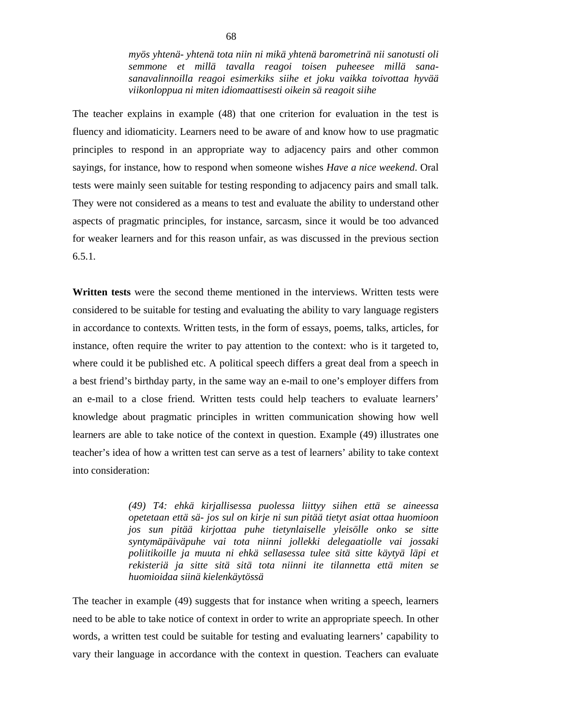*myös yhtenä- yhtenä tota niin ni mikä yhtenä barometrinä nii sanotusti oli semmone et millä tavalla reagoi toisen puheesee millä sanasanavalinnoilla reagoi esimerkiks siihe et joku vaikka toivottaa hyvää viikonloppua ni miten idiomaattisesti oikein sä reagoit siihe* 

The teacher explains in example (48) that one criterion for evaluation in the test is fluency and idiomaticity. Learners need to be aware of and know how to use pragmatic principles to respond in an appropriate way to adjacency pairs and other common sayings, for instance, how to respond when someone wishes *Have a nice weekend*. Oral tests were mainly seen suitable for testing responding to adjacency pairs and small talk. They were not considered as a means to test and evaluate the ability to understand other aspects of pragmatic principles, for instance, sarcasm, since it would be too advanced for weaker learners and for this reason unfair, as was discussed in the previous section 6.5.1.

**Written tests** were the second theme mentioned in the interviews. Written tests were considered to be suitable for testing and evaluating the ability to vary language registers in accordance to contexts. Written tests, in the form of essays, poems, talks, articles, for instance, often require the writer to pay attention to the context: who is it targeted to, where could it be published etc. A political speech differs a great deal from a speech in a best friend's birthday party, in the same way an e-mail to one's employer differs from an e-mail to a close friend. Written tests could help teachers to evaluate learners' knowledge about pragmatic principles in written communication showing how well learners are able to take notice of the context in question. Example (49) illustrates one teacher's idea of how a written test can serve as a test of learners' ability to take context into consideration:

> *(49) T4: ehkä kirjallisessa puolessa liittyy siihen että se aineessa opetetaan että sä- jos sul on kirje ni sun pitää tietyt asiat ottaa huomioon jos sun pitää kirjottaa puhe tietynlaiselle yleisölle onko se sitte syntymäpäiväpuhe vai tota niinni jollekki delegaatiolle vai jossaki poliitikoille ja muuta ni ehkä sellasessa tulee sitä sitte käytyä läpi et rekisteriä ja sitte sitä sitä tota niinni ite tilannetta että miten se huomioidaa siinä kielenkäytössä*

The teacher in example (49) suggests that for instance when writing a speech, learners need to be able to take notice of context in order to write an appropriate speech. In other words, a written test could be suitable for testing and evaluating learners' capability to vary their language in accordance with the context in question. Teachers can evaluate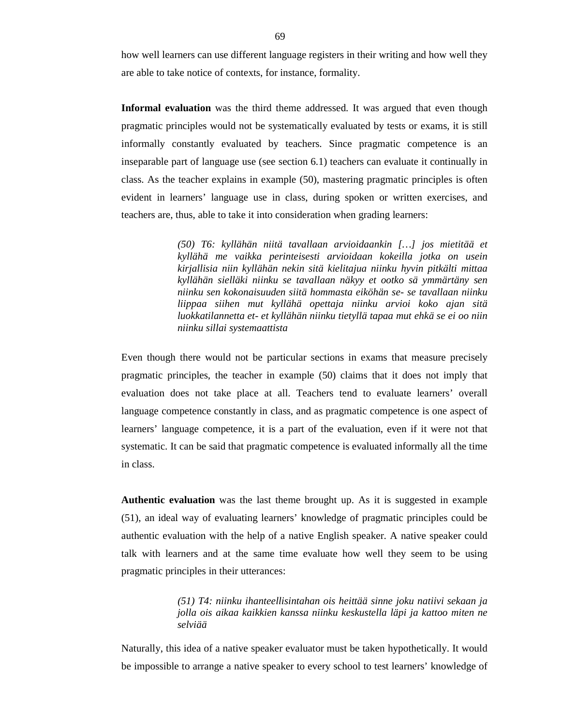how well learners can use different language registers in their writing and how well they are able to take notice of contexts, for instance, formality.

**Informal evaluation** was the third theme addressed. It was argued that even though pragmatic principles would not be systematically evaluated by tests or exams, it is still informally constantly evaluated by teachers. Since pragmatic competence is an inseparable part of language use (see section 6.1) teachers can evaluate it continually in class. As the teacher explains in example (50), mastering pragmatic principles is often evident in learners' language use in class, during spoken or written exercises, and teachers are, thus, able to take it into consideration when grading learners:

> *(50) T6: kyllähän niitä tavallaan arvioidaankin […] jos mietitää et kyllähä me vaikka perinteisesti arvioidaan kokeilla jotka on usein kirjallisia niin kyllähän nekin sitä kielitajua niinku hyvin pitkälti mittaa kyllähän sielläki niinku se tavallaan näkyy et ootko sä ymmärtäny sen niinku sen kokonaisuuden siitä hommasta eiköhän se- se tavallaan niinku liippaa siihen mut kyllähä opettaja niinku arvioi koko ajan sitä luokkatilannetta et- et kyllähän niinku tietyllä tapaa mut ehkä se ei oo niin niinku sillai systemaattista*

Even though there would not be particular sections in exams that measure precisely pragmatic principles, the teacher in example (50) claims that it does not imply that evaluation does not take place at all. Teachers tend to evaluate learners' overall language competence constantly in class, and as pragmatic competence is one aspect of learners' language competence, it is a part of the evaluation, even if it were not that systematic. It can be said that pragmatic competence is evaluated informally all the time in class.

**Authentic evaluation** was the last theme brought up. As it is suggested in example (51), an ideal way of evaluating learners' knowledge of pragmatic principles could be authentic evaluation with the help of a native English speaker. A native speaker could talk with learners and at the same time evaluate how well they seem to be using pragmatic principles in their utterances:

> *(51) T4: niinku ihanteellisintahan ois heittää sinne joku natiivi sekaan ja jolla ois aikaa kaikkien kanssa niinku keskustella läpi ja kattoo miten ne selviää*

Naturally, this idea of a native speaker evaluator must be taken hypothetically. It would be impossible to arrange a native speaker to every school to test learners' knowledge of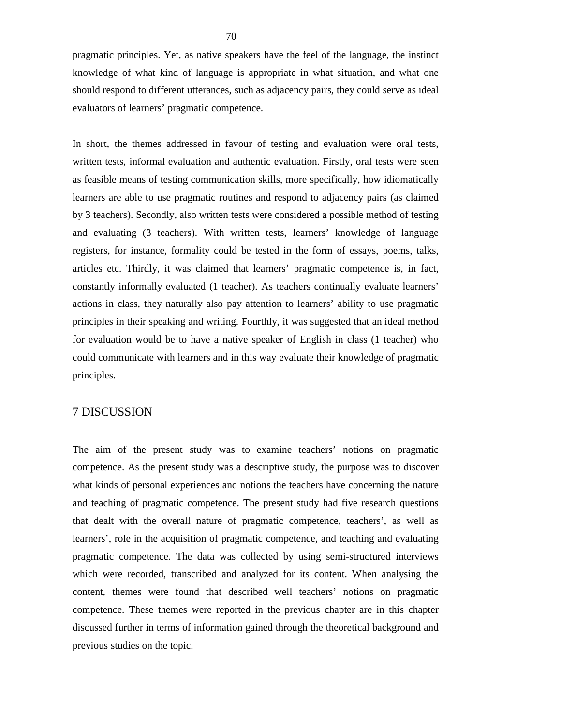pragmatic principles. Yet, as native speakers have the feel of the language, the instinct knowledge of what kind of language is appropriate in what situation, and what one should respond to different utterances, such as adjacency pairs, they could serve as ideal evaluators of learners' pragmatic competence.

In short, the themes addressed in favour of testing and evaluation were oral tests, written tests, informal evaluation and authentic evaluation. Firstly, oral tests were seen as feasible means of testing communication skills, more specifically, how idiomatically learners are able to use pragmatic routines and respond to adjacency pairs (as claimed by 3 teachers). Secondly, also written tests were considered a possible method of testing and evaluating (3 teachers). With written tests, learners' knowledge of language registers, for instance, formality could be tested in the form of essays, poems, talks, articles etc. Thirdly, it was claimed that learners' pragmatic competence is, in fact, constantly informally evaluated (1 teacher). As teachers continually evaluate learners' actions in class, they naturally also pay attention to learners' ability to use pragmatic principles in their speaking and writing. Fourthly, it was suggested that an ideal method for evaluation would be to have a native speaker of English in class (1 teacher) who could communicate with learners and in this way evaluate their knowledge of pragmatic principles.

# 7 DISCUSSION

The aim of the present study was to examine teachers' notions on pragmatic competence. As the present study was a descriptive study, the purpose was to discover what kinds of personal experiences and notions the teachers have concerning the nature and teaching of pragmatic competence. The present study had five research questions that dealt with the overall nature of pragmatic competence, teachers', as well as learners', role in the acquisition of pragmatic competence, and teaching and evaluating pragmatic competence. The data was collected by using semi-structured interviews which were recorded, transcribed and analyzed for its content. When analysing the content, themes were found that described well teachers' notions on pragmatic competence. These themes were reported in the previous chapter are in this chapter discussed further in terms of information gained through the theoretical background and previous studies on the topic.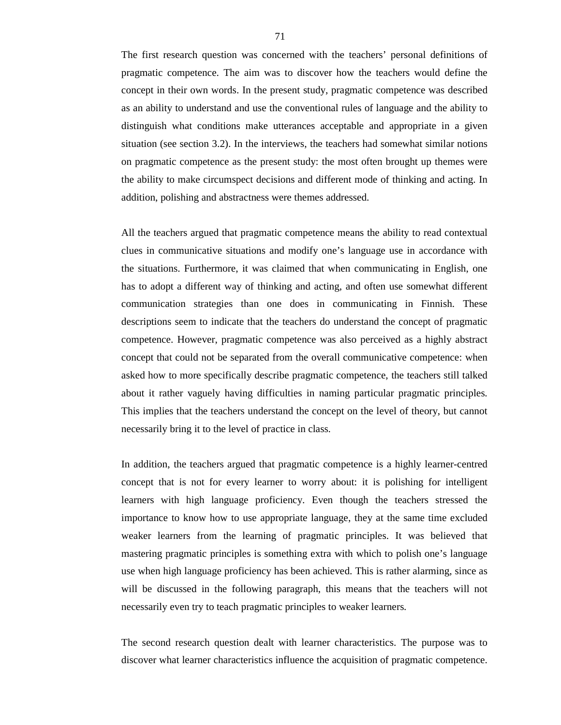The first research question was concerned with the teachers' personal definitions of pragmatic competence. The aim was to discover how the teachers would define the concept in their own words. In the present study, pragmatic competence was described as an ability to understand and use the conventional rules of language and the ability to distinguish what conditions make utterances acceptable and appropriate in a given situation (see section 3.2). In the interviews, the teachers had somewhat similar notions on pragmatic competence as the present study: the most often brought up themes were the ability to make circumspect decisions and different mode of thinking and acting. In addition, polishing and abstractness were themes addressed.

All the teachers argued that pragmatic competence means the ability to read contextual clues in communicative situations and modify one's language use in accordance with the situations. Furthermore, it was claimed that when communicating in English, one has to adopt a different way of thinking and acting, and often use somewhat different communication strategies than one does in communicating in Finnish. These descriptions seem to indicate that the teachers do understand the concept of pragmatic competence. However, pragmatic competence was also perceived as a highly abstract concept that could not be separated from the overall communicative competence: when asked how to more specifically describe pragmatic competence, the teachers still talked about it rather vaguely having difficulties in naming particular pragmatic principles. This implies that the teachers understand the concept on the level of theory, but cannot necessarily bring it to the level of practice in class.

In addition, the teachers argued that pragmatic competence is a highly learner-centred concept that is not for every learner to worry about: it is polishing for intelligent learners with high language proficiency. Even though the teachers stressed the importance to know how to use appropriate language, they at the same time excluded weaker learners from the learning of pragmatic principles. It was believed that mastering pragmatic principles is something extra with which to polish one's language use when high language proficiency has been achieved. This is rather alarming, since as will be discussed in the following paragraph, this means that the teachers will not necessarily even try to teach pragmatic principles to weaker learners.

The second research question dealt with learner characteristics. The purpose was to discover what learner characteristics influence the acquisition of pragmatic competence.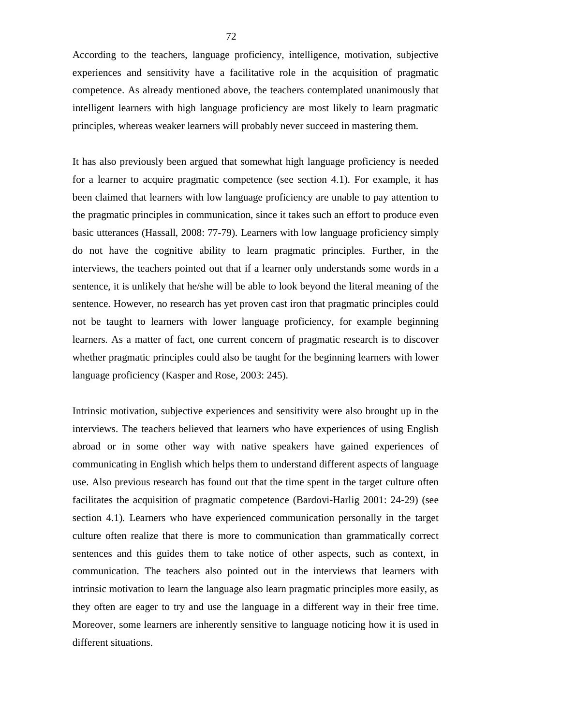According to the teachers, language proficiency, intelligence, motivation, subjective experiences and sensitivity have a facilitative role in the acquisition of pragmatic competence. As already mentioned above, the teachers contemplated unanimously that intelligent learners with high language proficiency are most likely to learn pragmatic principles, whereas weaker learners will probably never succeed in mastering them.

It has also previously been argued that somewhat high language proficiency is needed for a learner to acquire pragmatic competence (see section 4.1). For example, it has been claimed that learners with low language proficiency are unable to pay attention to the pragmatic principles in communication, since it takes such an effort to produce even basic utterances (Hassall, 2008: 77-79). Learners with low language proficiency simply do not have the cognitive ability to learn pragmatic principles. Further, in the interviews, the teachers pointed out that if a learner only understands some words in a sentence, it is unlikely that he/she will be able to look beyond the literal meaning of the sentence. However, no research has yet proven cast iron that pragmatic principles could not be taught to learners with lower language proficiency, for example beginning learners. As a matter of fact, one current concern of pragmatic research is to discover whether pragmatic principles could also be taught for the beginning learners with lower language proficiency (Kasper and Rose, 2003: 245).

Intrinsic motivation, subjective experiences and sensitivity were also brought up in the interviews. The teachers believed that learners who have experiences of using English abroad or in some other way with native speakers have gained experiences of communicating in English which helps them to understand different aspects of language use. Also previous research has found out that the time spent in the target culture often facilitates the acquisition of pragmatic competence (Bardovi-Harlig 2001: 24-29) (see section 4.1). Learners who have experienced communication personally in the target culture often realize that there is more to communication than grammatically correct sentences and this guides them to take notice of other aspects, such as context, in communication. The teachers also pointed out in the interviews that learners with intrinsic motivation to learn the language also learn pragmatic principles more easily, as they often are eager to try and use the language in a different way in their free time. Moreover, some learners are inherently sensitive to language noticing how it is used in different situations.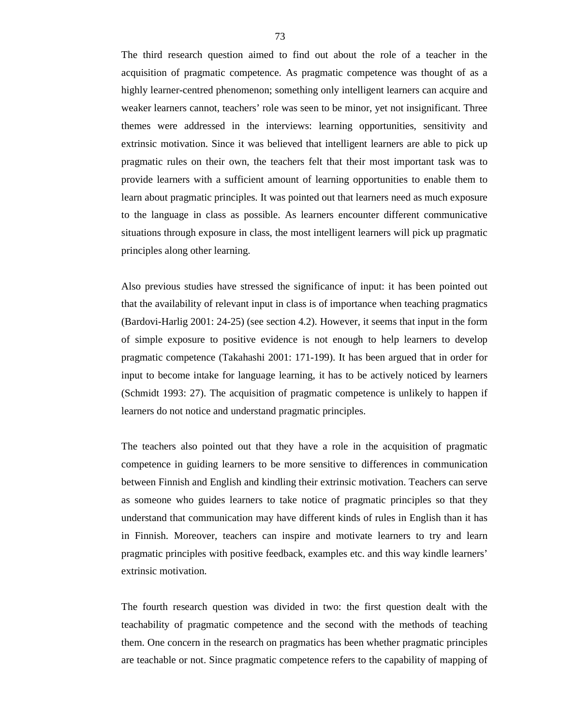The third research question aimed to find out about the role of a teacher in the acquisition of pragmatic competence. As pragmatic competence was thought of as a highly learner-centred phenomenon; something only intelligent learners can acquire and weaker learners cannot, teachers' role was seen to be minor, yet not insignificant. Three themes were addressed in the interviews: learning opportunities, sensitivity and extrinsic motivation. Since it was believed that intelligent learners are able to pick up pragmatic rules on their own, the teachers felt that their most important task was to provide learners with a sufficient amount of learning opportunities to enable them to learn about pragmatic principles. It was pointed out that learners need as much exposure to the language in class as possible. As learners encounter different communicative situations through exposure in class, the most intelligent learners will pick up pragmatic principles along other learning.

Also previous studies have stressed the significance of input: it has been pointed out that the availability of relevant input in class is of importance when teaching pragmatics (Bardovi-Harlig 2001: 24-25) (see section 4.2). However, it seems that input in the form of simple exposure to positive evidence is not enough to help learners to develop pragmatic competence (Takahashi 2001: 171-199). It has been argued that in order for input to become intake for language learning, it has to be actively noticed by learners (Schmidt 1993: 27). The acquisition of pragmatic competence is unlikely to happen if learners do not notice and understand pragmatic principles.

The teachers also pointed out that they have a role in the acquisition of pragmatic competence in guiding learners to be more sensitive to differences in communication between Finnish and English and kindling their extrinsic motivation. Teachers can serve as someone who guides learners to take notice of pragmatic principles so that they understand that communication may have different kinds of rules in English than it has in Finnish. Moreover, teachers can inspire and motivate learners to try and learn pragmatic principles with positive feedback, examples etc. and this way kindle learners' extrinsic motivation.

The fourth research question was divided in two: the first question dealt with the teachability of pragmatic competence and the second with the methods of teaching them. One concern in the research on pragmatics has been whether pragmatic principles are teachable or not. Since pragmatic competence refers to the capability of mapping of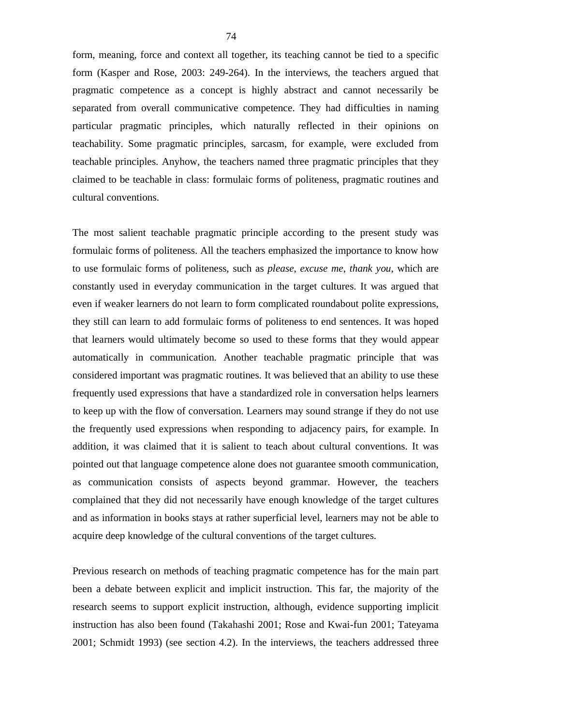form, meaning, force and context all together, its teaching cannot be tied to a specific form (Kasper and Rose, 2003: 249-264). In the interviews, the teachers argued that pragmatic competence as a concept is highly abstract and cannot necessarily be separated from overall communicative competence. They had difficulties in naming particular pragmatic principles, which naturally reflected in their opinions on teachability. Some pragmatic principles, sarcasm, for example, were excluded from teachable principles. Anyhow, the teachers named three pragmatic principles that they claimed to be teachable in class: formulaic forms of politeness, pragmatic routines and cultural conventions.

The most salient teachable pragmatic principle according to the present study was formulaic forms of politeness. All the teachers emphasized the importance to know how to use formulaic forms of politeness, such as *please*, *excuse me*, *thank you*, which are constantly used in everyday communication in the target cultures. It was argued that even if weaker learners do not learn to form complicated roundabout polite expressions, they still can learn to add formulaic forms of politeness to end sentences. It was hoped that learners would ultimately become so used to these forms that they would appear automatically in communication. Another teachable pragmatic principle that was considered important was pragmatic routines. It was believed that an ability to use these frequently used expressions that have a standardized role in conversation helps learners to keep up with the flow of conversation. Learners may sound strange if they do not use the frequently used expressions when responding to adjacency pairs, for example. In addition, it was claimed that it is salient to teach about cultural conventions. It was pointed out that language competence alone does not guarantee smooth communication, as communication consists of aspects beyond grammar. However, the teachers complained that they did not necessarily have enough knowledge of the target cultures and as information in books stays at rather superficial level, learners may not be able to acquire deep knowledge of the cultural conventions of the target cultures.

Previous research on methods of teaching pragmatic competence has for the main part been a debate between explicit and implicit instruction. This far, the majority of the research seems to support explicit instruction, although, evidence supporting implicit instruction has also been found (Takahashi 2001; Rose and Kwai-fun 2001; Tateyama 2001; Schmidt 1993) (see section 4.2). In the interviews, the teachers addressed three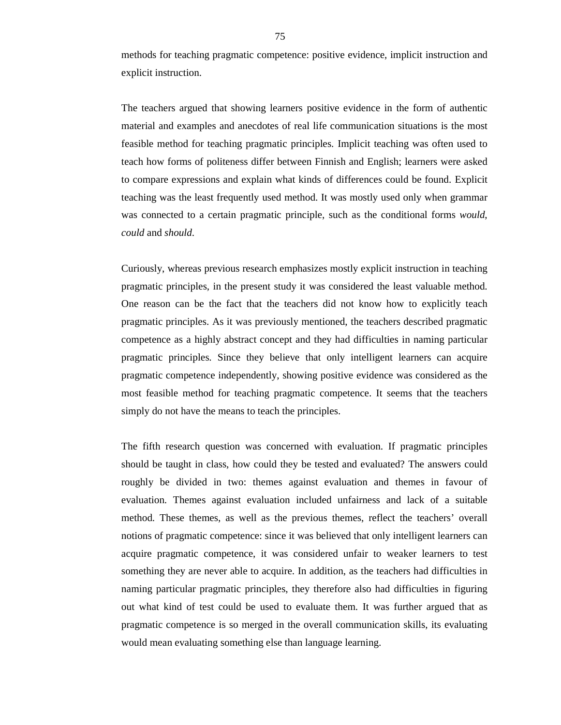methods for teaching pragmatic competence: positive evidence, implicit instruction and explicit instruction.

The teachers argued that showing learners positive evidence in the form of authentic material and examples and anecdotes of real life communication situations is the most feasible method for teaching pragmatic principles. Implicit teaching was often used to teach how forms of politeness differ between Finnish and English; learners were asked to compare expressions and explain what kinds of differences could be found. Explicit teaching was the least frequently used method. It was mostly used only when grammar was connected to a certain pragmatic principle, such as the conditional forms *would*, *could* and *should*.

Curiously, whereas previous research emphasizes mostly explicit instruction in teaching pragmatic principles, in the present study it was considered the least valuable method. One reason can be the fact that the teachers did not know how to explicitly teach pragmatic principles. As it was previously mentioned, the teachers described pragmatic competence as a highly abstract concept and they had difficulties in naming particular pragmatic principles. Since they believe that only intelligent learners can acquire pragmatic competence independently, showing positive evidence was considered as the most feasible method for teaching pragmatic competence. It seems that the teachers simply do not have the means to teach the principles.

The fifth research question was concerned with evaluation. If pragmatic principles should be taught in class, how could they be tested and evaluated? The answers could roughly be divided in two: themes against evaluation and themes in favour of evaluation. Themes against evaluation included unfairness and lack of a suitable method. These themes, as well as the previous themes, reflect the teachers' overall notions of pragmatic competence: since it was believed that only intelligent learners can acquire pragmatic competence, it was considered unfair to weaker learners to test something they are never able to acquire. In addition, as the teachers had difficulties in naming particular pragmatic principles, they therefore also had difficulties in figuring out what kind of test could be used to evaluate them. It was further argued that as pragmatic competence is so merged in the overall communication skills, its evaluating would mean evaluating something else than language learning.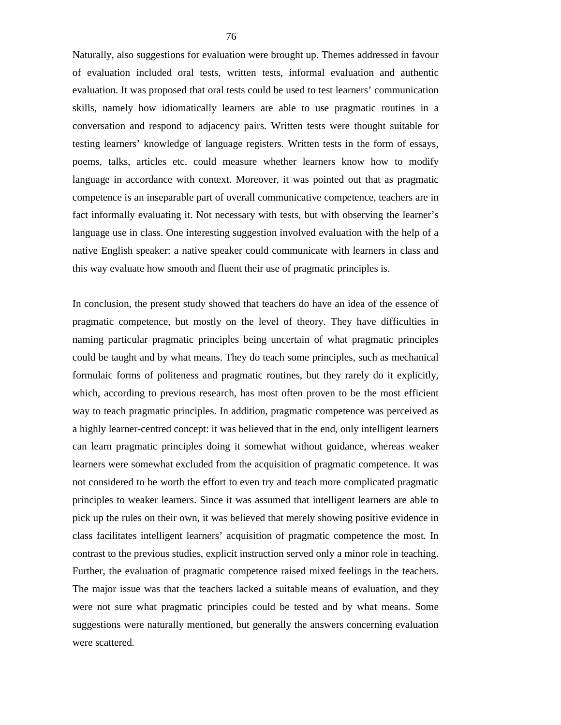Naturally, also suggestions for evaluation were brought up. Themes addressed in favour of evaluation included oral tests, written tests, informal evaluation and authentic evaluation. It was proposed that oral tests could be used to test learners' communication skills, namely how idiomatically learners are able to use pragmatic routines in a conversation and respond to adjacency pairs. Written tests were thought suitable for testing learners' knowledge of language registers. Written tests in the form of essays, poems, talks, articles etc. could measure whether learners know how to modify language in accordance with context. Moreover, it was pointed out that as pragmatic competence is an inseparable part of overall communicative competence, teachers are in fact informally evaluating it. Not necessary with tests, but with observing the learner's language use in class. One interesting suggestion involved evaluation with the help of a native English speaker: a native speaker could communicate with learners in class and this way evaluate how smooth and fluent their use of pragmatic principles is.

In conclusion, the present study showed that teachers do have an idea of the essence of pragmatic competence, but mostly on the level of theory. They have difficulties in naming particular pragmatic principles being uncertain of what pragmatic principles could be taught and by what means. They do teach some principles, such as mechanical formulaic forms of politeness and pragmatic routines, but they rarely do it explicitly, which, according to previous research, has most often proven to be the most efficient way to teach pragmatic principles. In addition, pragmatic competence was perceived as a highly learner-centred concept: it was believed that in the end, only intelligent learners can learn pragmatic principles doing it somewhat without guidance, whereas weaker learners were somewhat excluded from the acquisition of pragmatic competence. It was not considered to be worth the effort to even try and teach more complicated pragmatic principles to weaker learners. Since it was assumed that intelligent learners are able to pick up the rules on their own, it was believed that merely showing positive evidence in class facilitates intelligent learners' acquisition of pragmatic competence the most. In contrast to the previous studies, explicit instruction served only a minor role in teaching. Further, the evaluation of pragmatic competence raised mixed feelings in the teachers. The major issue was that the teachers lacked a suitable means of evaluation, and they were not sure what pragmatic principles could be tested and by what means. Some suggestions were naturally mentioned, but generally the answers concerning evaluation were scattered.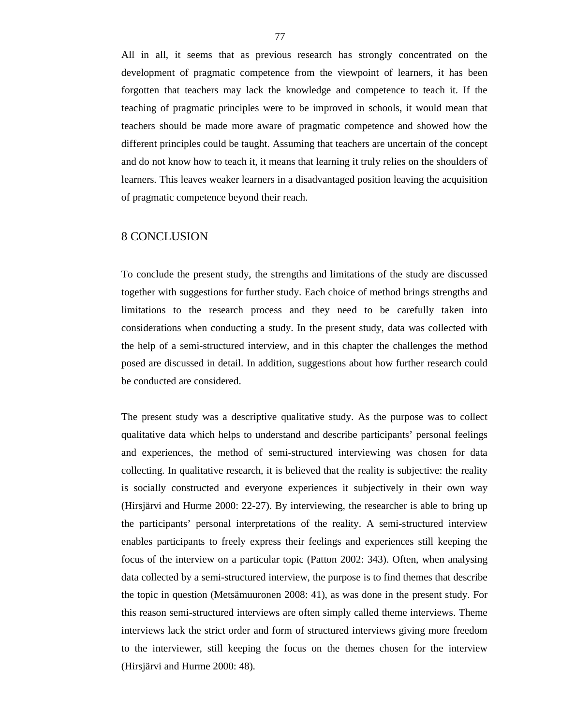All in all, it seems that as previous research has strongly concentrated on the development of pragmatic competence from the viewpoint of learners, it has been forgotten that teachers may lack the knowledge and competence to teach it. If the teaching of pragmatic principles were to be improved in schools, it would mean that teachers should be made more aware of pragmatic competence and showed how the different principles could be taught. Assuming that teachers are uncertain of the concept and do not know how to teach it, it means that learning it truly relies on the shoulders of learners. This leaves weaker learners in a disadvantaged position leaving the acquisition of pragmatic competence beyond their reach.

# 8 CONCLUSION

To conclude the present study, the strengths and limitations of the study are discussed together with suggestions for further study. Each choice of method brings strengths and limitations to the research process and they need to be carefully taken into considerations when conducting a study. In the present study, data was collected with the help of a semi-structured interview, and in this chapter the challenges the method posed are discussed in detail. In addition, suggestions about how further research could be conducted are considered.

The present study was a descriptive qualitative study. As the purpose was to collect qualitative data which helps to understand and describe participants' personal feelings and experiences, the method of semi-structured interviewing was chosen for data collecting. In qualitative research, it is believed that the reality is subjective: the reality is socially constructed and everyone experiences it subjectively in their own way (Hirsjärvi and Hurme 2000: 22-27). By interviewing, the researcher is able to bring up the participants' personal interpretations of the reality. A semi-structured interview enables participants to freely express their feelings and experiences still keeping the focus of the interview on a particular topic (Patton 2002: 343). Often, when analysing data collected by a semi-structured interview, the purpose is to find themes that describe the topic in question (Metsämuuronen 2008: 41), as was done in the present study. For this reason semi-structured interviews are often simply called theme interviews. Theme interviews lack the strict order and form of structured interviews giving more freedom to the interviewer, still keeping the focus on the themes chosen for the interview (Hirsjärvi and Hurme 2000: 48).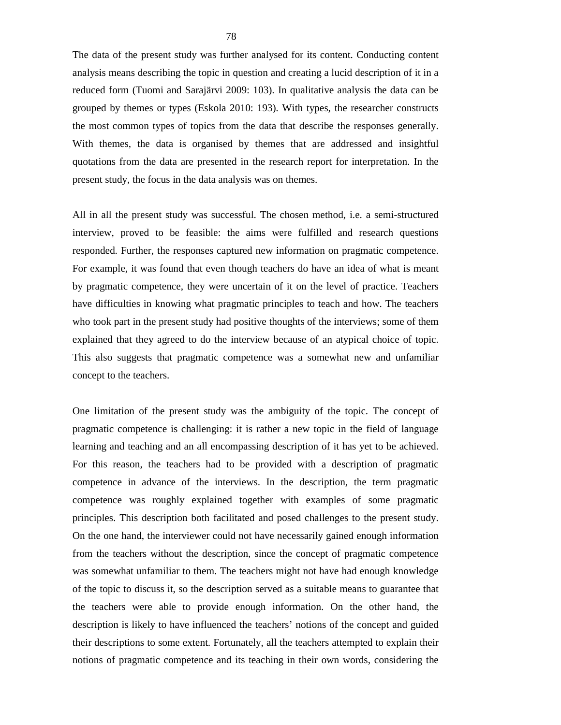The data of the present study was further analysed for its content. Conducting content analysis means describing the topic in question and creating a lucid description of it in a reduced form (Tuomi and Sarajärvi 2009: 103). In qualitative analysis the data can be grouped by themes or types (Eskola 2010: 193). With types, the researcher constructs the most common types of topics from the data that describe the responses generally. With themes, the data is organised by themes that are addressed and insightful quotations from the data are presented in the research report for interpretation. In the present study, the focus in the data analysis was on themes.

All in all the present study was successful. The chosen method, i.e. a semi-structured interview, proved to be feasible: the aims were fulfilled and research questions responded. Further, the responses captured new information on pragmatic competence. For example, it was found that even though teachers do have an idea of what is meant by pragmatic competence, they were uncertain of it on the level of practice. Teachers have difficulties in knowing what pragmatic principles to teach and how. The teachers who took part in the present study had positive thoughts of the interviews; some of them explained that they agreed to do the interview because of an atypical choice of topic. This also suggests that pragmatic competence was a somewhat new and unfamiliar concept to the teachers.

One limitation of the present study was the ambiguity of the topic. The concept of pragmatic competence is challenging: it is rather a new topic in the field of language learning and teaching and an all encompassing description of it has yet to be achieved. For this reason, the teachers had to be provided with a description of pragmatic competence in advance of the interviews. In the description, the term pragmatic competence was roughly explained together with examples of some pragmatic principles. This description both facilitated and posed challenges to the present study. On the one hand, the interviewer could not have necessarily gained enough information from the teachers without the description, since the concept of pragmatic competence was somewhat unfamiliar to them. The teachers might not have had enough knowledge of the topic to discuss it, so the description served as a suitable means to guarantee that the teachers were able to provide enough information. On the other hand, the description is likely to have influenced the teachers' notions of the concept and guided their descriptions to some extent. Fortunately, all the teachers attempted to explain their notions of pragmatic competence and its teaching in their own words, considering the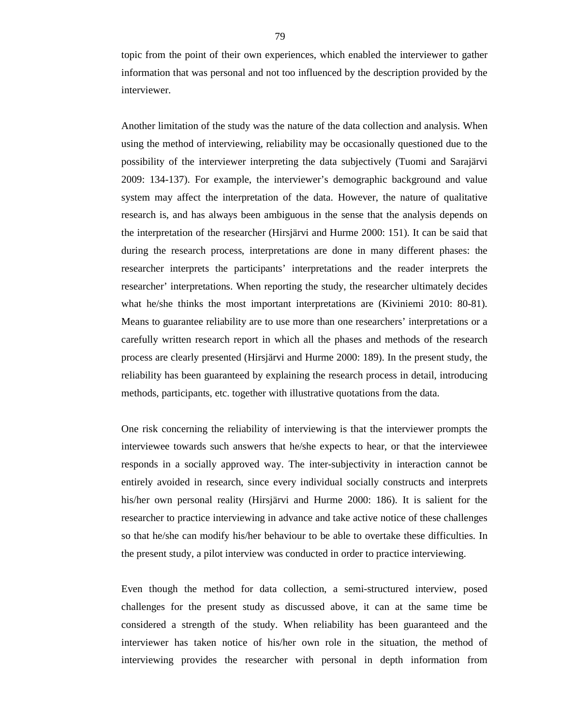topic from the point of their own experiences, which enabled the interviewer to gather information that was personal and not too influenced by the description provided by the interviewer.

Another limitation of the study was the nature of the data collection and analysis. When using the method of interviewing, reliability may be occasionally questioned due to the possibility of the interviewer interpreting the data subjectively (Tuomi and Sarajärvi 2009: 134-137). For example, the interviewer's demographic background and value system may affect the interpretation of the data. However, the nature of qualitative research is, and has always been ambiguous in the sense that the analysis depends on the interpretation of the researcher (Hirsjärvi and Hurme 2000: 151). It can be said that during the research process, interpretations are done in many different phases: the researcher interprets the participants' interpretations and the reader interprets the researcher' interpretations. When reporting the study, the researcher ultimately decides what he/she thinks the most important interpretations are (Kiviniemi 2010: 80-81). Means to guarantee reliability are to use more than one researchers' interpretations or a carefully written research report in which all the phases and methods of the research process are clearly presented (Hirsjärvi and Hurme 2000: 189). In the present study, the reliability has been guaranteed by explaining the research process in detail, introducing methods, participants, etc. together with illustrative quotations from the data.

One risk concerning the reliability of interviewing is that the interviewer prompts the interviewee towards such answers that he/she expects to hear, or that the interviewee responds in a socially approved way. The inter-subjectivity in interaction cannot be entirely avoided in research, since every individual socially constructs and interprets his/her own personal reality (Hirsjärvi and Hurme 2000: 186). It is salient for the researcher to practice interviewing in advance and take active notice of these challenges so that he/she can modify his/her behaviour to be able to overtake these difficulties. In the present study, a pilot interview was conducted in order to practice interviewing.

Even though the method for data collection, a semi-structured interview, posed challenges for the present study as discussed above, it can at the same time be considered a strength of the study. When reliability has been guaranteed and the interviewer has taken notice of his/her own role in the situation, the method of interviewing provides the researcher with personal in depth information from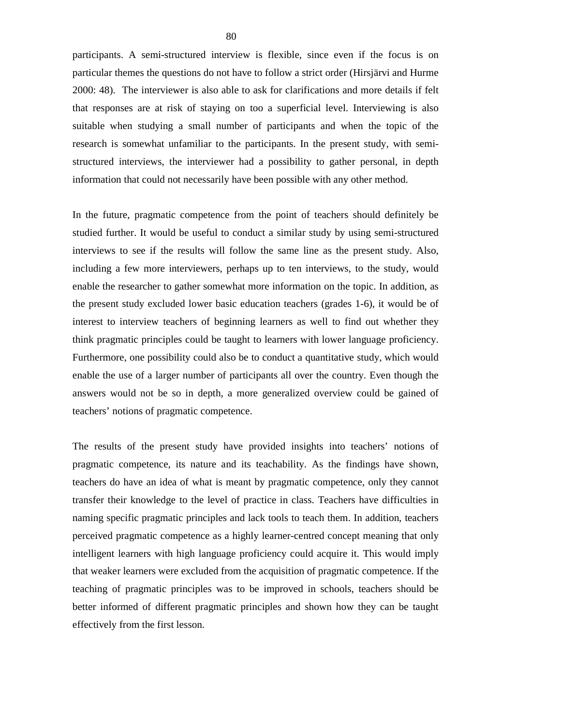participants. A semi-structured interview is flexible, since even if the focus is on particular themes the questions do not have to follow a strict order (Hirsjärvi and Hurme 2000: 48). The interviewer is also able to ask for clarifications and more details if felt that responses are at risk of staying on too a superficial level. Interviewing is also suitable when studying a small number of participants and when the topic of the research is somewhat unfamiliar to the participants. In the present study, with semistructured interviews, the interviewer had a possibility to gather personal, in depth information that could not necessarily have been possible with any other method.

In the future, pragmatic competence from the point of teachers should definitely be studied further. It would be useful to conduct a similar study by using semi-structured interviews to see if the results will follow the same line as the present study. Also, including a few more interviewers, perhaps up to ten interviews, to the study, would enable the researcher to gather somewhat more information on the topic. In addition, as the present study excluded lower basic education teachers (grades 1-6), it would be of interest to interview teachers of beginning learners as well to find out whether they think pragmatic principles could be taught to learners with lower language proficiency. Furthermore, one possibility could also be to conduct a quantitative study, which would enable the use of a larger number of participants all over the country. Even though the answers would not be so in depth, a more generalized overview could be gained of teachers' notions of pragmatic competence.

The results of the present study have provided insights into teachers' notions of pragmatic competence, its nature and its teachability. As the findings have shown, teachers do have an idea of what is meant by pragmatic competence, only they cannot transfer their knowledge to the level of practice in class. Teachers have difficulties in naming specific pragmatic principles and lack tools to teach them. In addition, teachers perceived pragmatic competence as a highly learner-centred concept meaning that only intelligent learners with high language proficiency could acquire it. This would imply that weaker learners were excluded from the acquisition of pragmatic competence. If the teaching of pragmatic principles was to be improved in schools, teachers should be better informed of different pragmatic principles and shown how they can be taught effectively from the first lesson.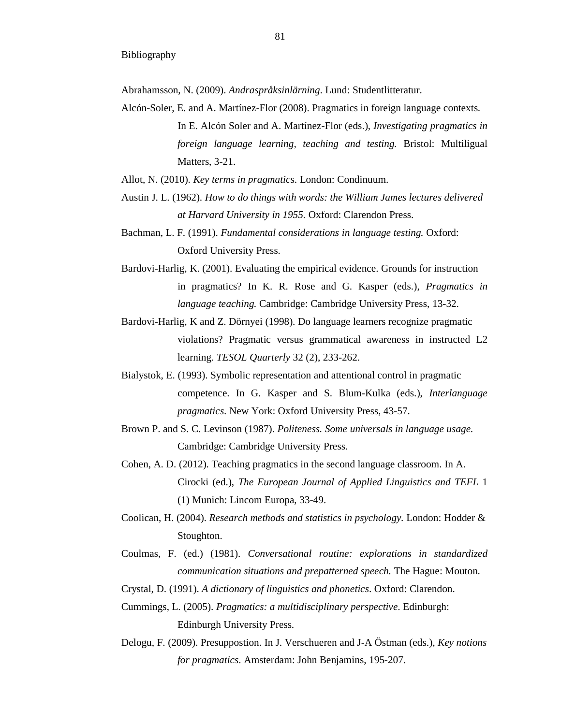Abrahamsson, N. (2009). *Andraspråksinlärning*. Lund: Studentlitteratur.

- Alcón-Soler, E. and A. Martínez-Flor (2008). Pragmatics in foreign language contexts. In E. Alcón Soler and A. Martínez-Flor (eds.), *Investigating pragmatics in foreign language learning, teaching and testing.* Bristol: Multiligual Matters, 3-21.
- Allot, N. (2010). *Key terms in pragmatic*s. London: Condinuum.
- Austin J. L. (1962). *How to do things with words: the William James lectures delivered at Harvard University in 1955.* Oxford: Clarendon Press.
- Bachman, L. F. (1991). *Fundamental considerations in language testing.* Oxford: Oxford University Press.
- Bardovi-Harlig, K. (2001). Evaluating the empirical evidence. Grounds for instruction in pragmatics? In K. R. Rose and G. Kasper (eds.), *Pragmatics in language teaching.* Cambridge: Cambridge University Press, 13-32.
- Bardovi-Harlig, K and Z. Dörnyei (1998). Do language learners recognize pragmatic violations? Pragmatic versus grammatical awareness in instructed L2 learning. *TESOL Quarterly* 32 (2), 233-262.
- Bialystok, E. (1993). Symbolic representation and attentional control in pragmatic competence. In G. Kasper and S. Blum-Kulka (eds.), *Interlanguage pragmatics*. New York: Oxford University Press, 43-57.
- Brown P. and S. C. Levinson (1987). *Politeness. Some universals in language usage.* Cambridge: Cambridge University Press.
- Cohen, A. D. (2012). Teaching pragmatics in the second language classroom. In A. Cirocki (ed.), *The European Journal of Applied Linguistics and TEFL* 1 (1) Munich: Lincom Europa, 33-49.
- Coolican, H. (2004). *Research methods and statistics in psychology.* London: Hodder & Stoughton.
- Coulmas, F. (ed.) (1981). *Conversational routine: explorations in standardized communication situations and prepatterned speech.* The Hague: Mouton.
- Crystal, D. (1991). *A dictionary of linguistics and phonetics*. Oxford: Clarendon.
- Cummings, L. (2005). *Pragmatics: a multidisciplinary perspective*. Edinburgh: Edinburgh University Press.
- Delogu, F. (2009). Presuppostion. In J. Verschueren and J-A Östman (eds.), *Key notions for pragmatics*. Amsterdam: John Benjamins, 195-207.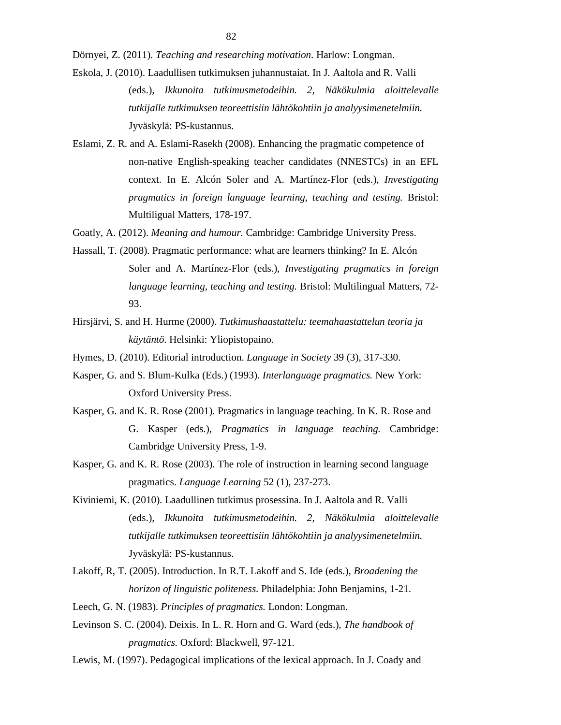Dörnyei, Z. (2011). *Teaching and researching motivation*. Harlow: Longman.

- Eskola, J. (2010). Laadullisen tutkimuksen juhannustaiat. In J. Aaltola and R. Valli (eds.), *Ikkunoita tutkimusmetodeihin. 2, Näkökulmia aloittelevalle tutkijalle tutkimuksen teoreettisiin lähtökohtiin ja analyysimenetelmiin.* Jyväskylä: PS-kustannus.
- Eslami, Z. R. and A. Eslami-Rasekh (2008). Enhancing the pragmatic competence of non-native English-speaking teacher candidates (NNESTCs) in an EFL context. In E. Alcón Soler and A. Martínez-Flor (eds.), *Investigating pragmatics in foreign language learning, teaching and testing.* Bristol: Multiligual Matters, 178-197.

Goatly, A. (2012). *Meaning and humour.* Cambridge: Cambridge University Press.

- Hassall, T. (2008). Pragmatic performance: what are learners thinking? In E. Alcón Soler and A. Martínez-Flor (eds.), *Investigating pragmatics in foreign language learning, teaching and testing.* Bristol: Multilingual Matters, 72- 93.
- Hirsjärvi, S. and H. Hurme (2000). *Tutkimushaastattelu: teemahaastattelun teoria ja käytäntö*. Helsinki: Yliopistopaino.
- Hymes, D. (2010). Editorial introduction. *Language in Society* 39 (3), 317-330.
- Kasper, G. and S. Blum-Kulka (Eds.) (1993). *Interlanguage pragmatics.* New York: Oxford University Press.
- Kasper, G. and K. R. Rose (2001). Pragmatics in language teaching. In K. R. Rose and G. Kasper (eds.), *Pragmatics in language teaching.* Cambridge: Cambridge University Press, 1-9.
- Kasper, G. and K. R. Rose (2003). The role of instruction in learning second language pragmatics. *Language Learning* 52 (1), 237-273.
- Kiviniemi, K. (2010). Laadullinen tutkimus prosessina. In J. Aaltola and R. Valli (eds.), *Ikkunoita tutkimusmetodeihin. 2, Näkökulmia aloittelevalle tutkijalle tutkimuksen teoreettisiin lähtökohtiin ja analyysimenetelmiin.* Jyväskylä: PS-kustannus.
- Lakoff, R, T. (2005). Introduction. In R.T. Lakoff and S. Ide (eds.), *Broadening the horizon of linguistic politeness*. Philadelphia: John Benjamins, 1-21.
- Leech, G. N. (1983). *Principles of pragmatics.* London: Longman.
- Levinson S. C. (2004). Deixis. In L. R. Horn and G. Ward (eds.), *The handbook of pragmatics.* Oxford: Blackwell, 97-121.
- Lewis, M. (1997). Pedagogical implications of the lexical approach. In J. Coady and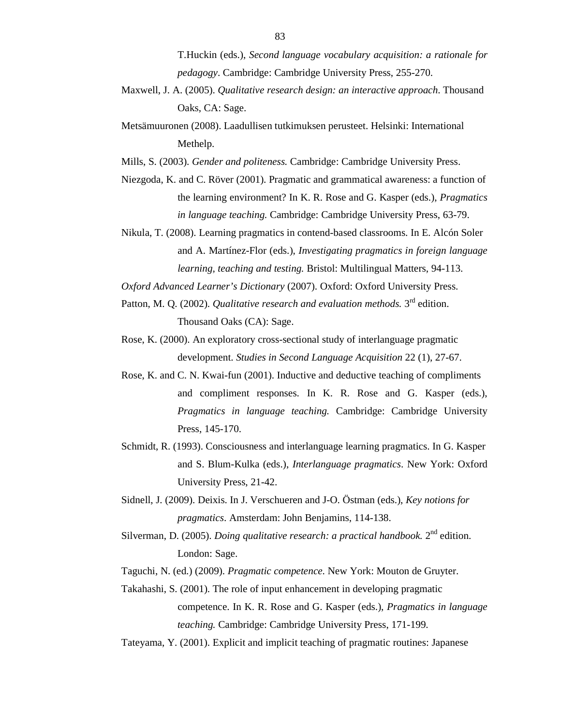T.Huckin (eds.), *Second language vocabulary acquisition: a rationale for pedagogy*. Cambridge: Cambridge University Press, 255-270.

- Maxwell, J. A. (2005). *Qualitative research design: an interactive approach*. Thousand Oaks, CA: Sage.
- Metsämuuronen (2008). Laadullisen tutkimuksen perusteet. Helsinki: International Methelp.

Mills, S. (2003). *Gender and politeness.* Cambridge: Cambridge University Press.

- Niezgoda, K. and C. Röver (2001). Pragmatic and grammatical awareness: a function of the learning environment? In K. R. Rose and G. Kasper (eds.), *Pragmatics in language teaching.* Cambridge: Cambridge University Press, 63-79.
- Nikula, T. (2008). Learning pragmatics in contend-based classrooms. In E. Alcón Soler and A. Martínez-Flor (eds.), *Investigating pragmatics in foreign language learning, teaching and testing.* Bristol: Multilingual Matters, 94-113.

*Oxford Advanced Learner's Dictionary* (2007). Oxford: Oxford University Press.

- Patton, M. Q. (2002). *Qualitative research and evaluation methods*. 3<sup>rd</sup> edition. Thousand Oaks (CA): Sage.
- Rose, K. (2000). An exploratory cross-sectional study of interlanguage pragmatic development. *Studies in Second Language Acquisition* 22 (1), 27-67.
- Rose, K. and C. N. Kwai-fun (2001). Inductive and deductive teaching of compliments and compliment responses. In K. R. Rose and G. Kasper (eds.), *Pragmatics in language teaching.* Cambridge: Cambridge University Press, 145-170.
- Schmidt, R. (1993). Consciousness and interlanguage learning pragmatics. In G. Kasper and S. Blum-Kulka (eds.), *Interlanguage pragmatics*. New York: Oxford University Press, 21-42.
- Sidnell, J. (2009). Deixis. In J. Verschueren and J-O. Östman (eds.), *Key notions for pragmatics*. Amsterdam: John Benjamins, 114-138.
- Silverman, D. (2005). *Doing qualitative research: a practical handbook*. 2<sup>nd</sup> edition. London: Sage.
- Taguchi, N. (ed.) (2009). *Pragmatic competence.* New York: Mouton de Gruyter.
- Takahashi, S. (2001). The role of input enhancement in developing pragmatic competence. In K. R. Rose and G. Kasper (eds.), *Pragmatics in language teaching.* Cambridge: Cambridge University Press, 171-199.
- Tateyama, Y. (2001). Explicit and implicit teaching of pragmatic routines: Japanese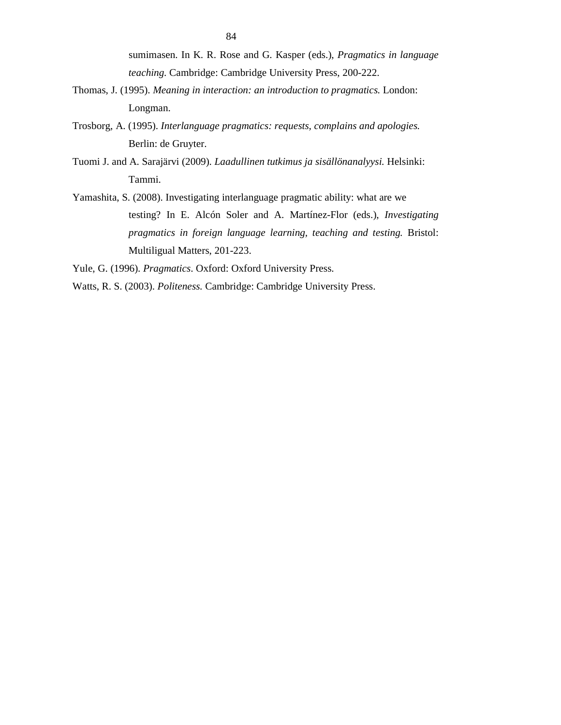sumimasen. In K. R. Rose and G. Kasper (eds.), *Pragmatics in language teaching.* Cambridge: Cambridge University Press, 200-222.

- Thomas, J. (1995). *Meaning in interaction: an introduction to pragmatics.* London: Longman.
- Trosborg, A. (1995). *Interlanguage pragmatics: requests, complains and apologies.* Berlin: de Gruyter.
- Tuomi J. and A. Sarajärvi (2009). *Laadullinen tutkimus ja sisällönanalyysi.* Helsinki: Tammi.
- Yamashita, S. (2008). Investigating interlanguage pragmatic ability: what are we testing? In E. Alcón Soler and A. Martínez-Flor (eds.), *Investigating pragmatics in foreign language learning, teaching and testing.* Bristol: Multiligual Matters, 201-223.

Yule, G. (1996). *Pragmatics*. Oxford: Oxford University Press.

Watts, R. S. (2003). *Politeness.* Cambridge: Cambridge University Press.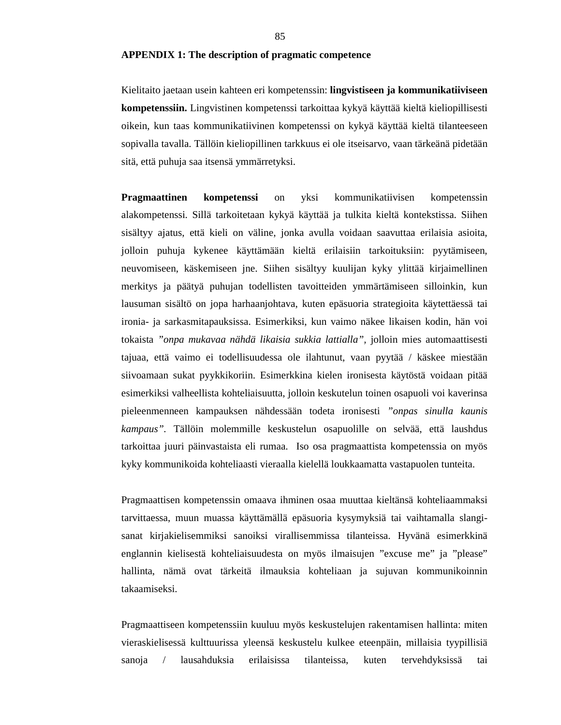#### **APPENDIX 1: The description of pragmatic competence**

Kielitaito jaetaan usein kahteen eri kompetenssin: **lingvistiseen ja kommunikatiiviseen kompetenssiin.** Lingvistinen kompetenssi tarkoittaa kykyä käyttää kieltä kieliopillisesti oikein, kun taas kommunikatiivinen kompetenssi on kykyä käyttää kieltä tilanteeseen sopivalla tavalla. Tällöin kieliopillinen tarkkuus ei ole itseisarvo, vaan tärkeänä pidetään sitä, että puhuja saa itsensä ymmärretyksi.

**Pragmaattinen kompetenssi** on yksi kommunikatiivisen kompetenssin alakompetenssi. Sillä tarkoitetaan kykyä käyttää ja tulkita kieltä kontekstissa. Siihen sisältyy ajatus, että kieli on väline, jonka avulla voidaan saavuttaa erilaisia asioita, jolloin puhuja kykenee käyttämään kieltä erilaisiin tarkoituksiin: pyytämiseen, neuvomiseen, käskemiseen jne. Siihen sisältyy kuulijan kyky ylittää kirjaimellinen merkitys ja päätyä puhujan todellisten tavoitteiden ymmärtämiseen silloinkin, kun lausuman sisältö on jopa harhaanjohtava, kuten epäsuoria strategioita käytettäessä tai ironia- ja sarkasmitapauksissa. Esimerkiksi, kun vaimo näkee likaisen kodin, hän voi tokaista *"onpa mukavaa nähdä likaisia sukkia lattialla",* jolloin mies automaattisesti tajuaa, että vaimo ei todellisuudessa ole ilahtunut, vaan pyytää / käskee miestään siivoamaan sukat pyykkikoriin. Esimerkkina kielen ironisesta käytöstä voidaan pitää esimerkiksi valheellista kohteliaisuutta, jolloin keskutelun toinen osapuoli voi kaverinsa pieleenmenneen kampauksen nähdessään todeta ironisesti *"onpas sinulla kaunis kampaus".* Tällöin molemmille keskustelun osapuolille on selvää, että laushdus tarkoittaa juuri päinvastaista eli rumaa. Iso osa pragmaattista kompetenssia on myös kyky kommunikoida kohteliaasti vieraalla kielellä loukkaamatta vastapuolen tunteita.

Pragmaattisen kompetenssin omaava ihminen osaa muuttaa kieltänsä kohteliaammaksi tarvittaessa, muun muassa käyttämällä epäsuoria kysymyksiä tai vaihtamalla slangisanat kirjakielisemmiksi sanoiksi virallisemmissa tilanteissa. Hyvänä esimerkkinä englannin kielisestä kohteliaisuudesta on myös ilmaisujen "excuse me" ja "please" hallinta, nämä ovat tärkeitä ilmauksia kohteliaan ja sujuvan kommunikoinnin takaamiseksi.

Pragmaattiseen kompetenssiin kuuluu myös keskustelujen rakentamisen hallinta: miten vieraskielisessä kulttuurissa yleensä keskustelu kulkee eteenpäin, millaisia tyypillisiä sanoja / lausahduksia erilaisissa tilanteissa, kuten tervehdyksissä tai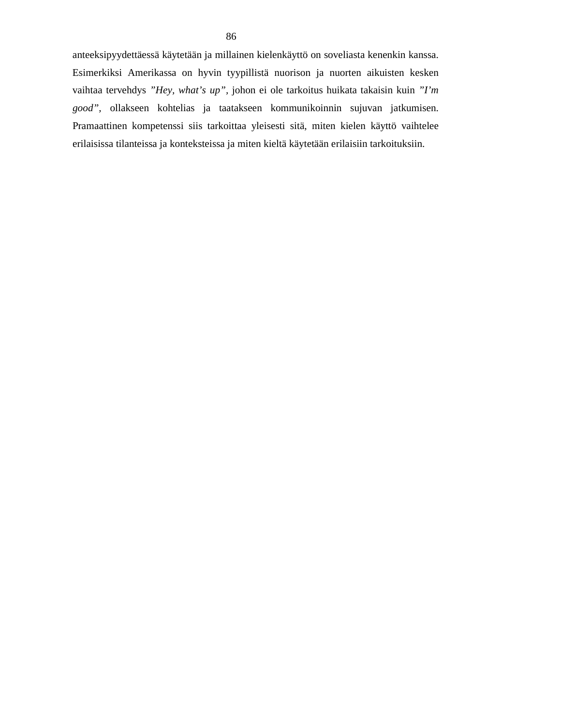anteeksipyydettäessä käytetään ja millainen kielenkäyttö on soveliasta kenenkin kanssa. Esimerkiksi Amerikassa on hyvin tyypillistä nuorison ja nuorten aikuisten kesken vaihtaa tervehdys *"Hey, what's up",* johon ei ole tarkoitus huikata takaisin kuin *"I'm good",* ollakseen kohtelias ja taatakseen kommunikoinnin sujuvan jatkumisen. Pramaattinen kompetenssi siis tarkoittaa yleisesti sitä, miten kielen käyttö vaihtelee erilaisissa tilanteissa ja konteksteissa ja miten kieltä käytetään erilaisiin tarkoituksiin.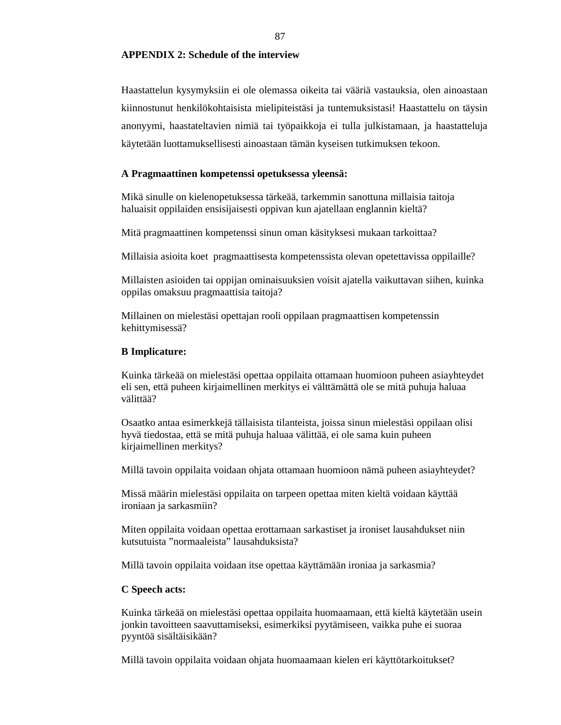# **APPENDIX 2: Schedule of the interview**

Haastattelun kysymyksiin ei ole olemassa oikeita tai vääriä vastauksia, olen ainoastaan kiinnostunut henkilökohtaisista mielipiteistäsi ja tuntemuksistasi! Haastattelu on täysin anonyymi, haastateltavien nimiä tai työpaikkoja ei tulla julkistamaan, ja haastatteluja käytetään luottamuksellisesti ainoastaan tämän kyseisen tutkimuksen tekoon.

### **A Pragmaattinen kompetenssi opetuksessa yleensä:**

Mikä sinulle on kielenopetuksessa tärkeää, tarkemmin sanottuna millaisia taitoja haluaisit oppilaiden ensisijaisesti oppivan kun ajatellaan englannin kieltä?

Mitä pragmaattinen kompetenssi sinun oman käsityksesi mukaan tarkoittaa?

Millaisia asioita koet pragmaattisesta kompetenssista olevan opetettavissa oppilaille?

Millaisten asioiden tai oppijan ominaisuuksien voisit ajatella vaikuttavan siihen, kuinka oppilas omaksuu pragmaattisia taitoja?

Millainen on mielestäsi opettajan rooli oppilaan pragmaattisen kompetenssin kehittymisessä?

#### **B Implicature:**

Kuinka tärkeää on mielestäsi opettaa oppilaita ottamaan huomioon puheen asiayhteydet eli sen, että puheen kirjaimellinen merkitys ei välttämättä ole se mitä puhuja haluaa välittää?

Osaatko antaa esimerkkejä tällaisista tilanteista, joissa sinun mielestäsi oppilaan olisi hyvä tiedostaa, että se mitä puhuja haluaa välittää, ei ole sama kuin puheen kirjaimellinen merkitys?

Millä tavoin oppilaita voidaan ohjata ottamaan huomioon nämä puheen asiayhteydet?

Missä määrin mielestäsi oppilaita on tarpeen opettaa miten kieltä voidaan käyttää ironiaan ja sarkasmiin?

Miten oppilaita voidaan opettaa erottamaan sarkastiset ja ironiset lausahdukset niin kutsutuista "normaaleista" lausahduksista?

Millä tavoin oppilaita voidaan itse opettaa käyttämään ironiaa ja sarkasmia?

#### **C Speech acts:**

Kuinka tärkeää on mielestäsi opettaa oppilaita huomaamaan, että kieltä käytetään usein jonkin tavoitteen saavuttamiseksi, esimerkiksi pyytämiseen, vaikka puhe ei suoraa pyyntöä sisältäisikään?

Millä tavoin oppilaita voidaan ohjata huomaamaan kielen eri käyttötarkoitukset?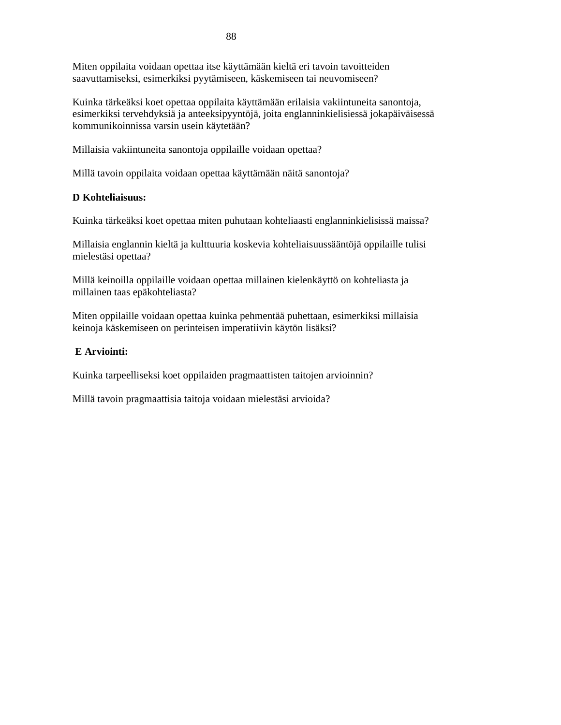Miten oppilaita voidaan opettaa itse käyttämään kieltä eri tavoin tavoitteiden saavuttamiseksi, esimerkiksi pyytämiseen, käskemiseen tai neuvomiseen?

Kuinka tärkeäksi koet opettaa oppilaita käyttämään erilaisia vakiintuneita sanontoja, esimerkiksi tervehdyksiä ja anteeksipyyntöjä, joita englanninkielisiessä jokapäiväisessä kommunikoinnissa varsin usein käytetään?

Millaisia vakiintuneita sanontoja oppilaille voidaan opettaa?

Millä tavoin oppilaita voidaan opettaa käyttämään näitä sanontoja?

# **D Kohteliaisuus:**

Kuinka tärkeäksi koet opettaa miten puhutaan kohteliaasti englanninkielisissä maissa?

Millaisia englannin kieltä ja kulttuuria koskevia kohteliaisuussääntöjä oppilaille tulisi mielestäsi opettaa?

Millä keinoilla oppilaille voidaan opettaa millainen kielenkäyttö on kohteliasta ja millainen taas epäkohteliasta?

Miten oppilaille voidaan opettaa kuinka pehmentää puhettaan, esimerkiksi millaisia keinoja käskemiseen on perinteisen imperatiivin käytön lisäksi?

# **E Arviointi:**

Kuinka tarpeelliseksi koet oppilaiden pragmaattisten taitojen arvioinnin?

Millä tavoin pragmaattisia taitoja voidaan mielestäsi arvioida?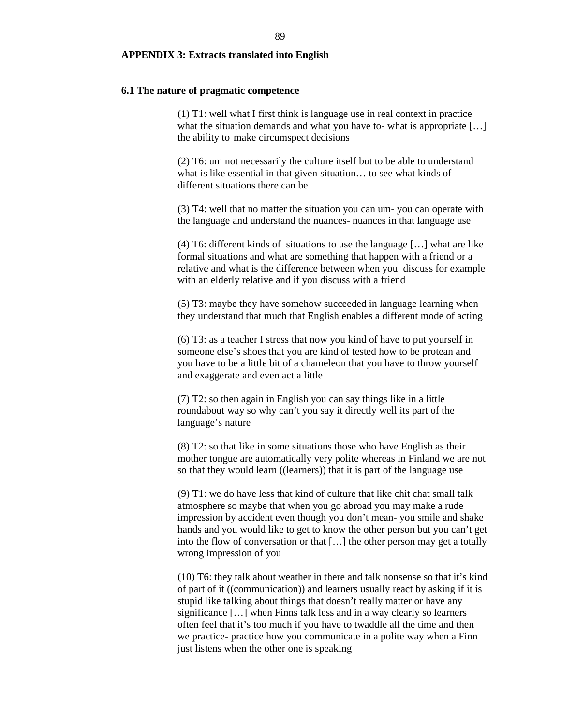#### **APPENDIX 3: Extracts translated into English**

### **6.1 The nature of pragmatic competence**

(1) T1: well what I first think is language use in real context in practice what the situation demands and what you have to- what is appropriate [...] the ability to make circumspect decisions

(2) T6: um not necessarily the culture itself but to be able to understand what is like essential in that given situation… to see what kinds of different situations there can be

(3) T4: well that no matter the situation you can um- you can operate with the language and understand the nuances- nuances in that language use

(4) T6: different kinds of situations to use the language […] what are like formal situations and what are something that happen with a friend or a relative and what is the difference between when you discuss for example with an elderly relative and if you discuss with a friend

(5) T3: maybe they have somehow succeeded in language learning when they understand that much that English enables a different mode of acting

(6) T3: as a teacher I stress that now you kind of have to put yourself in someone else's shoes that you are kind of tested how to be protean and you have to be a little bit of a chameleon that you have to throw yourself and exaggerate and even act a little

(7) T2: so then again in English you can say things like in a little roundabout way so why can't you say it directly well its part of the language's nature

(8) T2: so that like in some situations those who have English as their mother tongue are automatically very polite whereas in Finland we are not so that they would learn ((learners)) that it is part of the language use

(9) T1: we do have less that kind of culture that like chit chat small talk atmosphere so maybe that when you go abroad you may make a rude impression by accident even though you don't mean- you smile and shake hands and you would like to get to know the other person but you can't get into the flow of conversation or that […] the other person may get a totally wrong impression of you

(10) T6: they talk about weather in there and talk nonsense so that it's kind of part of it ((communication)) and learners usually react by asking if it is stupid like talking about things that doesn't really matter or have any significance […] when Finns talk less and in a way clearly so learners often feel that it's too much if you have to twaddle all the time and then we practice- practice how you communicate in a polite way when a Finn just listens when the other one is speaking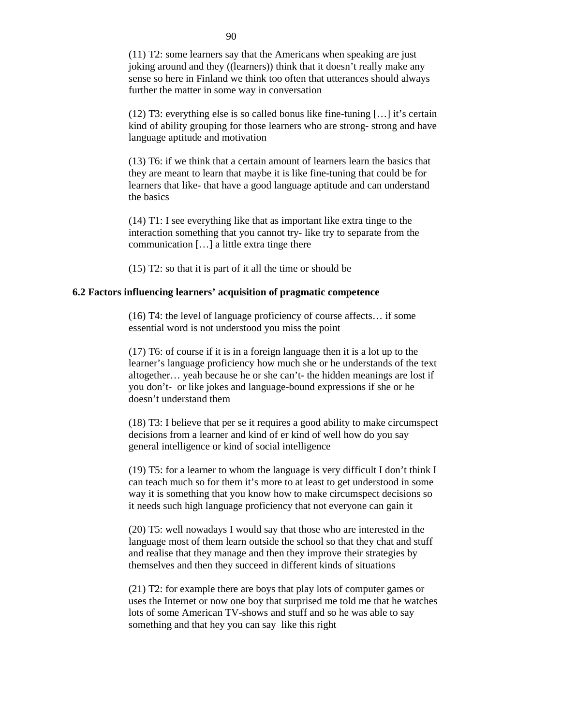(11) T2: some learners say that the Americans when speaking are just joking around and they ((learners)) think that it doesn't really make any sense so here in Finland we think too often that utterances should always further the matter in some way in conversation

(12) T3: everything else is so called bonus like fine-tuning […] it's certain kind of ability grouping for those learners who are strong- strong and have language aptitude and motivation

(13) T6: if we think that a certain amount of learners learn the basics that they are meant to learn that maybe it is like fine-tuning that could be for learners that like- that have a good language aptitude and can understand the basics

(14) T1: I see everything like that as important like extra tinge to the interaction something that you cannot try- like try to separate from the communication […] a little extra tinge there

(15) T2: so that it is part of it all the time or should be

### **6.2 Factors influencing learners' acquisition of pragmatic competence**

(16) T4: the level of language proficiency of course affects… if some essential word is not understood you miss the point

(17) T6: of course if it is in a foreign language then it is a lot up to the learner's language proficiency how much she or he understands of the text altogether… yeah because he or she can't- the hidden meanings are lost if you don't- or like jokes and language-bound expressions if she or he doesn't understand them

(18) T3: I believe that per se it requires a good ability to make circumspect decisions from a learner and kind of er kind of well how do you say general intelligence or kind of social intelligence

(19) T5: for a learner to whom the language is very difficult I don't think I can teach much so for them it's more to at least to get understood in some way it is something that you know how to make circumspect decisions so it needs such high language proficiency that not everyone can gain it

(20) T5: well nowadays I would say that those who are interested in the language most of them learn outside the school so that they chat and stuff and realise that they manage and then they improve their strategies by themselves and then they succeed in different kinds of situations

(21) T2: for example there are boys that play lots of computer games or uses the Internet or now one boy that surprised me told me that he watches lots of some American TV-shows and stuff and so he was able to say something and that hey you can say like this right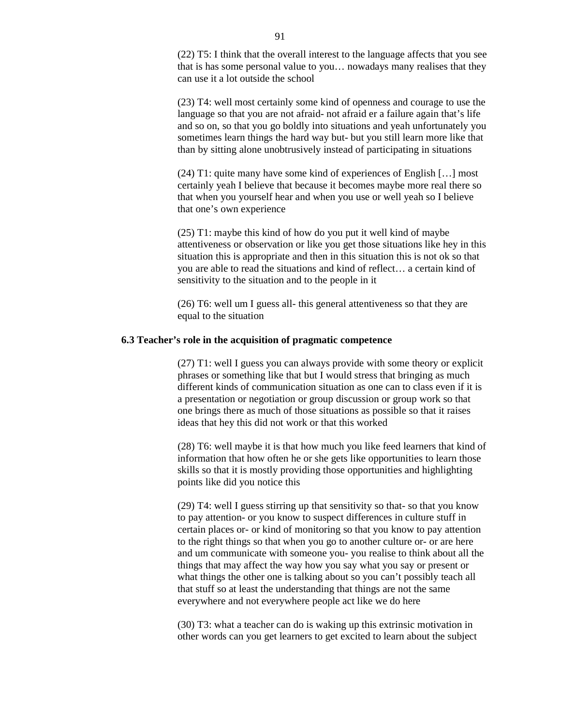(22) T5: I think that the overall interest to the language affects that you see that is has some personal value to you… nowadays many realises that they can use it a lot outside the school

(23) T4: well most certainly some kind of openness and courage to use the language so that you are not afraid- not afraid er a failure again that's life and so on, so that you go boldly into situations and yeah unfortunately you sometimes learn things the hard way but- but you still learn more like that than by sitting alone unobtrusively instead of participating in situations

(24) T1: quite many have some kind of experiences of English […] most certainly yeah I believe that because it becomes maybe more real there so that when you yourself hear and when you use or well yeah so I believe that one's own experience

(25) T1: maybe this kind of how do you put it well kind of maybe attentiveness or observation or like you get those situations like hey in this situation this is appropriate and then in this situation this is not ok so that you are able to read the situations and kind of reflect… a certain kind of sensitivity to the situation and to the people in it

(26) T6: well um I guess all- this general attentiveness so that they are equal to the situation

#### **6.3 Teacher's role in the acquisition of pragmatic competence**

(27) T1: well I guess you can always provide with some theory or explicit phrases or something like that but I would stress that bringing as much different kinds of communication situation as one can to class even if it is a presentation or negotiation or group discussion or group work so that one brings there as much of those situations as possible so that it raises ideas that hey this did not work or that this worked

(28) T6: well maybe it is that how much you like feed learners that kind of information that how often he or she gets like opportunities to learn those skills so that it is mostly providing those opportunities and highlighting points like did you notice this

(29) T4: well I guess stirring up that sensitivity so that- so that you know to pay attention- or you know to suspect differences in culture stuff in certain places or- or kind of monitoring so that you know to pay attention to the right things so that when you go to another culture or- or are here and um communicate with someone you- you realise to think about all the things that may affect the way how you say what you say or present or what things the other one is talking about so you can't possibly teach all that stuff so at least the understanding that things are not the same everywhere and not everywhere people act like we do here

(30) T3: what a teacher can do is waking up this extrinsic motivation in other words can you get learners to get excited to learn about the subject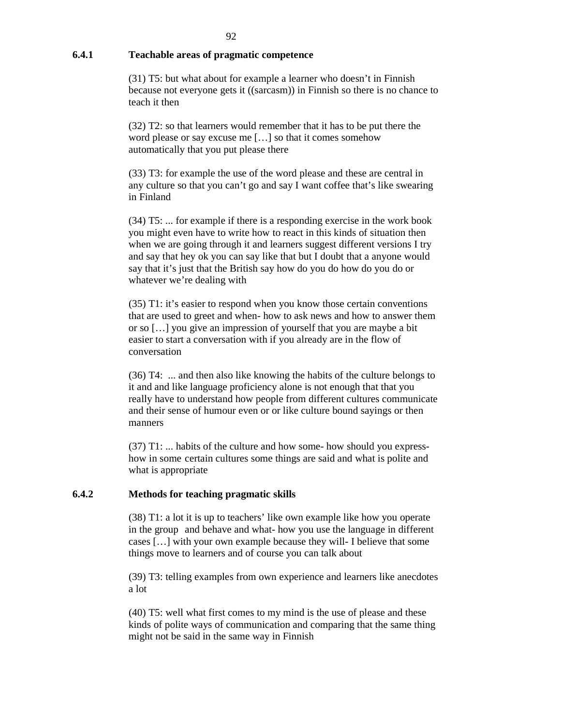# **6.4.1 Teachable areas of pragmatic competence**

(31) T5: but what about for example a learner who doesn't in Finnish because not everyone gets it ((sarcasm)) in Finnish so there is no chance to teach it then

 (32) T2: so that learners would remember that it has to be put there the word please or say excuse me […] so that it comes somehow automatically that you put please there

(33) T3: for example the use of the word please and these are central in any culture so that you can't go and say I want coffee that's like swearing in Finland

(34) T5: ... for example if there is a responding exercise in the work book you might even have to write how to react in this kinds of situation then when we are going through it and learners suggest different versions I try and say that hey ok you can say like that but I doubt that a anyone would say that it's just that the British say how do you do how do you do or whatever we're dealing with

(35) T1: it's easier to respond when you know those certain conventions that are used to greet and when- how to ask news and how to answer them or so […] you give an impression of yourself that you are maybe a bit easier to start a conversation with if you already are in the flow of conversation

(36) T4: ... and then also like knowing the habits of the culture belongs to it and and like language proficiency alone is not enough that that you really have to understand how people from different cultures communicate and their sense of humour even or or like culture bound sayings or then manners

(37) T1: ... habits of the culture and how some- how should you expresshow in some certain cultures some things are said and what is polite and what is appropriate

# **6.4.2 Methods for teaching pragmatic skills**

(38) T1: a lot it is up to teachers' like own example like how you operate in the group and behave and what- how you use the language in different cases […] with your own example because they will- I believe that some things move to learners and of course you can talk about

(39) T3: telling examples from own experience and learners like anecdotes a lot

(40) T5: well what first comes to my mind is the use of please and these kinds of polite ways of communication and comparing that the same thing might not be said in the same way in Finnish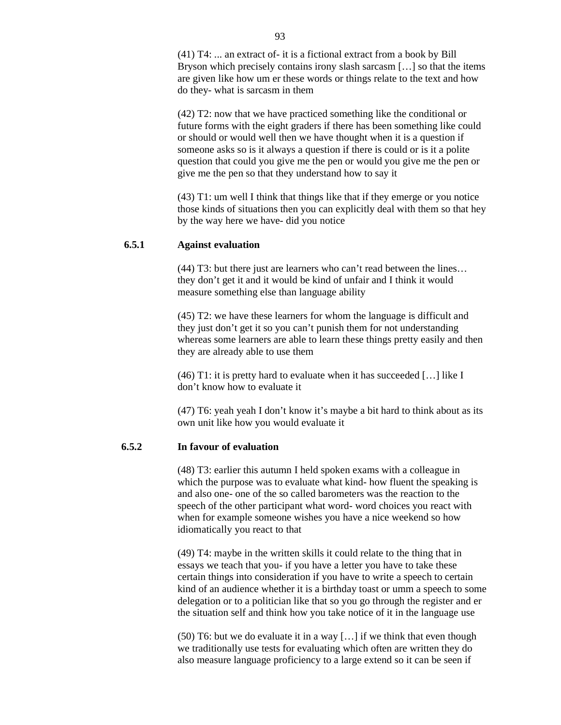(41) T4: ... an extract of- it is a fictional extract from a book by Bill Bryson which precisely contains irony slash sarcasm […] so that the items are given like how um er these words or things relate to the text and how do they- what is sarcasm in them

(42) T2: now that we have practiced something like the conditional or future forms with the eight graders if there has been something like could or should or would well then we have thought when it is a question if someone asks so is it always a question if there is could or is it a polite question that could you give me the pen or would you give me the pen or give me the pen so that they understand how to say it

(43) T1: um well I think that things like that if they emerge or you notice those kinds of situations then you can explicitly deal with them so that hey by the way here we have- did you notice

#### **6.5.1 Against evaluation**

(44) T3: but there just are learners who can't read between the lines… they don't get it and it would be kind of unfair and I think it would measure something else than language ability

(45) T2: we have these learners for whom the language is difficult and they just don't get it so you can't punish them for not understanding whereas some learners are able to learn these things pretty easily and then they are already able to use them

(46) T1: it is pretty hard to evaluate when it has succeeded […] like I don't know how to evaluate it

(47) T6: yeah yeah I don't know it's maybe a bit hard to think about as its own unit like how you would evaluate it

# **6.5.2 In favour of evaluation**

(48) T3: earlier this autumn I held spoken exams with a colleague in which the purpose was to evaluate what kind- how fluent the speaking is and also one- one of the so called barometers was the reaction to the speech of the other participant what word- word choices you react with when for example someone wishes you have a nice weekend so how idiomatically you react to that

(49) T4: maybe in the written skills it could relate to the thing that in essays we teach that you- if you have a letter you have to take these certain things into consideration if you have to write a speech to certain kind of an audience whether it is a birthday toast or umm a speech to some delegation or to a politician like that so you go through the register and er the situation self and think how you take notice of it in the language use

(50) T6: but we do evaluate it in a way […] if we think that even though we traditionally use tests for evaluating which often are written they do also measure language proficiency to a large extend so it can be seen if